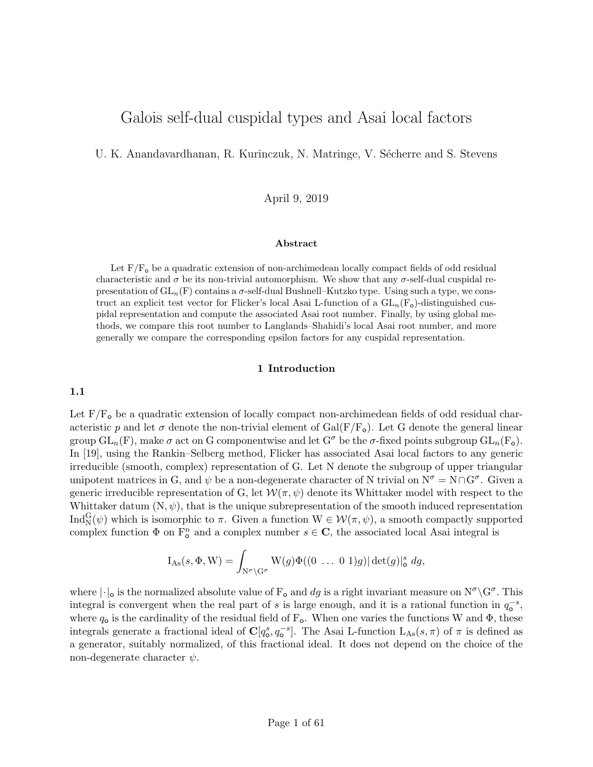# Galois self-dual cuspidal types and Asai local factors

U. K. Anandavardhanan, R. Kurinczuk, N. Matringe, V. Sécherre and S. Stevens

April 9, 2019

#### Abstract

Let  $F/F<sub>o</sub>$  be a quadratic extension of non-archimedean locally compact fields of odd residual characteristic and  $\sigma$  be its non-trivial automorphism. We show that any  $\sigma$ -self-dual cuspidal representation of  $GL_n(F)$  contains a  $\sigma$ -self-dual Bushnell–Kutzko type. Using such a type, we construct an explicit test vector for Flicker's local Asai L-function of a  $GL_n(F_o)$ -distinguished cuspidal representation and compute the associated Asai root number. Finally, by using global methods, we compare this root number to Langlands–Shahidi's local Asai root number, and more generally we compare the corresponding epsilon factors for any cuspidal representation.

### 1 Introduction

1.1

Let  $F/F<sub>o</sub>$  be a quadratic extension of locally compact non-archimedean fields of odd residual characteristic p and let  $\sigma$  denote the non-trivial element of Gal(F/F<sub>o</sub>). Let G denote the general linear group  $GL_n(F)$ , make  $\sigma$  act on G componentwise and let  $G^{\sigma}$  be the  $\sigma$ -fixed points subgroup  $GL_n(F_{\sigma})$ . In [19], using the Rankin–Selberg method, Flicker has associated Asai local factors to any generic irreducible (smooth, complex) representation of G. Let N denote the subgroup of upper triangular unipotent matrices in G, and  $\psi$  be a non-degenerate character of N trivial on  $N^{\sigma} = N \cap G^{\sigma}$ . Given a generic irreducible representation of G, let  $\mathcal{W}(\pi,\psi)$  denote its Whittaker model with respect to the Whittaker datum  $(N, \psi)$ , that is the unique subrepresentation of the smooth induced representation Ind ${}_{\mathbf{N}}^{\mathbf{G}}(\psi)$  which is isomorphic to  $\pi$ . Given a function  $\mathbf{W} \in \mathcal{W}(\pi, \psi)$ , a smooth compactly supported complex function  $\Phi$  on  $\mathbb{F}_{q}^{n}$  and a complex number  $s \in \mathbb{C}$ , the associated local Asai integral is

$$
I_{\mathrm{As}}(s, \Phi, W) = \int_{N^{\sigma} \backslash G^{\sigma}} W(g) \Phi((0 \dots 0 1)g) |\det(g)|_{\mathsf{o}}^{s} dg,
$$

where  $|\cdot|_o$  is the normalized absolute value of  $F_o$  and dg is a right invariant measure on  $N^{\sigma}\backslash G^{\sigma}$ . This integral is convergent when the real part of s is large enough, and it is a rational function in  $q_{\text{o}}^{-s}$ , where  $q_0$  is the cardinality of the residual field of  $F_0$ . When one varies the functions W and  $\Phi$ , these integrals generate a fractional ideal of  $\mathbb{C}[q_{\circ}^s, q_{\circ}^{-s}]$ . The Asai L-function  $L_{\text{As}}(s, \pi)$  of  $\pi$  is defined as a generator, suitably normalized, of this fractional ideal. It does not depend on the choice of the non-degenerate character  $\psi$ .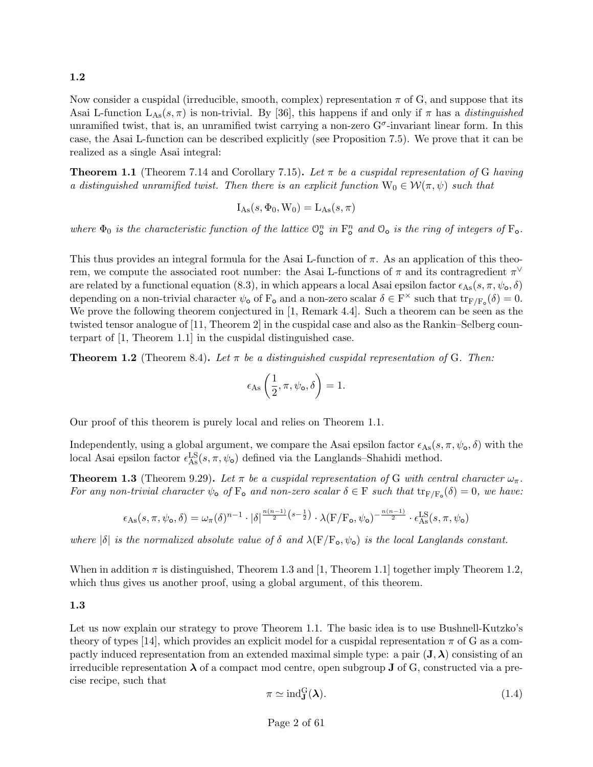1.2

Now consider a cuspidal (irreducible, smooth, complex) representation  $\pi$  of G, and suppose that its Asai L-function  $L_{\text{As}}(s,\pi)$  is non-trivial. By [36], this happens if and only if  $\pi$  has a *distinguished* unramified twist, that is, an unramified twist carrying a non-zero  $G^{\sigma}$ -invariant linear form. In this case, the Asai L-function can be described explicitly (see Proposition 7.5). We prove that it can be realized as a single Asai integral:

**Theorem 1.1** (Theorem 7.14 and Corollary 7.15). Let  $\pi$  be a cuspidal representation of G having a distinguished unramified twist. Then there is an explicit function  $W_0 \in \mathcal{W}(\pi, \psi)$  such that

$$
I_{As}(s, \Phi_0, W_0) = L_{As}(s, \pi)
$$

where  $\Phi_0$  is the characteristic function of the lattice  $\mathcal{O}_o^n$  in  $F_o^n$  and  $\mathcal{O}_o$  is the ring of integers of  $F_o$ .

This thus provides an integral formula for the Asai L-function of  $\pi$ . As an application of this theorem, we compute the associated root number: the Asai L-functions of  $\pi$  and its contragredient  $\pi^{\vee}$ are related by a functional equation (8.3), in which appears a local Asai epsilon factor  $\epsilon_{\text{As}}(s, \pi, \psi_{\text{o}}, \delta)$ depending on a non-trivial character  $\psi_{\text{o}}$  of  $F_{\text{o}}$  and a non-zero scalar  $\delta \in F^{\times}$  such that  $\text{tr}_{F/F_{\text{o}}}(\delta) = 0$ . We prove the following theorem conjectured in [1, Remark 4.4]. Such a theorem can be seen as the twisted tensor analogue of [11, Theorem 2] in the cuspidal case and also as the Rankin–Selberg counterpart of [1, Theorem 1.1] in the cuspidal distinguished case.

**Theorem 1.2** (Theorem 8.4). Let  $\pi$  be a distinguished cuspidal representation of G. Then:

$$
\epsilon_{\mathrm{As}}\left(\frac{1}{2}, \pi, \psi_{\mathbf{o}}, \delta\right) = 1.
$$

Our proof of this theorem is purely local and relies on Theorem 1.1.

Independently, using a global argument, we compare the Asai epsilon factor  $\epsilon_{\text{As}}(s, \pi, \psi_{\text{o}}, \delta)$  with the local Asai epsilon factor  $\epsilon_{\text{As}}^{\text{LS}}(s, \pi, \psi_{\text{o}})$  defined via the Langlands–Shahidi method.

**Theorem 1.3** (Theorem 9.29). Let  $\pi$  be a cuspidal representation of G with central character  $\omega_{\pi}$ . For any non-trivial character  $\psi_{\text{o}}$  of  $F_{\text{o}}$  and non-zero scalar  $\delta \in F$  such that  $\text{tr}_{F/F_{\text{o}}}(\delta) = 0$ , we have:

$$
\epsilon_{\text{As}}(s,\pi,\psi_{\text{o}},\delta) = \omega_{\pi}(\delta)^{n-1} \cdot |\delta|^{\frac{n(n-1)}{2}(s-\frac{1}{2})} \cdot \lambda(F/F_{\text{o}},\psi_{\text{o}})^{-\frac{n(n-1)}{2}} \cdot \epsilon_{\text{As}}^{\text{LS}}(s,\pi,\psi_{\text{o}})
$$

where  $|\delta|$  is the normalized absolute value of  $\delta$  and  $\lambda(F/F_o, \psi_o)$  is the local Langlands constant.

When in addition  $\pi$  is distinguished, Theorem 1.3 and [1, Theorem 1.1] together imply Theorem 1.2, which thus gives us another proof, using a global argument, of this theorem.

1.3

Let us now explain our strategy to prove Theorem 1.1. The basic idea is to use Bushnell-Kutzko's theory of types [14], which provides an explicit model for a cuspidal representation  $\pi$  of G as a compactly induced representation from an extended maximal simple type: a pair  $(\mathbf{J}, \boldsymbol{\lambda})$  consisting of an irreducible representation  $\lambda$  of a compact mod centre, open subgroup  $J$  of G, constructed via a precise recipe, such that

$$
\pi \simeq \text{ind}_{\mathbf{J}}^{\mathbf{G}}(\boldsymbol{\lambda}).\tag{1.4}
$$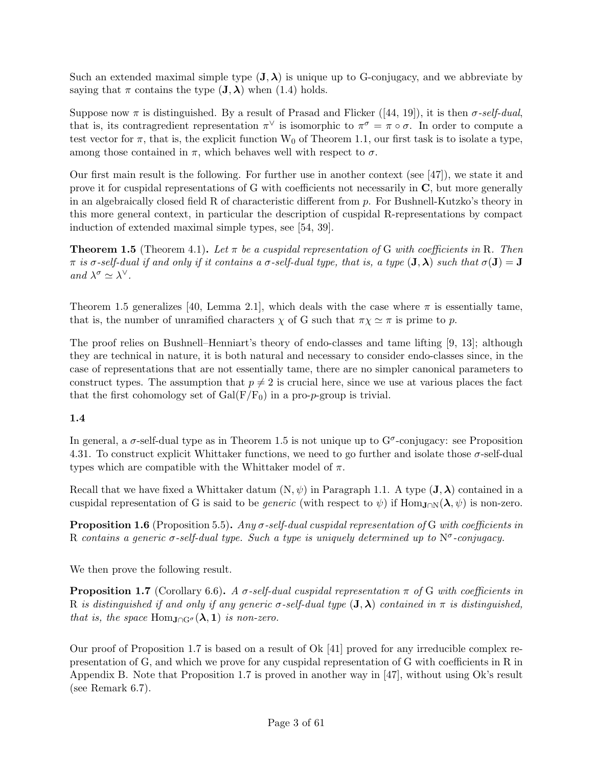Such an extended maximal simple type  $(\mathbf{J},\boldsymbol{\lambda})$  is unique up to G-conjugacy, and we abbreviate by saying that  $\pi$  contains the type  $(\mathbf{J}, \boldsymbol{\lambda})$  when  $(1.4)$  holds.

Suppose now  $\pi$  is distinguished. By a result of Prasad and Flicker ([44, 19]), it is then  $\sigma$ -self-dual, that is, its contragredient representation  $\pi^{\vee}$  is isomorphic to  $\pi^{\sigma} = \pi \circ \sigma$ . In order to compute a test vector for  $\pi$ , that is, the explicit function W<sub>0</sub> of Theorem 1.1, our first task is to isolate a type, among those contained in  $\pi$ , which behaves well with respect to  $\sigma$ .

Our first main result is the following. For further use in another context (see [47]), we state it and prove it for cuspidal representations of G with coefficients not necessarily in C, but more generally in an algebraically closed field R of characteristic different from  $p$ . For Bushnell-Kutzko's theory in this more general context, in particular the description of cuspidal R-representations by compact induction of extended maximal simple types, see [54, 39].

**Theorem 1.5** (Theorem 4.1). Let  $\pi$  be a cuspidal representation of G with coefficients in R. Then  $\pi$  is  $\sigma$ -self-dual if and only if it contains a  $\sigma$ -self-dual type, that is, a type  $(\mathbf{J},\boldsymbol{\lambda})$  such that  $\sigma(\mathbf{J})=\mathbf{J}$ and  $\lambda^{\sigma} \simeq \lambda^{\vee}$ .

Theorem 1.5 generalizes [40, Lemma 2.1], which deals with the case where  $\pi$  is essentially tame, that is, the number of unramified characters  $\chi$  of G such that  $\pi \chi \simeq \pi$  is prime to p.

The proof relies on Bushnell–Henniart's theory of endo-classes and tame lifting [9, 13]; although they are technical in nature, it is both natural and necessary to consider endo-classes since, in the case of representations that are not essentially tame, there are no simpler canonical parameters to construct types. The assumption that  $p \neq 2$  is crucial here, since we use at various places the fact that the first cohomology set of  $Gal(F/F_0)$  in a pro-*p*-group is trivial.

## 1.4

In general, a  $\sigma$ -self-dual type as in Theorem 1.5 is not unique up to  $G^{\sigma}$ -conjugacy: see Proposition 4.31. To construct explicit Whittaker functions, we need to go further and isolate those  $\sigma$ -self-dual types which are compatible with the Whittaker model of  $\pi$ .

Recall that we have fixed a Whittaker datum  $(N, \psi)$  in Paragraph 1.1. A type  $({\bf J}, {\boldsymbol{\lambda}})$  contained in a cuspidal representation of G is said to be *generic* (with respect to  $\psi$ ) if Hom<sub>J∩N</sub>( $\lambda$ ,  $\psi$ ) is non-zero.

**Proposition 1.6** (Proposition 5.5). Any  $\sigma$ -self-dual cuspidal representation of G with coefficients in R contains a generic  $\sigma$ -self-dual type. Such a type is uniquely determined up to  $N^{\sigma}$ -conjugacy.

We then prove the following result.

**Proposition 1.7** (Corollary 6.6). A  $\sigma$ -self-dual cuspidal representation  $\pi$  of G with coefficients in R is distinguished if and only if any generic  $\sigma$ -self-dual type  $(\mathbf{J},\boldsymbol{\lambda})$  contained in  $\pi$  is distinguished, that is, the space Hom $_{\text{J}\cap\text{G}^{\sigma}}(\lambda,1)$  is non-zero.

Our proof of Proposition 1.7 is based on a result of Ok [41] proved for any irreducible complex representation of G, and which we prove for any cuspidal representation of G with coefficients in R in Appendix B. Note that Proposition 1.7 is proved in another way in [47], without using Ok's result (see Remark 6.7).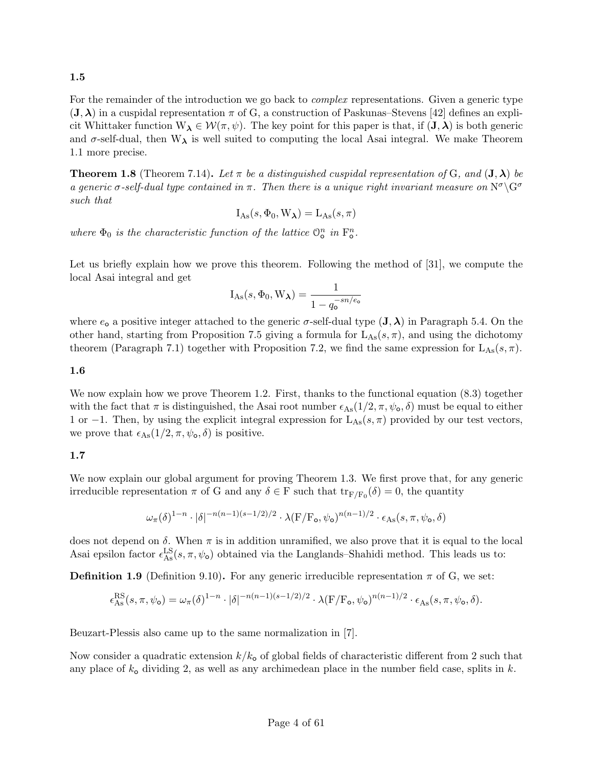1.5

For the remainder of the introduction we go back to *complex* representations. Given a generic type  $(\mathbf{J},\boldsymbol{\lambda})$  in a cuspidal representation  $\pi$  of G, a construction of Paskunas–Stevens [42] defines an explicit Whittaker function  $W_{\lambda} \in \mathcal{W}(\pi, \psi)$ . The key point for this paper is that, if  $(\mathbf{J}, \lambda)$  is both generic and  $\sigma$ -self-dual, then  $W_{\lambda}$  is well suited to computing the local Asai integral. We make Theorem 1.1 more precise.

**Theorem 1.8** (Theorem 7.14). Let  $\pi$  be a distinguished cuspidal representation of G, and  $(\mathbf{J}, \boldsymbol{\lambda})$  be a generic  $\sigma$ -self-dual type contained in  $\pi$ . Then there is a unique right invariant measure on  $N^{\sigma} \backslash G^{\sigma}$ such that

$$
I_{\mathrm{As}}(s, \Phi_0, W_{\lambda}) = L_{\mathrm{As}}(s, \pi)
$$

where  $\Phi_0$  is the characteristic function of the lattice  $\mathbb{O}_\text{o}^n$  in  $\mathbb{F}_\text{o}^n$ .

Let us briefly explain how we prove this theorem. Following the method of [31], we compute the local Asai integral and get

$$
I_{As}(s, \Phi_0, W_{\lambda}) = \frac{1}{1 - q_o^{-sn/e_o}}
$$

where  $e_0$  a positive integer attached to the generic  $\sigma$ -self-dual type  $({\bf J},\lambda)$  in Paragraph 5.4. On the other hand, starting from Proposition 7.5 giving a formula for  $L_{\text{As}}(s, \pi)$ , and using the dichotomy theorem (Paragraph 7.1) together with Proposition 7.2, we find the same expression for  $L_{\text{As}}(s,\pi)$ .

## 1.6

We now explain how we prove Theorem 1.2. First, thanks to the functional equation  $(8.3)$  together with the fact that  $\pi$  is distinguished, the Asai root number  $\epsilon_{\text{As}}(1/2, \pi, \psi_{\text{o}}, \delta)$  must be equal to either 1 or −1. Then, by using the explicit integral expression for  $L_{\text{As}}(s, π)$  provided by our test vectors, we prove that  $\epsilon_{\text{As}}(1/2, \pi, \psi_{\text{o}}, \delta)$  is positive.

## 1.7

We now explain our global argument for proving Theorem 1.3. We first prove that, for any generic irreducible representation  $\pi$  of G and any  $\delta \in F$  such that  $tr_{F/F_0}(\delta) = 0$ , the quantity

$$
\omega_{\pi}(\delta)^{1-n}\cdot |\delta|^{-n(n-1)(s-1/2)/2}\cdot \lambda(F/F_{\mathbf{o}},\psi_{\mathbf{o}})^{n(n-1)/2}\cdot \epsilon_{\mathrm{As}}(s,\pi,\psi_{\mathbf{o}},\delta)
$$

does not depend on  $\delta$ . When  $\pi$  is in addition unramified, we also prove that it is equal to the local Asai epsilon factor  $\epsilon_{\text{As}}^{\text{LS}}(s, \pi, \psi_{\text{o}})$  obtained via the Langlands–Shahidi method. This leads us to:

**Definition 1.9** (Definition 9.10). For any generic irreducible representation  $\pi$  of G, we set:

$$
\epsilon^{\rm RS}_{\rm As}(s,\pi,\psi_\mathrm{o}) = \omega_\pi(\delta)^{1-n} \cdot |\delta|^{-n(n-1)(s-1/2)/2} \cdot \lambda(\mathrm{F}/\mathrm{F}_\mathrm{o},\psi_\mathrm{o})^{n(n-1)/2} \cdot \epsilon_{\rm As}(s,\pi,\psi_\mathrm{o},\delta).
$$

Beuzart-Plessis also came up to the same normalization in [7].

Now consider a quadratic extension  $k/k_0$  of global fields of characteristic different from 2 such that any place of  $k_0$  dividing 2, as well as any archimedean place in the number field case, splits in k.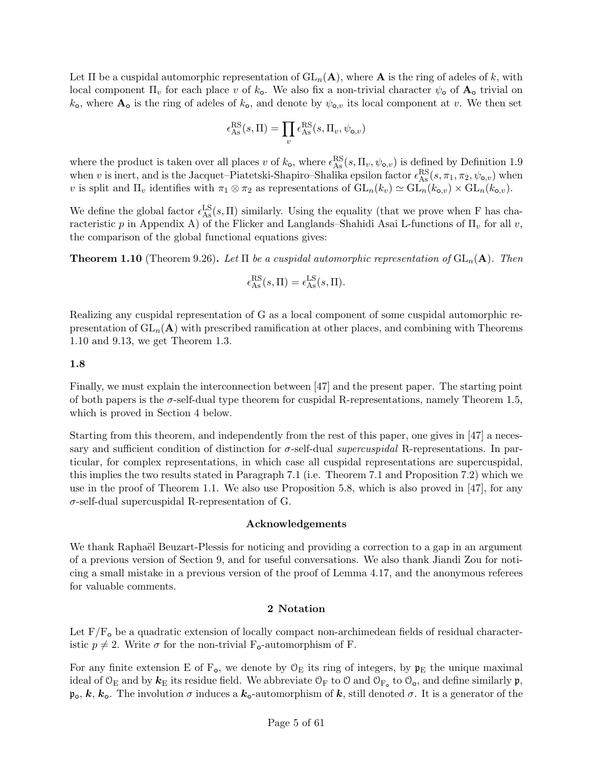Let  $\Pi$  be a cuspidal automorphic representation of  $GL_n(\mathbf{A})$ , where  $\mathbf{A}$  is the ring of adeles of k, with local component  $\Pi_v$  for each place v of  $k_o$ . We also fix a non-trivial character  $\psi_o$  of  $A_o$  trivial on  $k_{\rm o}$ , where  $\mathbf{A}_{\rm o}$  is the ring of adeles of  $k_{\rm o}$ , and denote by  $\psi_{\rm o,v}$  its local component at v. We then set

$$
\epsilon_{\mathrm{As}}^{\mathrm{RS}}(s,\Pi)=\prod_{v}\epsilon_{\mathrm{As}}^{\mathrm{RS}}(s,\Pi_v,\psi_{\mathrm{o},v})
$$

where the product is taken over all places v of  $k_0$ , where  $\epsilon_{\text{As}}^{\text{RS}}(s, \Pi_v, \psi_{\text{o},v})$  is defined by Definition 1.9 when v is inert, and is the Jacquet–Piatetski-Shapiro–Shalika epsilon factor  $\epsilon_{As}^{RS}(s, \pi_1, \pi_2, \psi_{o,v})$  when v is split and  $\Pi_v$  identifies with  $\pi_1 \otimes \pi_2$  as representations of  $GL_n(k_v) \simeq GL_n(k_{o,v}) \times GL_n(k_{o,v}).$ 

We define the global factor  $\epsilon_{\text{As}}^{\text{LS}}(s,\Pi)$  similarly. Using the equality (that we prove when F has characteristic p in Appendix A) of the Flicker and Langlands–Shahidi Asai L-functions of  $\Pi_{\nu}$  for all v, the comparison of the global functional equations gives:

**Theorem 1.10** (Theorem 9.26). Let  $\Pi$  be a cuspidal automorphic representation of  $GL_n(A)$ . Then

$$
\epsilon_{\mathrm{As}}^{\mathrm{RS}}(s,\Pi) = \epsilon_{\mathrm{As}}^{\mathrm{LS}}(s,\Pi).
$$

Realizing any cuspidal representation of G as a local component of some cuspidal automorphic representation of  $GL_n(A)$  with prescribed ramification at other places, and combining with Theorems 1.10 and 9.13, we get Theorem 1.3.

#### 1.8

Finally, we must explain the interconnection between [47] and the present paper. The starting point of both papers is the  $\sigma$ -self-dual type theorem for cuspidal R-representations, namely Theorem 1.5, which is proved in Section 4 below.

Starting from this theorem, and independently from the rest of this paper, one gives in [47] a necessary and sufficient condition of distinction for  $\sigma$ -self-dual supercuspidal R-representations. In particular, for complex representations, in which case all cuspidal representations are supercuspidal, this implies the two results stated in Paragraph 7.1 (i.e. Theorem 7.1 and Proposition 7.2) which we use in the proof of Theorem 1.1. We also use Proposition 5.8, which is also proved in [47], for any  $\sigma$ -self-dual supercuspidal R-representation of G.

#### Acknowledgements

We thank Raphaël Beuzart-Plessis for noticing and providing a correction to a gap in an argument of a previous version of Section 9, and for useful conversations. We also thank Jiandi Zou for noticing a small mistake in a previous version of the proof of Lemma 4.17, and the anonymous referees for valuable comments.

### 2 Notation

Let  $F/F<sub>o</sub>$  be a quadratic extension of locally compact non-archimedean fields of residual characteristic  $p \neq 2$ . Write  $\sigma$  for the non-trivial F<sub>o</sub>-automorphism of F.

For any finite extension E of  $F_o$ , we denote by  $\mathcal{O}_E$  its ring of integers, by  $\mathfrak{p}_E$  the unique maximal ideal of  $\mathcal{O}_E$  and by  $k_E$  its residue field. We abbreviate  $\mathcal{O}_F$  to  $\mathcal{O}$  and  $\mathcal{O}_{F_o}$  to  $\mathcal{O}_o$ , and define similarly  $\mathfrak{p}$ ,  $\mathfrak{p}_0, k, k_0$ . The involution  $\sigma$  induces a  $k_0$ -automorphism of k, still denoted  $\sigma$ . It is a generator of the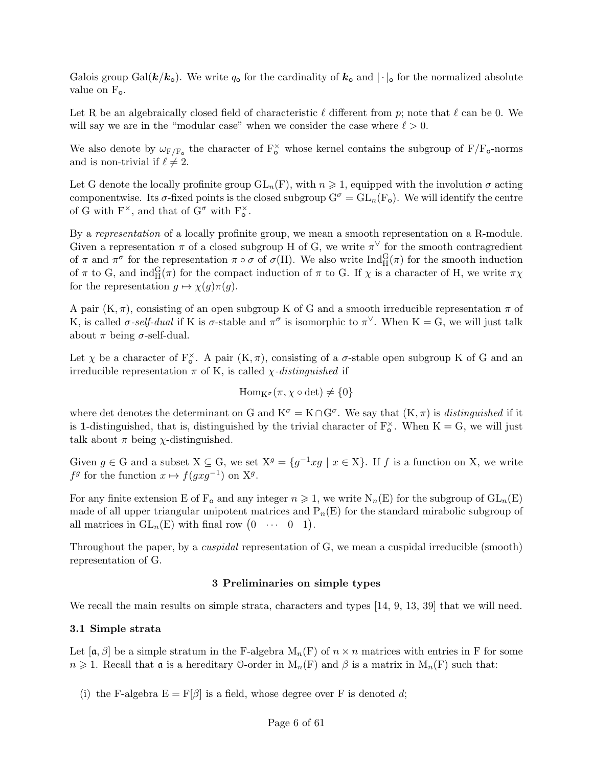Galois group Gal( $k/k_o$ ). We write  $q_o$  for the cardinality of  $k_o$  and  $|\cdot|_o$  for the normalized absolute value on  $F_o$ .

Let R be an algebraically closed field of characteristic  $\ell$  different from p; note that  $\ell$  can be 0. We will say we are in the "modular case" when we consider the case where  $\ell > 0$ .

We also denote by  $\omega_{F/F_o}$  the character of  $F_o^{\times}$  whose kernel contains the subgroup of  $F/F_o$ -norms and is non-trivial if  $\ell \neq 2$ .

Let G denote the locally profinite group  $GL_n(F)$ , with  $n \geq 1$ , equipped with the involution  $\sigma$  acting componentwise. Its  $\sigma$ -fixed points is the closed subgroup  $G^{\sigma} = GL_n(F_o)$ . We will identify the centre of G with  $F^{\times}$ , and that of  $G^{\sigma}$  with  $F_{o}^{\times}$ .

By a representation of a locally profinite group, we mean a smooth representation on a R-module. Given a representation  $\pi$  of a closed subgroup H of G, we write  $\pi^{\vee}$  for the smooth contragredient of  $\pi$  and  $\pi^{\sigma}$  for the representation  $\pi \circ \sigma$  of  $\sigma(H)$ . We also write  $\text{Ind}_{H}^{G}(\pi)$  for the smooth induction of  $\pi$  to G, and  $\text{ind}_{H}^{G}(\pi)$  for the compact induction of  $\pi$  to G. If  $\chi$  is a character of H, we write  $\pi\chi$ for the representation  $g \mapsto \chi(g)\pi(g)$ .

A pair  $(K, \pi)$ , consisting of an open subgroup K of G and a smooth irreducible representation  $\pi$  of K, is called  $\sigma$ -self-dual if K is  $\sigma$ -stable and  $\pi^{\sigma}$  is isomorphic to  $\pi^{\vee}$ . When K = G, we will just talk about  $\pi$  being  $\sigma$ -self-dual.

Let  $\chi$  be a character of  $F_o^{\times}$ . A pair  $(K, \pi)$ , consisting of a  $\sigma$ -stable open subgroup K of G and an irreducible representation  $\pi$  of K, is called *χ*-distinguished if

$$
\mathrm{Hom}_{K^{\sigma}}(\pi,\chi\circ\det)\neq\{0\}
$$

where det denotes the determinant on G and  $K^{\sigma} = K \cap G^{\sigma}$ . We say that  $(K, \pi)$  is *distinguished* if it is 1-distinguished, that is, distinguished by the trivial character of  $F_{o}^{\times}$ . When  $K = G$ , we will just talk about  $\pi$  being  $\chi$ -distinguished.

Given  $g \in G$  and a subset  $X \subseteq G$ , we set  $X^g = \{g^{-1}xg \mid x \in X\}$ . If f is a function on X, we write  $f<sup>g</sup>$  for the function  $x \mapsto f(gxg^{-1})$  on  $X<sup>g</sup>$ .

For any finite extension E of  $F_o$  and any integer  $n \geq 1$ , we write  $N_n(E)$  for the subgroup of  $GL_n(E)$ made of all upper triangular unipotent matrices and  $P_n(E)$  for the standard mirabolic subgroup of all matrices in  $GL_n(E)$  with final row  $(0 \cdots 0 1)$ .

Throughout the paper, by a *cuspidal* representation of G, we mean a cuspidal irreducible (smooth) representation of G.

#### 3 Preliminaries on simple types

We recall the main results on simple strata, characters and types [14, 9, 13, 39] that we will need.

### 3.1 Simple strata

Let  $[\alpha, \beta]$  be a simple stratum in the F-algebra  $M_n(F)$  of  $n \times n$  matrices with entries in F for some  $n \geq 1$ . Recall that **a** is a hereditary 0-order in  $M_n(F)$  and  $\beta$  is a matrix in  $M_n(F)$  such that:

(i) the F-algebra  $E = F[\beta]$  is a field, whose degree over F is denoted d;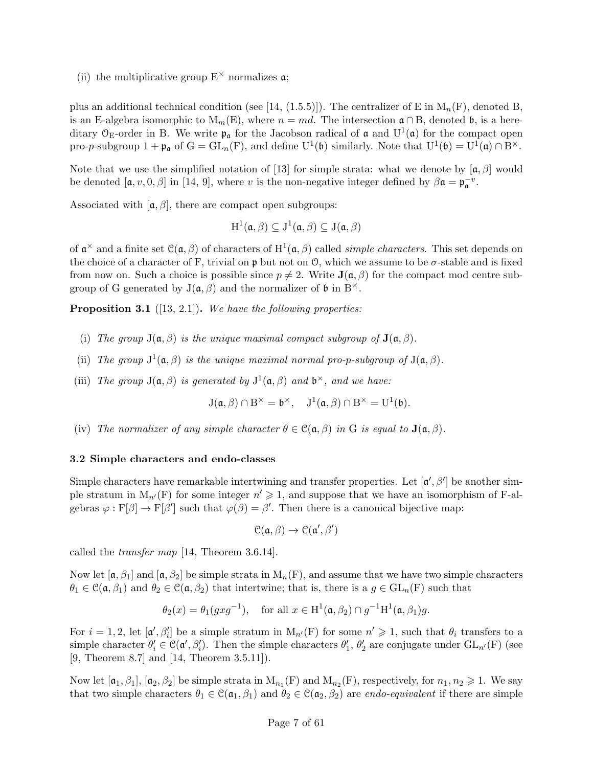(ii) the multiplicative group  $E^{\times}$  normalizes  $\mathfrak{a}$ ;

plus an additional technical condition (see [14, (1.5.5)]). The centralizer of E in  $M_n(F)$ , denoted B, is an E-algebra isomorphic to  $M_m(E)$ , where  $n = md$ . The intersection  $\mathfrak{a} \cap B$ , denoted  $\mathfrak{b}$ , is a hereditary  $\mathcal{O}_E$ -order in B. We write  $\mathfrak{p}_\mathfrak{a}$  for the Jacobson radical of  $\mathfrak{a}$  and  $U^1(\mathfrak{a})$  for the compact open pro-p-subgroup  $1 + \mathfrak{p}_\mathfrak{a}$  of  $G = GL_n(F)$ , and define  $U^1(\mathfrak{b})$  similarly. Note that  $U^1(\mathfrak{b}) = U^1(\mathfrak{a}) \cap B^\times$ .

Note that we use the simplified notation of [13] for simple strata: what we denote by  $[\mathfrak{a}, \beta]$  would be denoted  $[\mathfrak{a}, v, 0, \beta]$  in [14, 9], where v is the non-negative integer defined by  $\beta \mathfrak{a} = \mathfrak{p}_{\mathfrak{a}}^{-v}$ .

Associated with  $[\alpha, \beta]$ , there are compact open subgroups:

$$
H^1(\mathfrak{a}, \beta) \subseteq J^1(\mathfrak{a}, \beta) \subseteq J(\mathfrak{a}, \beta)
$$

of  $\mathfrak{a}^{\times}$  and a finite set  $\mathfrak{C}(\mathfrak{a},\beta)$  of characters of  $\mathrm{H}^{1}(\mathfrak{a},\beta)$  called *simple characters*. This set depends on the choice of a character of F, trivial on  $\mathfrak p$  but not on  $\mathfrak O$ , which we assume to be  $\sigma$ -stable and is fixed from now on. Such a choice is possible since  $p \neq 2$ . Write  $J(\mathfrak{a}, \beta)$  for the compact mod centre subgroup of G generated by  $J(\mathfrak{a}, \beta)$  and the normalizer of  $\mathfrak b$  in  $B^{\times}$ .

**Proposition 3.1** ([13, 2.1]). We have the following properties:

- (i) The group  $J(\mathfrak{a}, \beta)$  is the unique maximal compact subgroup of  $J(\mathfrak{a}, \beta)$ .
- (ii) The group  $J^1(\mathfrak{a}, \beta)$  is the unique maximal normal pro-p-subgroup of  $J(\mathfrak{a}, \beta)$ .
- (iii) The group  $J(\mathfrak{a}, \beta)$  is generated by  $J^1(\mathfrak{a}, \beta)$  and  $\mathfrak{b}^{\times}$ , and we have:

$$
J(\mathfrak{a}, \beta) \cap B^{\times} = \mathfrak{b}^{\times}, \quad J^{1}(\mathfrak{a}, \beta) \cap B^{\times} = U^{1}(\mathfrak{b}).
$$

(iv) The normalizer of any simple character  $\theta \in \mathcal{C}(\mathfrak{a}, \beta)$  in G is equal to  $\mathbf{J}(\mathfrak{a}, \beta)$ .

#### 3.2 Simple characters and endo-classes

Simple characters have remarkable intertwining and transfer properties. Let  $[\mathfrak{a}', \beta']$  be another simple stratum in  $M_{n'}(F)$  for some integer  $n' \geq 1$ , and suppose that we have an isomorphism of F-algebras  $\varphi : F[\beta] \to F[\beta']$  such that  $\varphi(\beta) = \beta'$ . Then there is a canonical bijective map:

$$
\mathcal{C}(\mathfrak{a}, \beta) \to \mathcal{C}(\mathfrak{a}', \beta')
$$

called the transfer map [14, Theorem 3.6.14].

Now let  $[\mathfrak{a}, \beta_1]$  and  $[\mathfrak{a}, \beta_2]$  be simple strata in  $M_n(F)$ , and assume that we have two simple characters  $\theta_1 \in \mathcal{C}(\mathfrak{a}, \beta_1)$  and  $\theta_2 \in \mathcal{C}(\mathfrak{a}, \beta_2)$  that intertwine; that is, there is a  $g \in GL_n(F)$  such that

$$
\theta_2(x) = \theta_1(gxg^{-1}),
$$
 for all  $x \in H^1(\mathfrak{a}, \beta_2) \cap g^{-1}H^1(\mathfrak{a}, \beta_1)g.$ 

For  $i = 1, 2$ , let  $[\mathfrak{a}', \beta'_i]$  be a simple stratum in  $M_{n'}(F)$  for some  $n' \geq 1$ , such that  $\theta_i$  transfers to a simple character  $\theta_i' \in \mathcal{C}(\mathfrak{a}', \beta_i')$ . Then the simple characters  $\theta_1', \theta_2'$  are conjugate under  $GL_{n'}(F)$  (see [9, Theorem 8.7] and [14, Theorem 3.5.11]).

Now let  $[\mathfrak{a}_1,\beta_1], [\mathfrak{a}_2,\beta_2]$  be simple strata in  $M_{n_1}(F)$  and  $M_{n_2}(F)$ , respectively, for  $n_1, n_2 \geq 1$ . We say that two simple characters  $\theta_1 \in \mathcal{C}(\mathfrak{a}_1, \beta_1)$  and  $\theta_2 \in \mathcal{C}(\mathfrak{a}_2, \beta_2)$  are *endo-equivalent* if there are simple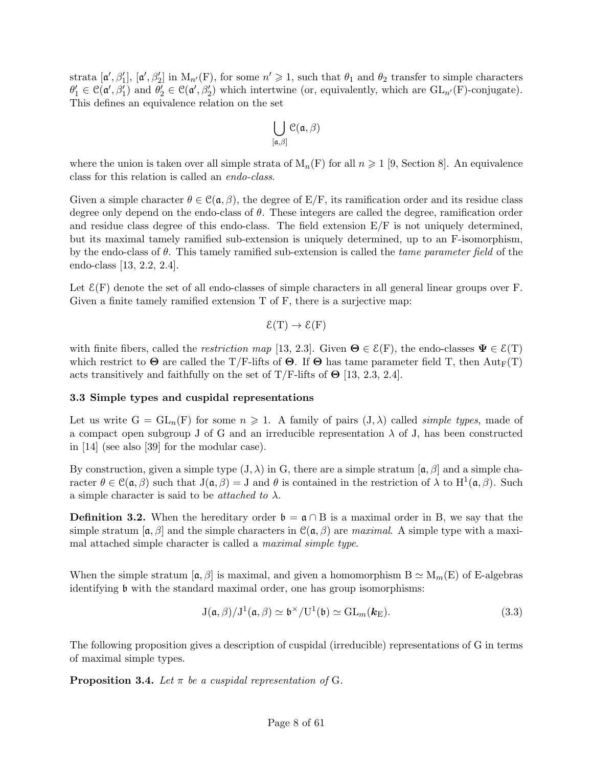strata  $[\mathfrak{a}', \beta'_1], [\mathfrak{a}', \beta'_2]$  in  $M_{n'}(F)$ , for some  $n' \geq 1$ , such that  $\theta_1$  and  $\theta_2$  transfer to simple characters  $\theta_1' \in \mathcal{C}(\mathfrak{a}', \beta_1')$  and  $\theta_2' \in \mathcal{C}(\mathfrak{a}', \beta_2')$  which intertwine (or, equivalently, which are  $GL_{n'}(F)$ -conjugate). This defines an equivalence relation on the set

$$
\bigcup_{[\mathfrak{a},\beta]} \mathfrak{C}(\mathfrak{a},\beta)
$$

where the union is taken over all simple strata of  $M_n(F)$  for all  $n \geq 1$  [9, Section 8]. An equivalence class for this relation is called an endo-class.

Given a simple character  $\theta \in \mathcal{C}(\mathfrak{a}, \beta)$ , the degree of E/F, its ramification order and its residue class degree only depend on the endo-class of  $\theta$ . These integers are called the degree, ramification order and residue class degree of this endo-class. The field extension  $E/F$  is not uniquely determined, but its maximal tamely ramified sub-extension is uniquely determined, up to an F-isomorphism, by the endo-class of  $\theta$ . This tamely ramified sub-extension is called the *tame parameter field* of the endo-class [13, 2.2, 2.4].

Let  $\mathcal{E}(F)$  denote the set of all endo-classes of simple characters in all general linear groups over F. Given a finite tamely ramified extension  $T$  of  $F$ , there is a surjective map:

$$
\mathcal{E}(T) \to \mathcal{E}(F)
$$

with finite fibers, called the restriction map [13, 2.3]. Given  $\Theta \in \mathcal{E}(F)$ , the endo-classes  $\Psi \in \mathcal{E}(T)$ which restrict to  $\Theta$  are called the T/F-lifts of  $\Theta$ . If  $\Theta$  has tame parameter field T, then  $Aut_F(T)$ acts transitively and faithfully on the set of T/F-lifts of  $\Theta$  [13, 2.3, 2.4].

#### 3.3 Simple types and cuspidal representations

Let us write  $G = GL_n(F)$  for some  $n \geq 1$ . A family of pairs  $(J, \lambda)$  called *simple types*, made of a compact open subgroup J of G and an irreducible representation  $\lambda$  of J, has been constructed in [14] (see also [39] for the modular case).

By construction, given a simple type  $(J, \lambda)$  in G, there are a simple stratum  $[\mathfrak{a}, \beta]$  and a simple character  $\theta \in \mathcal{C}(\mathfrak{a}, \beta)$  such that  $J(\mathfrak{a}, \beta) = J$  and  $\theta$  is contained in the restriction of  $\lambda$  to  $H^1(\mathfrak{a}, \beta)$ . Such a simple character is said to be *attached to*  $\lambda$ .

**Definition 3.2.** When the hereditary order  $\mathfrak{b} = \mathfrak{a} \cap B$  is a maximal order in B, we say that the simple stratum  $[\mathfrak{a}, \beta]$  and the simple characters in  $\mathfrak{C}(\mathfrak{a}, \beta)$  are maximal. A simple type with a maximal attached simple character is called a maximal simple type.

When the simple stratum  $[\mathfrak{a}, \beta]$  is maximal, and given a homomorphism  $B \simeq M_m(E)$  of E-algebras identifying b with the standard maximal order, one has group isomorphisms:

$$
J(\mathfrak{a}, \beta)/J^1(\mathfrak{a}, \beta) \simeq \mathfrak{b}^{\times}/U^1(\mathfrak{b}) \simeq GL_m(\mathbf{k}_{E}).
$$
\n(3.3)

The following proposition gives a description of cuspidal (irreducible) representations of G in terms of maximal simple types.

**Proposition 3.4.** Let  $\pi$  be a cuspidal representation of G.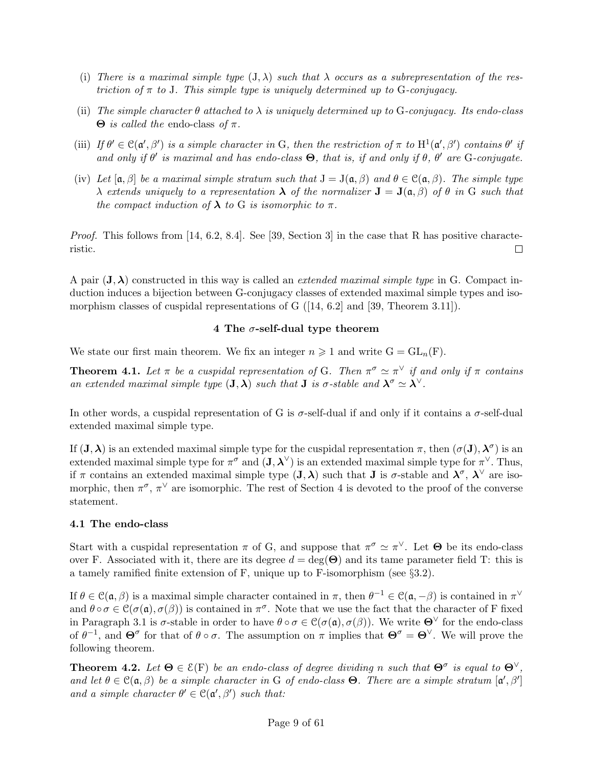- (i) There is a maximal simple type  $(J, \lambda)$  such that  $\lambda$  occurs as a subrepresentation of the restriction of  $\pi$  to J. This simple type is uniquely determined up to G-conjugacy.
- (ii) The simple character  $\theta$  attached to  $\lambda$  is uniquely determined up to G-conjugacy. Its endo-class  $Θ$  is called the endo-class of π.
- (iii) If  $\theta' \in C(\mathfrak{a}', \beta')$  is a simple character in G, then the restriction of  $\pi$  to  $H^1(\mathfrak{a}', \beta')$  contains  $\theta'$  if and only if  $\theta'$  is maximal and has endo-class  $\Theta$ , that is, if and only if  $\theta$ ,  $\theta'$  are G-conjugate.
- (iv) Let  $[\mathfrak{a}, \beta]$  be a maximal simple stratum such that  $J = J(\mathfrak{a}, \beta)$  and  $\theta \in \mathfrak{C}(\mathfrak{a}, \beta)$ . The simple type  $\lambda$  extends uniquely to a representation  $\lambda$  of the normalizer  $J = J(\mathfrak{a}, \beta)$  of  $\theta$  in G such that the compact induction of  $\lambda$  to G is isomorphic to  $\pi$ .

*Proof.* This follows from [14, 6.2, 8.4]. See [39, Section 3] in the case that R has positive characteristic.  $\Box$ 

A pair  $(J, \lambda)$  constructed in this way is called an *extended maximal simple type* in G. Compact induction induces a bijection between G-conjugacy classes of extended maximal simple types and isomorphism classes of cuspidal representations of G ([14, 6.2] and [39, Theorem 3.11]).

### 4 The  $\sigma$ -self-dual type theorem

We state our first main theorem. We fix an integer  $n \geq 1$  and write  $G = GL_n(F)$ .

**Theorem 4.1.** Let  $\pi$  be a cuspidal representation of G. Then  $\pi^{\sigma} \simeq \pi^{\vee}$  if and only if  $\pi$  contains an extended maximal simple type  $(\mathbf{J}, \boldsymbol{\lambda})$  such that  $\mathbf{J}$  is  $\sigma$ -stable and  $\boldsymbol{\lambda}^{\sigma} \simeq \boldsymbol{\lambda}^{\vee}$ .

In other words, a cuspidal representation of G is  $\sigma$ -self-dual if and only if it contains a  $\sigma$ -self-dual extended maximal simple type.

If  $(\mathbf{J}, \boldsymbol{\lambda})$  is an extended maximal simple type for the cuspidal representation  $\pi$ , then  $(\sigma(\mathbf{J}), \boldsymbol{\lambda}^{\sigma})$  is an extended maximal simple type for  $\pi^{\sigma}$  and  $(\mathbf{J}, \boldsymbol{\lambda}^{\vee})$  is an extended maximal simple type for  $\pi^{\vee}$ . Thus, if  $\pi$  contains an extended maximal simple type  $(\mathbf{J}, \boldsymbol{\lambda})$  such that **J** is  $\sigma$ -stable and  $\boldsymbol{\lambda}^{\sigma}, \boldsymbol{\lambda}^{\vee}$  are isomorphic, then  $\pi^{\sigma}$ ,  $\pi^{\vee}$  are isomorphic. The rest of Section 4 is devoted to the proof of the converse statement.

#### 4.1 The endo-class

Start with a cuspidal representation  $\pi$  of G, and suppose that  $\pi^{\sigma} \simeq \pi^{\vee}$ . Let  $\Theta$  be its endo-class over F. Associated with it, there are its degree  $d = \deg(\Theta)$  and its tame parameter field T: this is a tamely ramified finite extension of F, unique up to F-isomorphism (see §3.2).

If  $\theta \in \mathcal{C}(\mathfrak{a}, \beta)$  is a maximal simple character contained in  $\pi$ , then  $\theta^{-1} \in \mathcal{C}(\mathfrak{a}, -\beta)$  is contained in  $\pi^{\vee}$ and  $\theta \circ \sigma \in \mathcal{C}(\sigma(\mathfrak{a}), \sigma(\beta))$  is contained in  $\pi^{\sigma}$ . Note that we use the fact that the character of F fixed in Paragraph 3.1 is  $\sigma$ -stable in order to have  $\theta \circ \sigma \in \mathcal{C}(\sigma(\mathfrak{a}), \sigma(\beta))$ . We write  $\Theta^{\vee}$  for the endo-class of  $\theta^{-1}$ , and  $\Theta^{\sigma}$  for that of  $\theta \circ \sigma$ . The assumption on  $\pi$  implies that  $\Theta^{\sigma} = \Theta^{\vee}$ . We will prove the following theorem.

**Theorem 4.2.** Let  $\Theta \in \mathcal{E}(F)$  be an endo-class of degree dividing n such that  $\Theta^{\sigma}$  is equal to  $\Theta^{\vee}$ , and let  $\theta \in \mathcal{C}(\mathfrak{a}, \beta)$  be a simple character in G of endo-class  $\Theta$ . There are a simple stratum  $[\mathfrak{a}', \beta']$ and a simple character  $\theta' \in C(\mathfrak{a}', \beta')$  such that: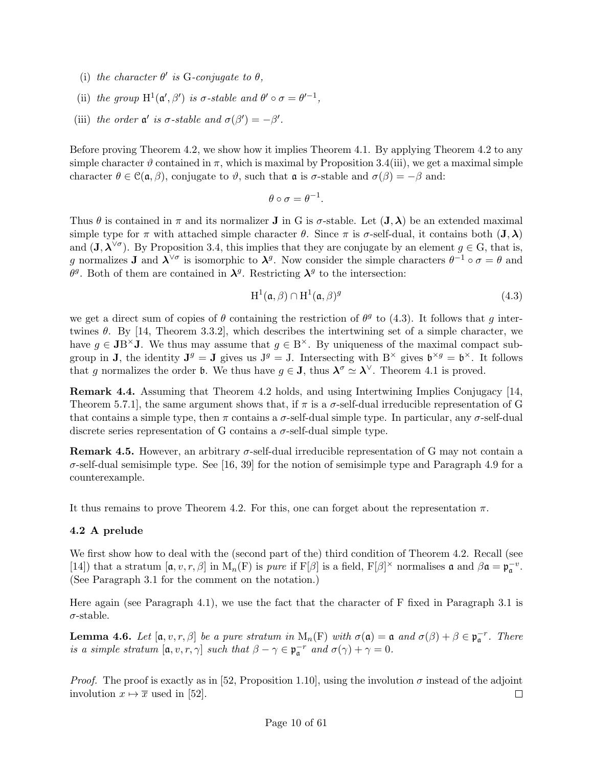- (i) the character  $\theta'$  is G-conjugate to  $\theta$ ,
- (ii) the group  $H^1(\mathfrak{a}', \beta')$  is  $\sigma$ -stable and  $\theta' \circ \sigma = \theta'^{-1}$ ,
- (iii) the order  $\mathfrak{a}'$  is  $\sigma$ -stable and  $\sigma(\beta') = -\beta'$ .

Before proving Theorem 4.2, we show how it implies Theorem 4.1. By applying Theorem 4.2 to any simple character  $\vartheta$  contained in  $\pi$ , which is maximal by Proposition 3.4(iii), we get a maximal simple character  $\theta \in \mathcal{C}(\mathfrak{a}, \beta)$ , conjugate to  $\vartheta$ , such that  $\mathfrak{a}$  is  $\sigma$ -stable and  $\sigma(\beta) = -\beta$  and:

$$
\theta \circ \sigma = \theta^{-1}.
$$

Thus  $\theta$  is contained in  $\pi$  and its normalizer **J** in G is  $\sigma$ -stable. Let  $(\mathbf{J}, \boldsymbol{\lambda})$  be an extended maximal simple type for  $\pi$  with attached simple character  $\theta$ . Since  $\pi$  is  $\sigma$ -self-dual, it contains both  $(J, \lambda)$ and  $(\mathbf{J}, \boldsymbol{\lambda}^{\vee \sigma})$ . By Proposition 3.4, this implies that they are conjugate by an element  $g \in G$ , that is, g normalizes **J** and  $\lambda^{\vee \sigma}$  is isomorphic to  $\lambda^g$ . Now consider the simple characters  $\theta^{-1} \circ \sigma = \theta$  and  $\theta^g$ . Both of them are contained in  $\lambda^g$ . Restricting  $\lambda^g$  to the intersection:

$$
H^{1}(\mathfrak{a}, \beta) \cap H^{1}(\mathfrak{a}, \beta)^{g}
$$
\n
$$
(4.3)
$$

we get a direct sum of copies of  $\theta$  containing the restriction of  $\theta^g$  to (4.3). It follows that g intertwines  $\theta$ . By [14, Theorem 3.3.2], which describes the intertwining set of a simple character, we have  $g \in \mathbf{JB}^{\times}\mathbf{J}$ . We thus may assume that  $g \in \mathbf{B}^{\times}$ . By uniqueness of the maximal compact subgroup in **J**, the identity  $J^g = J$  gives us  $J^g = J$ . Intersecting with  $B^{\times}$  gives  $\mathfrak{b}^{\times g} = \mathfrak{b}^{\times}$ . It follows that g normalizes the order b. We thus have  $g \in J$ , thus  $\lambda^{\sigma} \simeq \lambda^{\vee}$ . Theorem 4.1 is proved.

Remark 4.4. Assuming that Theorem 4.2 holds, and using Intertwining Implies Conjugacy [14, Theorem 5.7.1, the same argument shows that, if  $\pi$  is a  $\sigma$ -self-dual irreducible representation of G that contains a simple type, then  $\pi$  contains a  $\sigma$ -self-dual simple type. In particular, any  $\sigma$ -self-dual discrete series representation of G contains a  $\sigma$ -self-dual simple type.

**Remark 4.5.** However, an arbitrary  $\sigma$ -self-dual irreducible representation of G may not contain a  $\sigma$ -self-dual semisimple type. See [16, 39] for the notion of semisimple type and Paragraph 4.9 for a counterexample.

It thus remains to prove Theorem 4.2. For this, one can forget about the representation  $\pi$ .

#### 4.2 A prelude

We first show how to deal with the (second part of the) third condition of Theorem 4.2. Recall (see [14]) that a stratum  $[\mathfrak{a}, v, r, \beta]$  in  $M_n(F)$  is *pure* if  $F[\beta]$  is a field,  $F[\beta]^\times$  normalises  $\mathfrak{a}$  and  $\beta \mathfrak{a} = \mathfrak{p}_{\mathfrak{a}}^{-v}$ . (See Paragraph 3.1 for the comment on the notation.)

Here again (see Paragraph 4.1), we use the fact that the character of F fixed in Paragraph 3.1 is  $\sigma$ -stable.

**Lemma 4.6.** Let  $[\mathfrak{a}, v, r, \beta]$  be a pure stratum in  $M_n(F)$  with  $\sigma(\mathfrak{a}) = \mathfrak{a}$  and  $\sigma(\beta) + \beta \in \mathfrak{p}_{\mathfrak{a}}^{-r}$ . There is a simple stratum  $[\mathfrak{a}, v, r, \gamma]$  such that  $\beta - \gamma \in \mathfrak{p}_{\mathfrak{a}}^{-r}$  and  $\sigma(\gamma) + \gamma = 0$ .

*Proof.* The proof is exactly as in [52, Proposition 1.10], using the involution  $\sigma$  instead of the adjoint involution  $x \mapsto \overline{x}$  used in [52].  $\Box$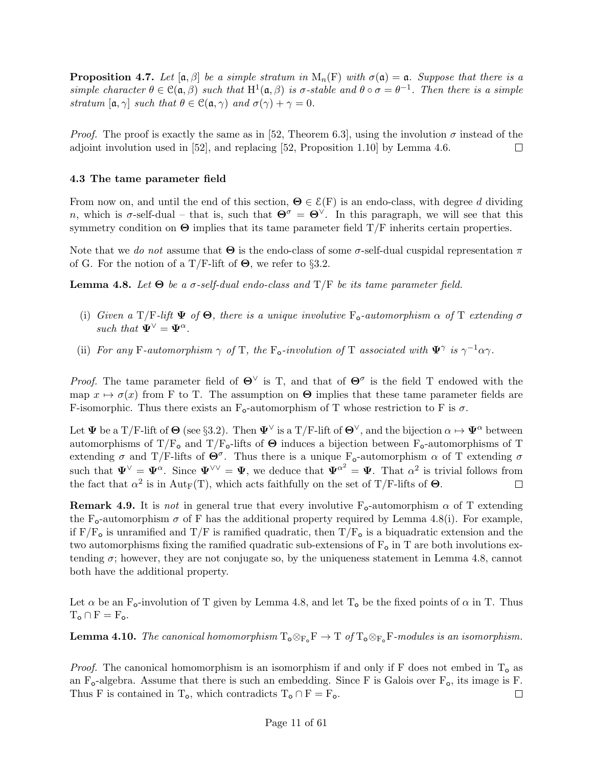**Proposition 4.7.** Let  $[\alpha, \beta]$  be a simple stratum in  $M_n(F)$  with  $\sigma(\mathfrak{a}) = \mathfrak{a}$ . Suppose that there is a simple character  $\theta \in \mathcal{C}(\mathfrak{a}, \beta)$  such that  $H^1(\mathfrak{a}, \beta)$  is  $\sigma$ -stable and  $\theta \circ \sigma = \theta^{-1}$ . Then there is a simple stratum  $[\mathfrak{a}, \gamma]$  such that  $\theta \in \mathfrak{C}(\mathfrak{a}, \gamma)$  and  $\sigma(\gamma) + \gamma = 0$ .

*Proof.* The proof is exactly the same as in [52, Theorem 6.3], using the involution  $\sigma$  instead of the adjoint involution used in [52], and replacing [52, Proposition 1.10] by Lemma 4.6.  $\Box$ 

## 4.3 The tame parameter field

From now on, and until the end of this section,  $\Theta \in \mathcal{E}(F)$  is an endo-class, with degree d dividing n, which is  $\sigma$ -self-dual – that is, such that  $\Theta^{\sigma} = \Theta^{\vee}$ . In this paragraph, we will see that this symmetry condition on  $\Theta$  implies that its tame parameter field T/F inherits certain properties.

Note that we do not assume that  $\Theta$  is the endo-class of some  $\sigma$ -self-dual cuspidal representation  $\pi$ of G. For the notion of a T/F-lift of  $\Theta$ , we refer to §3.2.

**Lemma 4.8.** Let  $\Theta$  be a σ-self-dual endo-class and T/F be its tame parameter field.

- (i) Given a T/F-lift  $\Psi$  of  $\Theta$ , there is a unique involutive  $F_o$ -automorphism  $\alpha$  of T extending  $\sigma$ such that  $\Psi^{\vee} = \Psi^{\alpha}$ .
- (ii) For any F-automorphism  $\gamma$  of T, the F<sub>o</sub>-involution of T associated with  $\Psi^{\gamma}$  is  $\gamma^{-1}\alpha\gamma$ .

*Proof.* The tame parameter field of  $\Theta^{\vee}$  is T, and that of  $\Theta^{\sigma}$  is the field T endowed with the map  $x \mapsto \sigma(x)$  from F to T. The assumption on  $\Theta$  implies that these tame parameter fields are F-isomorphic. Thus there exists an  $F_0$ -automorphism of T whose restriction to F is  $\sigma$ .

Let  $\Psi$  be a T/F-lift of  $\Theta$  (see §3.2). Then  $\Psi^{\vee}$  is a T/F-lift of  $\Theta^{\vee}$ , and the bijection  $\alpha \mapsto \Psi^{\alpha}$  between automorphisms of T/F<sub>o</sub> and T/F<sub>o</sub>-lifts of  $\Theta$  induces a bijection between F<sub>o</sub>-automorphisms of T extending  $\sigma$  and T/F-lifts of  $\Theta^{\sigma}$ . Thus there is a unique F<sub>o</sub>-automorphism  $\alpha$  of T extending  $\sigma$ such that  $\Psi^{\vee} = \Psi^{\alpha}$ . Since  $\Psi^{\vee\vee} = \Psi$ , we deduce that  $\Psi^{\alpha^2} = \Psi$ . That  $\alpha^2$  is trivial follows from the fact that  $\alpha^2$  is in Aut<sub>F</sub>(T), which acts faithfully on the set of T/F-lifts of  $\Theta$ .  $\Box$ 

**Remark 4.9.** It is not in general true that every involutive  $F_0$ -automorphism  $\alpha$  of T extending the F<sub>o</sub>-automorphism  $\sigma$  of F has the additional property required by Lemma 4.8(i). For example, if  $F/F<sub>o</sub>$  is unramified and  $T/F$  is ramified quadratic, then  $T/F<sub>o</sub>$  is a biquadratic extension and the two automorphisms fixing the ramified quadratic sub-extensions of  $F_{\text{o}}$  in T are both involutions extending  $\sigma$ ; however, they are not conjugate so, by the uniqueness statement in Lemma 4.8, cannot both have the additional property.

Let  $\alpha$  be an F<sub>o</sub>-involution of T given by Lemma 4.8, and let T<sub>o</sub> be the fixed points of  $\alpha$  in T. Thus  $T_{o} \cap F = F_{o}.$ 

**Lemma 4.10.** The canonical homomorphism  $T_{\text{o}} \otimes_{F_{\text{o}}} F \to T$  of  $T_{\text{o}} \otimes_{F_{\text{o}}} F$ -modules is an isomorphism.

*Proof.* The canonical homomorphism is an isomorphism if and only if F does not embed in  $T_0$  as an  $F_{o}$ -algebra. Assume that there is such an embedding. Since F is Galois over  $F_{o}$ , its image is F. Thus F is contained in T<sub>o</sub>, which contradicts  $T_o \cap F = F_o$ .  $\Box$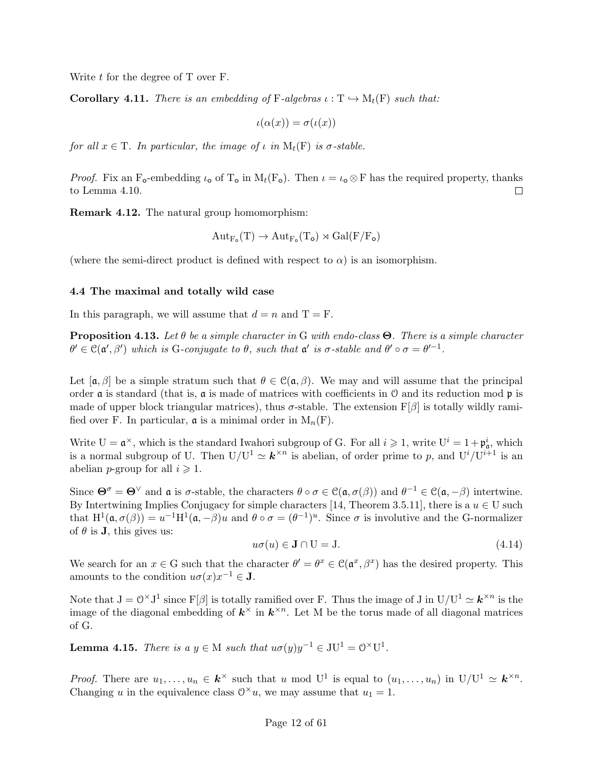Write  $t$  for the degree of T over F.

**Corollary 4.11.** There is an embedding of F-algebras  $\iota : T \hookrightarrow M_t(F)$  such that:

$$
\iota(\alpha(x)) = \sigma(\iota(x))
$$

for all  $x \in T$ . In particular, the image of  $\iota$  in  $M_t(F)$  is  $\sigma$ -stable.

*Proof.* Fix an F<sub>o</sub>-embedding  $\iota_0$  of T<sub>o</sub> in M<sub>t</sub>(F<sub>o</sub>). Then  $\iota = \iota_0 \otimes F$  has the required property, thanks to Lemma 4.10.  $\Box$ 

Remark 4.12. The natural group homomorphism:

$$
\mathrm{Aut}_{F_\mathbf{o}}(T) \to \mathrm{Aut}_{F_\mathbf{o}}(T_\mathbf{o}) \rtimes \mathrm{Gal}(F/F_\mathbf{o})
$$

(where the semi-direct product is defined with respect to  $\alpha$ ) is an isomorphism.

#### 4.4 The maximal and totally wild case

In this paragraph, we will assume that  $d = n$  and  $T = F$ .

**Proposition 4.13.** Let  $\theta$  be a simple character in G with endo-class  $\Theta$ . There is a simple character  $\theta' \in \mathcal{C}(\mathfrak{a}', \beta')$  which is G-conjugate to  $\theta$ , such that  $\mathfrak{a}'$  is  $\sigma$ -stable and  $\theta' \circ \sigma = \theta'^{-1}$ .

Let  $[\mathfrak{a},\beta]$  be a simple stratum such that  $\theta \in \mathfrak{C}(\mathfrak{a},\beta)$ . We may and will assume that the principal order  $\alpha$  is standard (that is,  $\alpha$  is made of matrices with coefficients in  $\alpha$  and its reduction mod  $\beta$  is made of upper block triangular matrices), thus  $\sigma$ -stable. The extension  $F[\beta]$  is totally wildly ramified over F. In particular,  $\mathfrak{a}$  is a minimal order in  $M_n(F)$ .

Write  $U = \mathfrak{a}^{\times}$ , which is the standard Iwahori subgroup of G. For all  $i \geqslant 1$ , write  $U^{i} = 1 + \mathfrak{p}_{\mathfrak{a}}^{i}$ , which is a normal subgroup of U. Then  $U/U^1 \simeq \mathbf{k}^{\times n}$  is abelian, of order prime to p, and  $U^i/U^{i+1}$  is an abelian *p*-group for all  $i \geq 1$ .

Since  $\Theta^{\sigma} = \Theta^{\vee}$  and  $\mathfrak{a}$  is  $\sigma$ -stable, the characters  $\theta \circ \sigma \in \mathcal{C}(\mathfrak{a}, \sigma(\beta))$  and  $\theta^{-1} \in \mathcal{C}(\mathfrak{a}, -\beta)$  intertwine. By Intertwining Implies Conjugacy for simple characters [14, Theorem 3.5.11], there is a  $u \in U$  such that  $H^1(\mathfrak{a}, \sigma(\beta)) = u^{-1}H^1(\mathfrak{a}, -\beta)u$  and  $\theta \circ \sigma = (\theta^{-1})^u$ . Since  $\sigma$  is involutive and the G-normalizer of  $\theta$  is **J**, this gives us:

$$
u\sigma(u) \in \mathbf{J} \cap \mathbf{U} = \mathbf{J}.\tag{4.14}
$$

We search for an  $x \in G$  such that the character  $\theta' = \theta^x \in C(\mathfrak{a}^x, \beta^x)$  has the desired property. This amounts to the condition  $u\sigma(x)x^{-1} \in \mathbf{J}$ .

Note that  $J = \mathbb{O}^\times J^1$  since  $F[\beta]$  is totally ramified over F. Thus the image of J in  $U/U^1 \simeq \mathbf{k}^{\times n}$  is the image of the diagonal embedding of  $k^{\times}$  in  $k^{\times n}$ . Let M be the torus made of all diagonal matrices of G.

**Lemma 4.15.** There is a  $y \in M$  such that  $u\sigma(y)y^{-1} \in \mathrm{J} \mathrm{U}^1 = \mathrm{O}^{\times} \mathrm{U}^1$ .

*Proof.* There are  $u_1, \ldots, u_n \in k^{\times}$  such that u mod U<sup>1</sup> is equal to  $(u_1, \ldots, u_n)$  in  $U/U^1 \simeq k^{\times n}$ . Changing u in the equivalence class  $0^{\times}u$ , we may assume that  $u_1 = 1$ .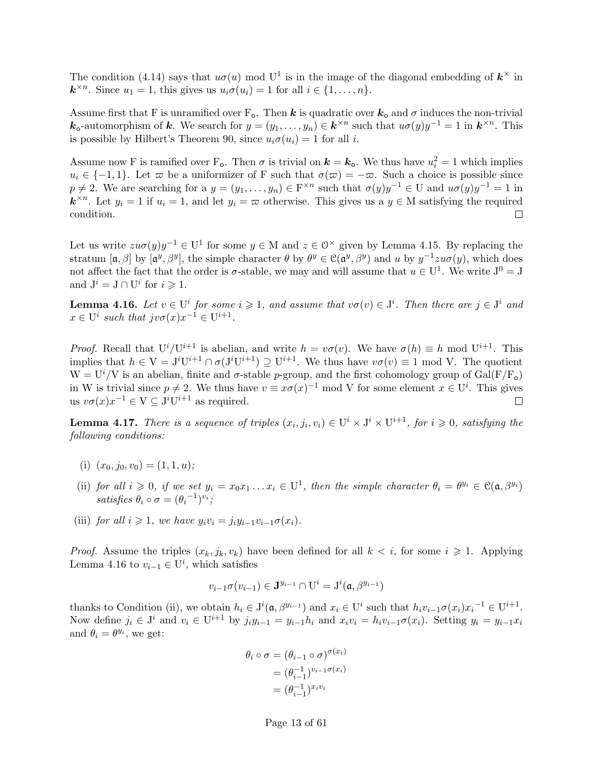The condition (4.14) says that  $u\sigma(u)$  mod U<sup>1</sup> is in the image of the diagonal embedding of  $\mathbf{k}^{\times}$  in  $\mathbf{k}^{\times n}$ . Since  $u_1 = 1$ , this gives us  $u_i \sigma(u_i) = 1$  for all  $i \in \{1, \ldots, n\}$ .

Assume first that F is unramified over  $F_o$ . Then k is quadratic over  $k_o$  and  $\sigma$  induces the non-trivial  $\mathbf{k}_0$ -automorphism of  $\mathbf{k}$ . We search for  $y = (y_1, \ldots, y_n) \in \mathbf{k}^{\times n}$  such that  $u\sigma(y)y^{-1} = 1$  in  $\mathbf{k}^{\times n}$ . This is possible by Hilbert's Theorem 90, since  $u_i\sigma(u_i) = 1$  for all *i*.

Assume now F is ramified over  $F_o$ . Then  $\sigma$  is trivial on  $k = k_o$ . We thus have  $u_i^2 = 1$  which implies  $u_i \in \{-1, 1\}$ . Let  $\varpi$  be a uniformizer of F such that  $\sigma(\varpi) = -\varpi$ . Such a choice is possible since  $p \neq 2$ . We are searching for a  $y = (y_1, \ldots, y_n) \in \mathbb{F}^{\times n}$  such that  $\sigma(y)y^{-1} \in U$  and  $u\sigma(y)y^{-1} = 1$  in  $\mathbf{k}^{\times n}$ . Let  $y_i = 1$  if  $u_i = 1$ , and let  $y_i = \infty$  otherwise. This gives us a  $y \in M$  satisfying the required condition. П

Let us write  $zu\sigma(y)y^{-1} \in U^1$  for some  $y \in M$  and  $z \in \mathbb{O}^\times$  given by Lemma 4.15. By replacing the stratum  $[\mathfrak{a},\beta]$  by  $[\mathfrak{a}^y,\beta^y]$ , the simple character  $\theta$  by  $\theta^y \in \mathfrak{C}(\mathfrak{a}^y,\beta^y)$  and u by  $y^{-1}zu\sigma(y)$ , which does not affect the fact that the order is  $\sigma$ -stable, we may and will assume that  $u \in U^1$ . We write  $J^0 = J$ and  $J^i = J \cap U^i$  for  $i \geq 1$ .

**Lemma 4.16.** Let  $v \in U^i$  for some  $i \geq 1$ , and assume that  $v\sigma(v) \in J^i$ . Then there are  $j \in J^i$  and  $x \in U^i$  such that  $j v \sigma(x) x^{-1} \in U^{i+1}$ .

*Proof.* Recall that  $U^{i}/U^{i+1}$  is abelian, and write  $h = v\sigma(v)$ . We have  $\sigma(h) \equiv h \mod U^{i+1}$ . This implies that  $h \in V = J^{i}U^{i+1} \cap \sigma(J^{i}U^{i+1}) \supseteq U^{i+1}$ . We thus have  $v\sigma(v) \equiv 1 \mod V$ . The quotient  $W = U^{i}/V$  is an abelian, finite and  $\sigma$ -stable p-group, and the first cohomology group of Gal(F/F<sub>o</sub>) in W is trivial since  $p \neq 2$ . We thus have  $v \equiv x\sigma(x)^{-1}$  mod V for some element  $x \in U^i$ . This gives us  $v\sigma(x)x^{-1} \in V \subseteq J^iU^{i+1}$  as required.

**Lemma 4.17.** There is a sequence of triples  $(x_i, j_i, v_i) \in U^i \times J^i \times U^{i+1}$ , for  $i \geq 0$ , satisfying the following conditions:

- (i)  $(x_0, i_0, v_0) = (1, 1, u);$
- (ii) for all  $i \geq 0$ , if we set  $y_i = x_0 x_1 ... x_i \in U^1$ , then the simple character  $\theta_i = \theta^{y_i} \in \mathcal{C}(\mathfrak{a}, \beta^{y_i})$ satisfies  $\theta_i \circ \sigma = (\theta_i^{-1})^{v_i}$ ;
- (iii) for all  $i \geq 1$ , we have  $y_i v_i = j_i y_{i-1} v_{i-1} \sigma(x_i)$ .

*Proof.* Assume the triples  $(x_k, j_k, v_k)$  have been defined for all  $k < i$ , for some  $i \geq 1$ . Applying Lemma 4.16 to  $v_{i-1} \in U^i$ , which satisfies

$$
v_{i-1}\sigma(v_{i-1})\in\mathbf{J}^{y_{i-1}}\cap\mathrm{U}^i=\mathrm{J}^i(\mathfrak{a},\beta^{y_{i-1}})
$$

thanks to Condition (ii), we obtain  $h_i \in J^i(\mathfrak{a}, \beta^{y_{i-1}})$  and  $x_i \in U^i$  such that  $h_i v_{i-1} \sigma(x_i) x_i^{-1} \in U^{i+1}$ . Now define  $j_i \in J^i$  and  $v_i \in U^{i+1}$  by  $j_i y_{i-1} = y_{i-1} h_i$  and  $x_i v_i = h_i v_{i-1} \sigma(x_i)$ . Setting  $y_i = y_{i-1} x_i$ and  $\theta_i = \theta^{y_i}$ , we get:

$$
\theta_i \circ \sigma = (\theta_{i-1} \circ \sigma)^{\sigma(x_i)}
$$

$$
= (\theta_{i-1}^{-1})^{v_{i-1}\sigma(x_i)}
$$

$$
= (\theta_{i-1}^{-1})^{x_i v_i}
$$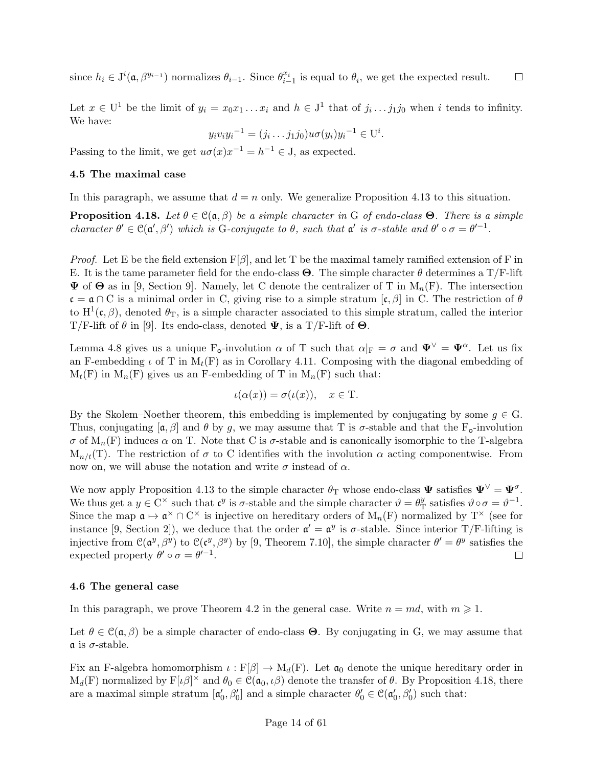since  $h_i \in J^i(\mathfrak{a}, \beta^{y_{i-1}})$  normalizes  $\theta_{i-1}$ . Since  $\theta_{i-1}^{x_i}$  is equal to  $\theta_i$ , we get the expected result.  $\Box$ 

Let  $x \in U^1$  be the limit of  $y_i = x_0 x_1 ... x_i$  and  $h \in J^1$  that of  $j_i ... j_1 j_0$  when i tends to infinity. We have:

$$
y_i v_i y_i^{-1} = (j_i \dots j_1 j_0) u \sigma(y_i) y_i^{-1} \in U^i.
$$

Passing to the limit, we get  $u\sigma(x)x^{-1} = h^{-1} \in J$ , as expected.

### 4.5 The maximal case

In this paragraph, we assume that  $d = n$  only. We generalize Proposition 4.13 to this situation.

**Proposition 4.18.** Let  $\theta \in \mathcal{C}(\mathfrak{a}, \beta)$  be a simple character in G of endo-class  $\Theta$ . There is a simple character  $\theta' \in \mathcal{C}(\mathfrak{a}', \beta')$  which is G-conjugate to  $\theta$ , such that  $\mathfrak{a}'$  is  $\sigma$ -stable and  $\theta' \circ \sigma = \theta'^{-1}$ .

*Proof.* Let E be the field extension  $F[\beta]$ , and let T be the maximal tamely ramified extension of F in E. It is the tame parameter field for the endo-class  $\Theta$ . The simple character  $\theta$  determines a T/F-lift  $\Psi$  of  $\Theta$  as in [9, Section 9]. Namely, let C denote the centralizer of T in  $M_n(F)$ . The intersection  $\mathfrak{c} = \mathfrak{a} \cap C$  is a minimal order in C, giving rise to a simple stratum  $[\mathfrak{c}, \beta]$  in C. The restriction of  $\theta$ to  $H^1(\mathfrak{c}, \beta)$ , denoted  $\theta_T$ , is a simple character associated to this simple stratum, called the interior T/F-lift of  $\theta$  in [9]. Its endo-class, denoted  $\Psi$ , is a T/F-lift of  $\Theta$ .

Lemma 4.8 gives us a unique  $F_o$ -involution  $\alpha$  of T such that  $\alpha|_F = \sigma$  and  $\Psi^{\vee} = \Psi^{\alpha}$ . Let us fix an F-embedding  $\iota$  of T in  $M_t(F)$  as in Corollary 4.11. Composing with the diagonal embedding of  $M_t(F)$  in  $M_n(F)$  gives us an F-embedding of T in  $M_n(F)$  such that:

$$
\iota(\alpha(x)) = \sigma(\iota(x)), \quad x \in \mathcal{T}.
$$

By the Skolem–Noether theorem, this embedding is implemented by conjugating by some  $q \in G$ . Thus, conjugating  $[\alpha, \beta]$  and  $\theta$  by g, we may assume that T is  $\sigma$ -stable and that the F<sub>o</sub>-involution σ of  $M_n(F)$  induces α on T. Note that C is σ-stable and is canonically isomorphic to the T-algebra  $M_{n/t}(T)$ . The restriction of  $\sigma$  to C identifies with the involution  $\alpha$  acting componentwise. From now on, we will abuse the notation and write  $\sigma$  instead of  $\alpha$ .

We now apply Proposition 4.13 to the simple character  $\theta_T$  whose endo-class  $\Psi$  satisfies  $\Psi^{\vee} = \Psi^{\sigma}$ . We thus get a  $y \in C^{\times}$  such that  $\mathfrak{c}^y$  is  $\sigma$ -stable and the simple character  $\vartheta = \theta_{\tau}^y$  $y_{\text{T}}^y$  satisfies  $\vartheta \circ \sigma = \vartheta^{-1}$ . Since the map  $\mathfrak{a} \mapsto \mathfrak{a}^{\times} \cap C^{\times}$  is injective on hereditary orders of  $M_n(F)$  normalized by  $T^{\times}$  (see for instance [9, Section 2]), we deduce that the order  $\mathfrak{a}' = \mathfrak{a}^y$  is  $\sigma$ -stable. Since interior T/F-lifting is injective from  $\mathcal{C}(\mathfrak{a}^y,\beta^y)$  to  $\mathcal{C}(\mathfrak{c}^y,\beta^y)$  by [9, Theorem 7.10], the simple character  $\theta' = \theta^y$  satisfies the expected property  $\theta' \circ \sigma = \theta'^{-1}$ .  $\Box$ 

#### 4.6 The general case

In this paragraph, we prove Theorem 4.2 in the general case. Write  $n = md$ , with  $m \ge 1$ .

Let  $\theta \in \mathcal{C}(\mathfrak{a}, \beta)$  be a simple character of endo-class  $\Theta$ . By conjugating in G, we may assume that  $\mathfrak a$  is  $\sigma$ -stable.

Fix an F-algebra homomorphism  $\iota : F[\beta] \to M_d(F)$ . Let  $\mathfrak{a}_0$  denote the unique hereditary order in  $M_d(F)$  normalized by  $F[\iota\beta]^\times$  and  $\theta_0 \in \mathcal{C}(\mathfrak{a}_0, \iota\beta)$  denote the transfer of  $\theta$ . By Proposition 4.18, there are a maximal simple stratum  $[\mathfrak{a}'_0, \beta'_0]$  and a simple character  $\theta'_0 \in \mathfrak{C}(\mathfrak{a}'_0, \beta'_0)$  such that: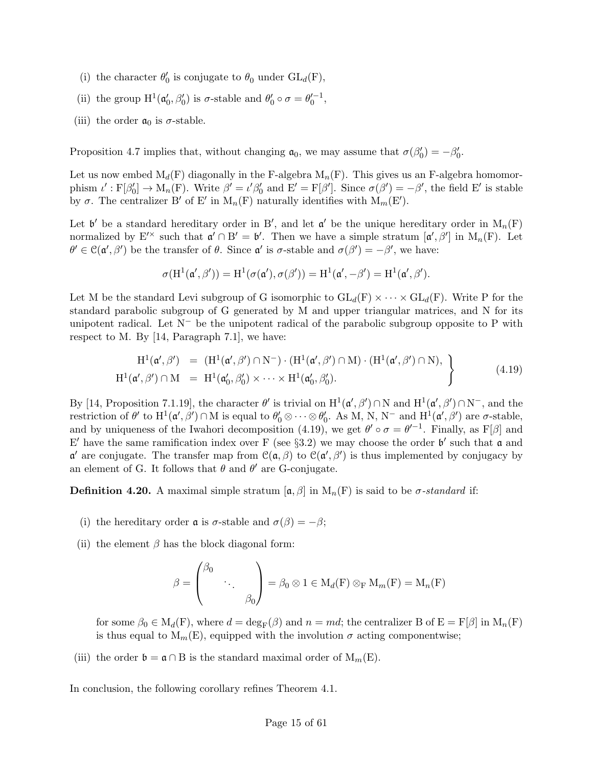- (i) the character  $\theta'_0$  is conjugate to  $\theta_0$  under  $\mathrm{GL}_d(\mathbf{F}),$
- (ii) the group  $H^1(\mathfrak{a}'_0, \beta'_0)$  is  $\sigma$ -stable and  $\theta'_0 \circ \sigma = \theta'_0^{-1}$ ,
- (iii) the order  $a_0$  is  $\sigma$ -stable.

Proposition 4.7 implies that, without changing  $a_0$ , we may assume that  $\sigma(\beta'_0) = -\beta'_0$ .

Let us now embed  $M_d(F)$  diagonally in the F-algebra  $M_n(F)$ . This gives us an F-algebra homomorphism  $\iota': F[\beta'_0] \to M_n(F)$ . Write  $\beta' = \iota' \beta'_0$  and  $E' = F[\beta']$ . Since  $\sigma(\beta') = -\beta'$ , the field  $E'$  is stable by  $\sigma$ . The centralizer B' of E' in  $M_n(F)$  naturally identifies with  $M_m(E')$ .

Let  $\mathfrak{b}'$  be a standard hereditary order in B', and let  $\mathfrak{a}'$  be the unique hereditary order in  $M_n(F)$ normalized by  $E^{\prime\prime}$  such that  $\mathfrak{a}' \cap B' = \mathfrak{b}'$ . Then we have a simple stratum  $[\mathfrak{a}', \beta']$  in  $M_n(F)$ . Let  $\theta' \in \mathcal{C}(\mathfrak{a}', \beta')$  be the transfer of  $\theta$ . Since  $\mathfrak{a}'$  is  $\sigma$ -stable and  $\sigma(\beta') = -\beta'$ , we have:

$$
\sigma(H^1(\mathfrak{a}',\beta'))=H^1(\sigma(\mathfrak{a}'),\sigma(\beta'))=H^1(\mathfrak{a}',-\beta')=H^1(\mathfrak{a}',\beta').
$$

Let M be the standard Levi subgroup of G isomorphic to  $GL_d(F) \times \cdots \times GL_d(F)$ . Write P for the standard parabolic subgroup of G generated by M and upper triangular matrices, and N for its unipotent radical. Let  $N^-$  be the unipotent radical of the parabolic subgroup opposite to P with respect to M. By [14, Paragraph 7.1], we have:

$$
\begin{array}{rcl}\n\mathrm{H}^{1}(\mathfrak{a}', \beta') & = & (\mathrm{H}^{1}(\mathfrak{a}', \beta') \cap \mathrm{N}^{-}) \cdot (\mathrm{H}^{1}(\mathfrak{a}', \beta') \cap \mathrm{M}) \cdot (\mathrm{H}^{1}(\mathfrak{a}', \beta') \cap \mathrm{N}), \\
\mathrm{H}^{1}(\mathfrak{a}', \beta') \cap \mathrm{M} & = & \mathrm{H}^{1}(\mathfrak{a}'_{0}, \beta'_{0}) \times \cdots \times \mathrm{H}^{1}(\mathfrak{a}'_{0}, \beta'_{0}).\n\end{array} \tag{4.19}
$$

By [14, Proposition 7.1.19], the character  $\theta'$  is trivial on  $H^1(\mathfrak{a}', \beta') \cap N$  and  $H^1(\mathfrak{a}', \beta') \cap N^-$ , and the restriction of  $\theta'$  to  $H^1(\mathfrak{a}', \beta') \cap M$  is equal to  $\theta'_0 \otimes \cdots \otimes \theta'_0$ . As M, N, N<sup>-</sup> and  $H^1(\mathfrak{a}', \beta')$  are  $\sigma$ -stable, and by uniqueness of the Iwahori decomposition (4.19), we get  $\theta' \circ \sigma = \theta'^{-1}$ . Finally, as F[ $\beta$ ] and E' have the same ramification index over F (see §3.2) we may choose the order  $\mathfrak{b}'$  such that  $\mathfrak{a}$  and  $\alpha'$  are conjugate. The transfer map from  $\mathcal{C}(\alpha, \beta)$  to  $\mathcal{C}(\alpha', \beta')$  is thus implemented by conjugacy by an element of G. It follows that  $\theta$  and  $\theta'$  are G-conjugate.

**Definition 4.20.** A maximal simple stratum  $[\mathfrak{a}, \beta]$  in  $M_n(F)$  is said to be  $\sigma$ -standard if:

- (i) the hereditary order **a** is  $\sigma$ -stable and  $\sigma(\beta) = -\beta$ ;
- (ii) the element  $\beta$  has the block diagonal form:

$$
\beta = \begin{pmatrix} \beta_0 & & \\ & \ddots & \\ & & \beta_0 \end{pmatrix} = \beta_0 \otimes 1 \in M_d(F) \otimes_F M_m(F) = M_n(F)
$$

for some  $\beta_0 \in M_d(F)$ , where  $d = \deg_F(\beta)$  and  $n = md$ ; the centralizer B of  $E = F[\beta]$  in  $M_n(F)$ is thus equal to  $M_m(E)$ , equipped with the involution  $\sigma$  acting componentwise;

(iii) the order  $\mathfrak{b} = \mathfrak{a} \cap B$  is the standard maximal order of  $M_m(E)$ .

In conclusion, the following corollary refines Theorem 4.1.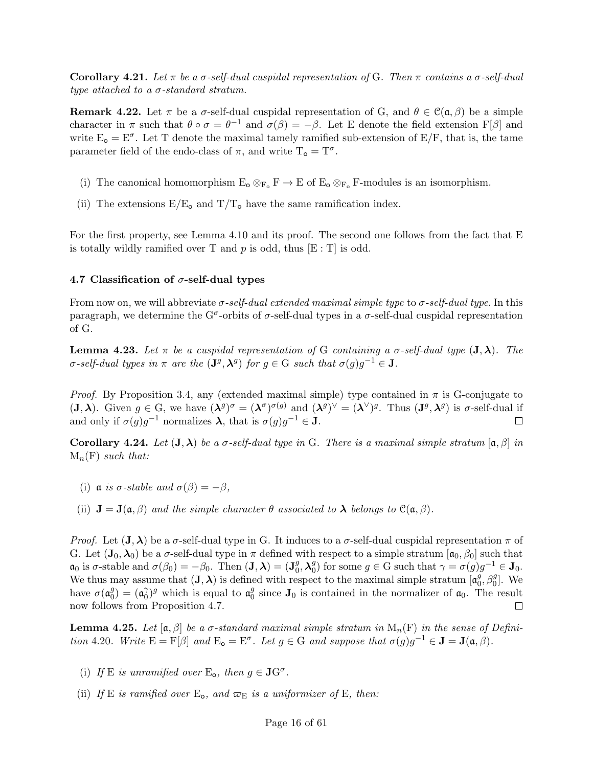Corollary 4.21. Let  $\pi$  be a  $\sigma$ -self-dual cuspidal representation of G. Then  $\pi$  contains a  $\sigma$ -self-dual type attached to a  $\sigma$ -standard stratum.

**Remark 4.22.** Let  $\pi$  be a  $\sigma$ -self-dual cuspidal representation of G, and  $\theta \in \mathcal{C}(\mathfrak{a}, \beta)$  be a simple character in  $\pi$  such that  $\theta \circ \sigma = \theta^{-1}$  and  $\sigma(\beta) = -\beta$ . Let E denote the field extension F[ $\beta$ ] and write  $E_0 = E^{\sigma}$ . Let T denote the maximal tamely ramified sub-extension of  $E/F$ , that is, the tame parameter field of the endo-class of  $\pi$ , and write  $T_o = T^{\sigma}$ .

- (i) The canonical homomorphism  $E_{\text{o}} \otimes_{F_{\text{o}}} F \to E$  of  $E_{\text{o}} \otimes_{F_{\text{o}}} F$ -modules is an isomorphism.
- (ii) The extensions  $E/E_0$  and  $T/T_0$  have the same ramification index.

For the first property, see Lemma 4.10 and its proof. The second one follows from the fact that E is totally wildly ramified over T and  $p$  is odd, thus  $\left[{\rm E} : {\rm T}\right]$  is odd.

#### 4.7 Classification of  $\sigma$ -self-dual types

From now on, we will abbreviate  $\sigma$ -self-dual extended maximal simple type to  $\sigma$ -self-dual type. In this paragraph, we determine the G<sup> $\sigma$ </sup>-orbits of  $\sigma$ -self-dual types in a  $\sigma$ -self-dual cuspidal representation of G.

**Lemma 4.23.** Let  $\pi$  be a cuspidal representation of G containing a  $\sigma$ -self-dual type  $(\mathbf{J}, \lambda)$ . The  $\sigma$ -self-dual types in  $\pi$  are the  $(\mathbf{J}^g, \boldsymbol{\lambda}^g)$  for  $g \in G$  such that  $\sigma(g)g^{-1} \in \mathbf{J}$ .

*Proof.* By Proposition 3.4, any (extended maximal simple) type contained in  $\pi$  is G-conjugate to  $(\mathbf{J}, \boldsymbol{\lambda})$ . Given  $g \in G$ , we have  $({\boldsymbol{\lambda}}^g)^\sigma = ({\boldsymbol{\lambda}}^\sigma)^{\sigma(g)}$  and  $({\boldsymbol{\lambda}}^g)^\vee = ({\boldsymbol{\lambda}}^\vee)^g$ . Thus  $(\mathbf{J}^g, {\boldsymbol{\lambda}}^g)$  is  $\sigma$ -self-dual if and only if  $\sigma(g)g^{-1}$  normalizes  $\lambda$ , that is  $\sigma(g)g^{-1} \in \mathbf{J}$ .  $\Box$ 

Corollary 4.24. Let  $(J, \lambda)$  be a  $\sigma$ -self-dual type in G. There is a maximal simple stratum  $[\alpha, \beta]$  in  $M_n(F)$  such that:

- (i)  $\alpha$  is  $\sigma$ -stable and  $\sigma(\beta) = -\beta$ ,
- (ii)  $\mathbf{J} = \mathbf{J}(\mathfrak{a}, \beta)$  and the simple character  $\theta$  associated to  $\lambda$  belongs to  $\mathcal{C}(\mathfrak{a}, \beta)$ .

Proof. Let  $(J, \lambda)$  be a  $\sigma$ -self-dual type in G. It induces to a  $\sigma$ -self-dual cuspidal representation  $\pi$  of G. Let  $(\mathbf{J}_0, \lambda_0)$  be a  $\sigma$ -self-dual type in  $\pi$  defined with respect to a simple stratum  $[\mathfrak{a}_0, \beta_0]$  such that  $\mathfrak{a}_0$  is  $\sigma$ -stable and  $\sigma(\beta_0) = -\beta_0$ . Then  $(\mathbf{J}, \boldsymbol{\lambda}) = (\mathbf{J}_0^g)$  $\frac{g}{0}, \boldsymbol{\lambda}^g_0$ <sup>g</sup><sub>0</sub>) for some  $g \in G$  such that  $\gamma = \sigma(g)g^{-1} \in J_0$ . We thus may assume that  $(\mathbf{J}, \boldsymbol{\lambda})$  is defined with respect to the maximal simple stratum  $\begin{bmatrix} \mathfrak{a}_0^g \end{bmatrix}$  $\stackrel{g}{\phantom{+}}_{0}$ ,  $\beta_{0}^{g}$ ]. We have  $\sigma(\mathfrak{a}_0^g)$  $\binom{g}{0} = \left(\mathfrak{a}_0^{\gamma}\right)$  $\binom{\gamma}{0}$ <sup>g</sup> which is equal to  $\mathfrak{a}_0^g$  $\mathcal{I}_0$  since  $\mathbf{J}_0$  is contained in the normalizer of  $\mathfrak{a}_0$ . The result now follows from Proposition 4.7. П

**Lemma 4.25.** Let  $[\mathfrak{a}, \beta]$  be a  $\sigma$ -standard maximal simple stratum in  $M_n(F)$  in the sense of Definition 4.20. Write  $E = F[\beta]$  and  $E_o = E^{\sigma}$ . Let  $g \in G$  and suppose that  $\sigma(g)g^{-1} \in J = J(\mathfrak{a}, \beta)$ .

- (i) If E is unramified over  $E_o$ , then  $g \in \mathbf{J}G^{\sigma}$ .
- (ii) If E is ramified over  $E_0$ , and  $\varpi_E$  is a uniformizer of E, then: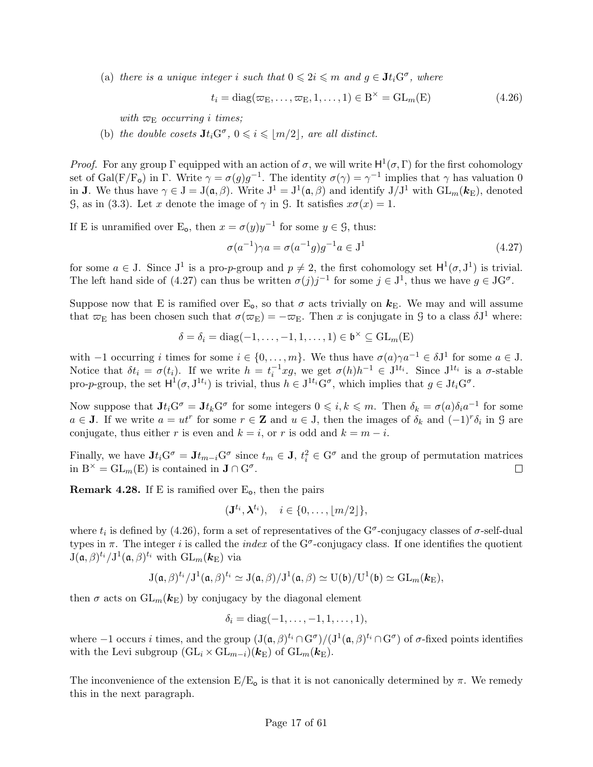(a) there is a unique integer i such that  $0 \leqslant 2i \leqslant m$  and  $g \in \mathbf{J}t_i$  G<sup>o</sup>, where

$$
t_i = \text{diag}(\varpi_{\mathcal{E}}, \dots, \varpi_{\mathcal{E}}, 1, \dots, 1) \in \mathcal{B}^{\times} = \text{GL}_m(\mathcal{E})
$$
\n(4.26)

with  $\varpi_{\rm E}$  occurring i times;

(b) the double cosets  $\mathbf{J}t_i\mathbf{G}^{\sigma}, 0 \leqslant i \leqslant \lfloor m/2 \rfloor$ , are all distinct.

*Proof.* For any group  $\Gamma$  equipped with an action of  $\sigma$ , we will write  $H^1(\sigma, \Gamma)$  for the first cohomology set of Gal(F/F<sub>o</sub>) in  $\Gamma$ . Write  $\gamma = \sigma(g)g^{-1}$ . The identity  $\sigma(\gamma) = \gamma^{-1}$  implies that  $\gamma$  has valuation 0 in **J**. We thus have  $\gamma \in J = J(\mathfrak{a}, \beta)$ . Write  $J^1 = J^1(\mathfrak{a}, \beta)$  and identify  $J/J^1$  with  $GL_m(\mathbf{k}_{\mathrm{E}})$ , denoted G, as in (3.3). Let x denote the image of  $\gamma$  in G. It satisfies  $x\sigma(x) = 1$ .

If E is unramified over E<sub>o</sub>, then  $x = \sigma(y)y^{-1}$  for some  $y \in \mathcal{G}$ , thus:

$$
\sigma(a^{-1})\gamma a = \sigma(a^{-1}g)g^{-1}a \in J^1
$$
\n(4.27)

for some  $a \in J$ . Since  $J^1$  is a pro-p-group and  $p \neq 2$ , the first cohomology set  $H^1(\sigma, J^1)$  is trivial. The left hand side of (4.27) can thus be written  $\sigma(j)j^{-1}$  for some  $j \in J^1$ , thus we have  $g \in JG^{\sigma}$ .

Suppose now that E is ramified over  $E_0$ , so that  $\sigma$  acts trivially on  $k_E$ . We may and will assume that  $\varpi_E$  has been chosen such that  $\sigma(\varpi_E) = -\varpi_E$ . Then x is conjugate in G to a class  $\delta J^1$  where:

$$
\delta = \delta_i = \text{diag}(-1, \dots, -1, 1, \dots, 1) \in \mathfrak{b}^{\times} \subseteq \text{GL}_m(E)
$$

with  $-1$  occurring i times for some  $i \in \{0, \ldots, m\}$ . We thus have  $\sigma(a)\gamma a^{-1} \in \delta J^1$  for some  $a \in J$ . Notice that  $\delta t_i = \sigma(t_i)$ . If we write  $h = t_i^{-1} x g$ , we get  $\sigma(h) h^{-1} \in J^{1t_i}$ . Since  $J^{1t_i}$  is a  $\sigma$ -stable pro-p-group, the set  $H^1(\sigma, J^{1t_i})$  is trivial, thus  $h \in J^{1t_i} G^{\sigma}$ , which implies that  $g \in Jt_i G^{\sigma}$ .

Now suppose that  $Jt_iG^{\sigma} = Jt_kG^{\sigma}$  for some integers  $0 \leq i, k \leq m$ . Then  $\delta_k = \sigma(a)\delta_i a^{-1}$  for some  $a \in J$ . If we write  $a = ut^r$  for some  $r \in \mathbf{Z}$  and  $u \in J$ , then the images of  $\delta_k$  and  $(-1)^r \delta_i$  in  $\mathcal{G}$  are conjugate, thus either r is even and  $k = i$ , or r is odd and  $k = m - i$ .

Finally, we have  $Jt_iG^{\sigma} = Jt_{m-i}G^{\sigma}$  since  $t_m \in J$ ,  $t_i^2 \in G^{\sigma}$  and the group of permutation matrices in  $B^{\times} = GL_m(E)$  is contained in  $J \cap G^{\sigma}$ .  $\Box$ 

**Remark 4.28.** If E is ramified over  $E_0$ , then the pairs

$$
(\mathbf{J}^{t_i}, \boldsymbol{\lambda}^{t_i}), \quad i \in \{0, \ldots, \lfloor m/2 \rfloor\},\
$$

where  $t_i$  is defined by (4.26), form a set of representatives of the G<sup> $\sigma$ </sup>-conjugacy classes of  $\sigma$ -self-dual types in  $\pi$ . The integer i is called the index of the G<sup> $\sigma$ </sup>-conjugacy class. If one identifies the quotient  $J(\mathfrak{a},\beta)^{t_i}/J^1(\mathfrak{a},\beta)^{t_i}$  with  $GL_m(\mathbf{k}_E)$  via

$$
J(\mathfrak{a},\beta)^{t_i}/J^1(\mathfrak{a},\beta)^{t_i}\simeq J(\mathfrak{a},\beta)/J^1(\mathfrak{a},\beta)\simeq U(\mathfrak{b})/U^1(\mathfrak{b})\simeq GL_m(\mathbf{k}_{E}),
$$

then  $\sigma$  acts on  $GL_m(\mathbf{k}_{\mathrm{E}})$  by conjugacy by the diagonal element

$$
\delta_i = \text{diag}(-1, \ldots, -1, 1, \ldots, 1),
$$

where  $-1$  occurs i times, and the group  $(J(\mathfrak{a}, \beta)^{t_i} \cap G^{\sigma})/(J^1(\mathfrak{a}, \beta)^{t_i} \cap G^{\sigma})$  of  $\sigma$ -fixed points identifies with the Levi subgroup  $(\mathrm{GL}_i \times \mathrm{GL}_{m-i})(\mathbf{k}_{\mathrm{E}})$  of  $\mathrm{GL}_m(\mathbf{k}_{\mathrm{E}})$ .

The inconvenience of the extension  $E/E_0$  is that it is not canonically determined by  $\pi$ . We remedy this in the next paragraph.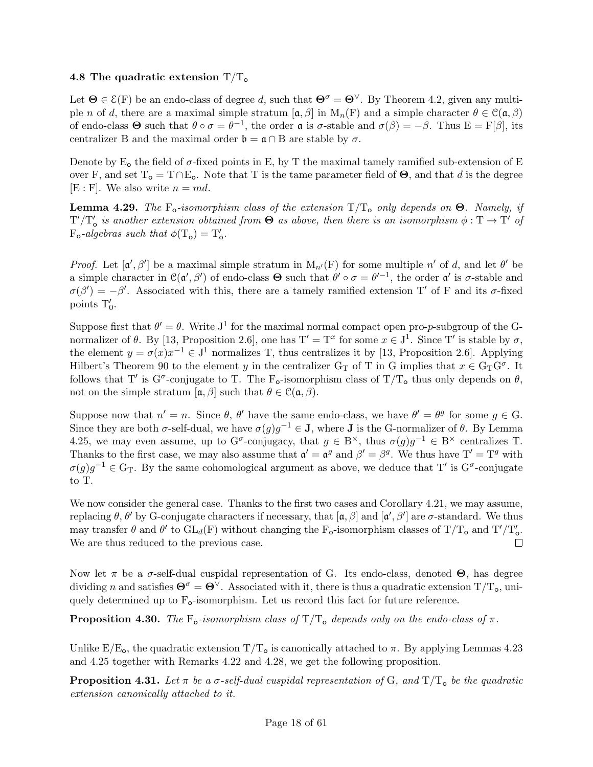## 4.8 The quadratic extension  $T/T_0$

Let  $\Theta \in \mathcal{E}(F)$  be an endo-class of degree d, such that  $\Theta^{\sigma} = \Theta^{\vee}$ . By Theorem 4.2, given any multiple n of d, there are a maximal simple stratum  $[\mathfrak{a}, \beta]$  in  $M_n(F)$  and a simple character  $\theta \in \mathfrak{C}(\mathfrak{a}, \beta)$ of endo-class  $\Theta$  such that  $\theta \circ \sigma = \theta^{-1}$ , the order  $\mathfrak{a}$  is  $\sigma$ -stable and  $\sigma(\beta) = -\beta$ . Thus  $E = F[\beta]$ , its centralizer B and the maximal order  $\mathfrak{b} = \mathfrak{a} \cap B$  are stable by  $\sigma$ .

Denote by  $E_0$  the field of  $\sigma$ -fixed points in E, by T the maximal tamely ramified sub-extension of E over F, and set  $T_o = T \cap E_o$ . Note that T is the tame parameter field of  $\Theta$ , and that d is the degree  $[E : F]$ . We also write  $n = md$ .

**Lemma 4.29.** The  $F_o$ -isomorphism class of the extension  $T/T_o$  only depends on  $\Theta$ . Namely, if  $T'/T'_{o}$  is another extension obtained from  $\Theta$  as above, then there is an isomorphism  $\phi: T \to T'$  of  $F_o$ -algebras such that  $\phi(T_o) = T'_o$ .

*Proof.* Let  $[\mathfrak{a}', \beta']$  be a maximal simple stratum in  $M_{n'}(F)$  for some multiple n' of d, and let  $\theta'$  be a simple character in  $\mathcal{C}(\mathfrak{a}',\beta')$  of endo-class  $\Theta$  such that  $\theta' \circ \sigma = \theta'^{-1}$ , the order  $\mathfrak{a}'$  is  $\sigma$ -stable and  $\sigma(\beta') = -\beta'$ . Associated with this, there are a tamely ramified extension T' of F and its  $\sigma$ -fixed points  $T'_0$ .

Suppose first that  $\theta' = \theta$ . Write J<sup>1</sup> for the maximal normal compact open pro-*p*-subgroup of the Gnormalizer of  $\theta$ . By [13, Proposition 2.6], one has  $T' = T^x$  for some  $x \in J^1$ . Since T' is stable by  $\sigma$ , the element  $y = \sigma(x)x^{-1} \in J^1$  normalizes T, thus centralizes it by [13, Proposition 2.6]. Applying Hilbert's Theorem 90 to the element y in the centralizer  $G_T$  of T in G implies that  $x \in G_T G^{\sigma}$ . It follows that T' is  $G^{\sigma}$ -conjugate to T. The F<sub>o</sub>-isomorphism class of T/T<sub>o</sub> thus only depends on  $\theta$ , not on the simple stratum  $[\mathfrak{a}, \beta]$  such that  $\theta \in \mathfrak{C}(\mathfrak{a}, \beta)$ .

Suppose now that  $n' = n$ . Since  $\theta$ ,  $\theta'$  have the same endo-class, we have  $\theta' = \theta^g$  for some  $g \in G$ . Since they are both  $\sigma$ -self-dual, we have  $\sigma(g)g^{-1} \in J$ , where J is the G-normalizer of  $\theta$ . By Lemma 4.25, we may even assume, up to  $G^{\sigma}$ -conjugacy, that  $g \in B^{\times}$ , thus  $\sigma(g)g^{-1} \in B^{\times}$  centralizes T. Thanks to the first case, we may also assume that  $\mathfrak{a}' = \mathfrak{a}^g$  and  $\beta' = \beta^g$ . We thus have  $T' = T^g$  with  $\sigma(g)g^{-1} \in \mathbb{G}_{\mathbb{T}}$ . By the same cohomological argument as above, we deduce that T' is  $\mathbb{G}^{\sigma}$ -conjugate to T.

We now consider the general case. Thanks to the first two cases and Corollary 4.21, we may assume, replacing θ, θ' by G-conjugate characters if necessary, that  $[a, \beta]$  and  $[a', \beta']$  are σ-standard. We thus may transfer  $\theta$  and  $\theta'$  to  $GL_d(F)$  without changing the F<sub>o</sub>-isomorphism classes of T/T<sub>o</sub> and T'/T'<sub>o</sub>. We are thus reduced to the previous case.  $\Box$ 

Now let π be a σ-self-dual cuspidal representation of G. Its endo-class, denoted  $\Theta$ , has degree dividing n and satisfies  $\Theta^{\sigma} = \Theta^{\vee}$ . Associated with it, there is thus a quadratic extension  $T/T_0$ , uniquely determined up to  $F_{o}$ -isomorphism. Let us record this fact for future reference.

**Proposition 4.30.** The F<sub>o</sub>-isomorphism class of  $T/T_0$  depends only on the endo-class of  $\pi$ .

Unlike  $E/E_{\rm o}$ , the quadratic extension  $T/T_{\rm o}$  is canonically attached to  $\pi$ . By applying Lemmas 4.23 and 4.25 together with Remarks 4.22 and 4.28, we get the following proposition.

**Proposition 4.31.** Let  $\pi$  be a  $\sigma$ -self-dual cuspidal representation of G, and  $T/T_0$  be the quadratic extension canonically attached to it.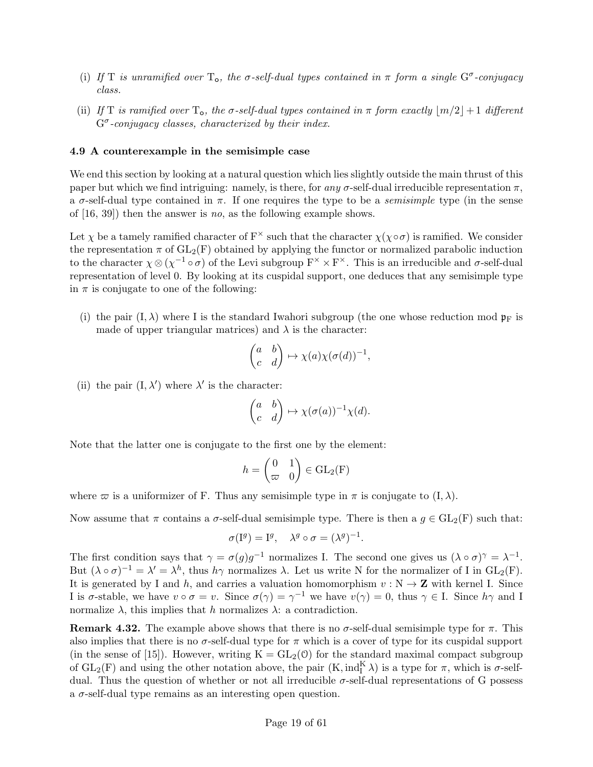- (i) If T is unramified over  $T_o$ , the  $\sigma$ -self-dual types contained in  $\pi$  form a single  $G^{\sigma}$ -conjugacy class.
- (ii) If T is ramified over  $T_o$ , the  $\sigma$ -self-dual types contained in  $\pi$  form exactly  $\lfloor m/2 \rfloor + 1$  different  $G^{\sigma}$ -conjugacy classes, characterized by their index.

#### 4.9 A counterexample in the semisimple case

We end this section by looking at a natural question which lies slightly outside the main thrust of this paper but which we find intriguing: namely, is there, for any  $\sigma$ -self-dual irreducible representation  $\pi$ , a  $\sigma$ -self-dual type contained in  $\pi$ . If one requires the type to be a *semisimple* type (in the sense of [16, 39]) then the answer is no, as the following example shows.

Let  $\chi$  be a tamely ramified character of  $F^{\times}$  such that the character  $\chi(\chi \circ \sigma)$  is ramified. We consider the representation  $\pi$  of  $GL_2(F)$  obtained by applying the functor or normalized parabolic induction to the character  $\chi \otimes (\chi^{-1} \circ \sigma)$  of the Levi subgroup  $F^{\times} \times F^{\times}$ . This is an irreducible and  $\sigma$ -self-dual representation of level 0. By looking at its cuspidal support, one deduces that any semisimple type in  $\pi$  is conjugate to one of the following:

(i) the pair  $(I, \lambda)$  where I is the standard Iwahori subgroup (the one whose reduction mod  $p_F$  is made of upper triangular matrices) and  $\lambda$  is the character:

$$
\begin{pmatrix} a & b \ c & d \end{pmatrix} \mapsto \chi(a)\chi(\sigma(d))^{-1},
$$

(ii) the pair  $(I, \lambda')$  where  $\lambda'$  is the character:

$$
\begin{pmatrix} a & b \ c & d \end{pmatrix} \mapsto \chi(\sigma(a))^{-1} \chi(d).
$$

Note that the latter one is conjugate to the first one by the element:

$$
h = \begin{pmatrix} 0 & 1 \\ \varpi & 0 \end{pmatrix} \in \text{GL}_2(F)
$$

where  $\varpi$  is a uniformizer of F. Thus any semisimple type in  $\pi$  is conjugate to  $(I, \lambda)$ .

Now assume that  $\pi$  contains a  $\sigma$ -self-dual semisimple type. There is then a  $g \in GL_2(F)$  such that:

$$
\sigma(I^g) = I^g, \quad \lambda^g \circ \sigma = (\lambda^g)^{-1}.
$$

The first condition says that  $\gamma = \sigma(g)g^{-1}$  normalizes I. The second one gives us  $(\lambda \circ \sigma)^\gamma = \lambda^{-1}$ . But  $(\lambda \circ \sigma)^{-1} = \lambda' = \lambda^h$ , thus  $h\gamma$  normalizes  $\lambda$ . Let us write N for the normalizer of I in  $GL_2(F)$ . It is generated by I and h, and carries a valuation homomorphism  $v : N \to \mathbb{Z}$  with kernel I. Since I is  $\sigma$ -stable, we have  $v \circ \sigma = v$ . Since  $\sigma(\gamma) = \gamma^{-1}$  we have  $v(\gamma) = 0$ , thus  $\gamma \in I$ . Since  $h\gamma$  and I normalize  $\lambda$ , this implies that h normalizes  $\lambda$ : a contradiction.

**Remark 4.32.** The example above shows that there is no  $\sigma$ -self-dual semisimple type for  $\pi$ . This also implies that there is no  $\sigma$ -self-dual type for  $\pi$  which is a cover of type for its cuspidal support (in the sense of [15]). However, writing  $K = GL_2(0)$  for the standard maximal compact subgroup of  $GL_2(F)$  and using the other notation above, the pair  $(K, ind_K^K)$  is a type for  $\pi$ , which is  $\sigma$ -selfdual. Thus the question of whether or not all irreducible  $\sigma$ -self-dual representations of G possess a  $\sigma$ -self-dual type remains as an interesting open question.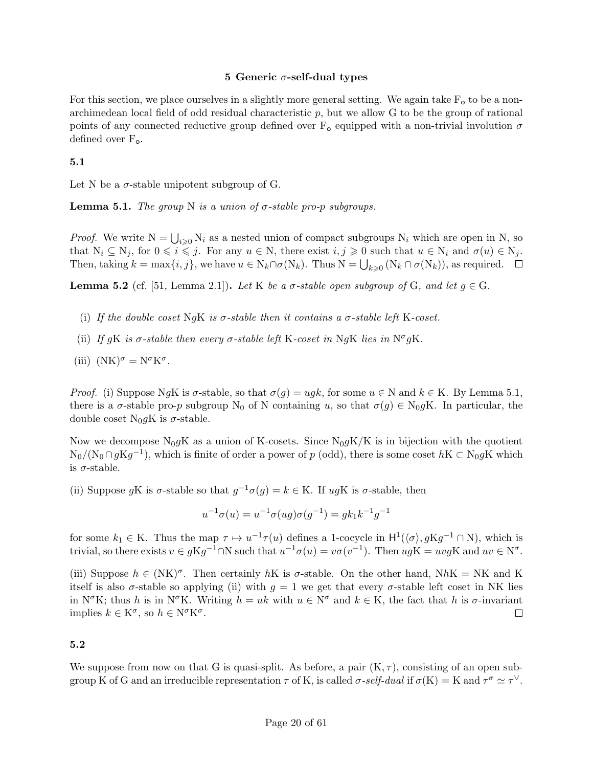## 5 Generic  $\sigma$ -self-dual types

For this section, we place ourselves in a slightly more general setting. We again take  $F_{o}$  to be a nonarchimedean local field of odd residual characteristic  $p$ , but we allow  $G$  to be the group of rational points of any connected reductive group defined over  $F_{o}$  equipped with a non-trivial involution  $\sigma$ defined over  $F_{o}$ .

## 5.1

Let N be a  $\sigma$ -stable unipotent subgroup of G.

**Lemma 5.1.** The group N is a union of  $\sigma$ -stable pro-p subgroups.

*Proof.* We write  $N = \bigcup_{i \geq 0} N_i$  as a nested union of compact subgroups  $N_i$  which are open in N, so that  $N_i \subseteq N_j$ , for  $0 \leq i \leq j$ . For any  $u \in N$ , there exist  $i, j \geq 0$  such that  $u \in N_i$  and  $\sigma(u) \in N_j$ . Then, taking  $k = \max\{i, j\}$ , we have  $u \in N_k \cap \sigma(N_k)$ . Thus  $N = \bigcup_{k \geq 0} (N_k \cap \sigma(N_k))$ , as required.

**Lemma 5.2** (cf. [51, Lemma 2.1]). Let K be a  $\sigma$ -stable open subgroup of G, and let  $q \in G$ .

- (i) If the double coset NgK is  $\sigma$ -stable then it contains a  $\sigma$ -stable left K-coset.
- (ii) If gK is  $\sigma$ -stable then every  $\sigma$ -stable left K-coset in NgK lies in N<sup> $\sigma$ </sup>gK.
- (iii)  $(NK)^{\sigma} = N^{\sigma} K^{\sigma}$ .

*Proof.* (i) Suppose NgK is  $\sigma$ -stable, so that  $\sigma(g) = u g k$ , for some  $u \in N$  and  $k \in K$ . By Lemma 5.1, there is a  $\sigma$ -stable pro-p subgroup N<sub>0</sub> of N containing u, so that  $\sigma(g) \in N_0 gK$ . In particular, the double coset N<sub>0</sub>gK is  $\sigma$ -stable.

Now we decompose  $N_0 gK$  as a union of K-cosets. Since  $N_0 gK/K$  is in bijection with the quotient  $N_0/(N_0 \cap gKg^{-1})$ , which is finite of order a power of p (odd), there is some coset  $hK \subset N_0 gK$  which is  $\sigma$ -stable.

(ii) Suppose gK is  $\sigma$ -stable so that  $g^{-1}\sigma(g) = k \in K$ . If ugK is  $\sigma$ -stable, then

$$
u^{-1}\sigma(u) = u^{-1}\sigma(ug)\sigma(g^{-1}) = g k_1 k^{-1} g^{-1}
$$

for some  $k_1 \in K$ . Thus the map  $\tau \mapsto u^{-1}\tau(u)$  defines a 1-cocycle in  $H^1(\langle \sigma \rangle, gKg^{-1} \cap N)$ , which is trivial, so there exists  $v \in gKg^{-1} \cap N$  such that  $u^{-1}\sigma(u) = v\sigma(v^{-1})$ . Then  $ugK = uvgK$  and  $uv \in N^{\sigma}$ .

(iii) Suppose  $h \in (NK)^{\sigma}$ . Then certainly hK is  $\sigma$ -stable. On the other hand, NhK = NK and K itself is also  $\sigma$ -stable so applying (ii) with  $q = 1$  we get that every  $\sigma$ -stable left coset in NK lies in N<sup> $\sigma$ </sup>K; thus h is in N<sup> $\sigma$ </sup>K. Writing  $h = uk$  with  $u \in N^{\sigma}$  and  $k \in K$ , the fact that h is  $\sigma$ -invariant implies  $k \in K^{\sigma}$ , so  $h \in N^{\sigma} K^{\sigma}$ .  $\Box$ 

## 5.2

We suppose from now on that G is quasi-split. As before, a pair  $(K, \tau)$ , consisting of an open subgroup K of G and an irreducible representation  $\tau$  of K, is called  $\sigma$ -self-dual if  $\sigma(K) = K$  and  $\tau^{\sigma} \simeq \tau^{\vee}$ .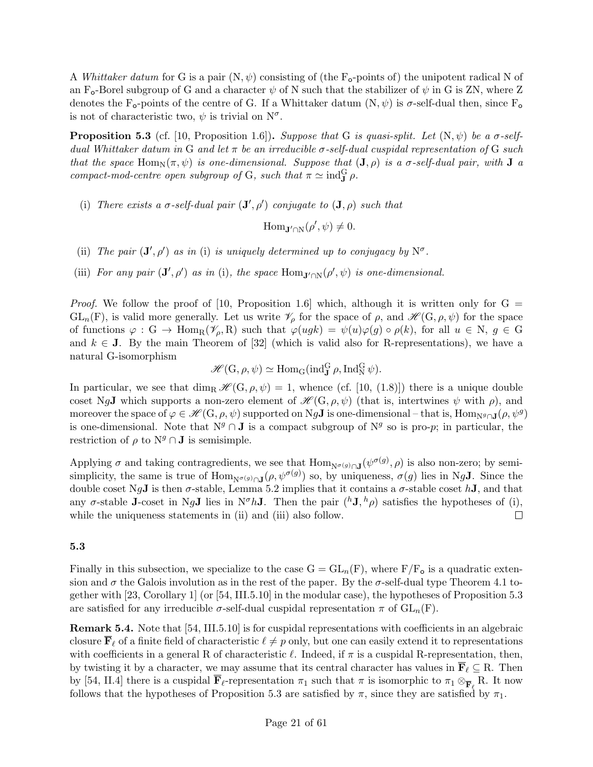A Whittaker datum for G is a pair  $(N, \psi)$  consisting of (the F<sub>o</sub>-points of) the unipotent radical N of an F<sub>o</sub>-Borel subgroup of G and a character  $\psi$  of N such that the stabilizer of  $\psi$  in G is ZN, where Z denotes the F<sub>o</sub>-points of the centre of G. If a Whittaker datum  $(N, \psi)$  is  $\sigma$ -self-dual then, since F<sub>o</sub> is not of characteristic two,  $\psi$  is trivial on  $N^{\sigma}$ .

**Proposition 5.3** (cf. [10, Proposition 1.6]). Suppose that G is quasi-split. Let  $(N, \psi)$  be a  $\sigma$ -selfdual Whittaker datum in G and let  $\pi$  be an irreducible  $\sigma$ -self-dual cuspidal representation of G such that the space Hom $_N(\pi, \psi)$  is one-dimensional. Suppose that  $(\mathbf{J}, \rho)$  is a  $\sigma$ -self-dual pair, with  $\mathbf{J}$  a compact-mod-centre open subgroup of G, such that  $\pi \simeq \text{ind}_{J}^{G} \rho$ .

(i) There exists a  $\sigma$ -self-dual pair  $(\mathbf{J}', \rho')$  conjugate to  $(\mathbf{J}, \rho)$  such that

 $\text{Hom}_{\mathbf{J}'\cap\mathcal{N}}(\rho',\psi)\neq 0.$ 

- (ii) The pair  $(\mathbf{J}', \rho')$  as in (i) is uniquely determined up to conjugacy by  $\mathbb{N}^{\sigma}$ .
- (iii) For any pair  $(\mathbf{J}', \rho')$  as in (i), the space  $\text{Hom}_{\mathbf{J}' \cap N}(\rho', \psi)$  is one-dimensional.

*Proof.* We follow the proof of [10, Proposition 1.6] which, although it is written only for  $G =$  $GL_n(F)$ , is valid more generally. Let us write  $\mathscr{V}_\rho$  for the space of  $\rho$ , and  $\mathscr{H}(G,\rho,\psi)$  for the space of functions  $\varphi : G \to \text{Hom}_R(\mathscr{V}_{\rho}, R)$  such that  $\varphi(ugk) = \psi(u)\varphi(g) \circ \rho(k)$ , for all  $u \in N$ ,  $g \in G$ and  $k \in J$ . By the main Theorem of [32] (which is valid also for R-representations), we have a natural G-isomorphism

 $\mathscr{H}(\mathbf{G}, \rho, \psi) \simeq \text{Hom}_{\mathbf{G}}(\text{ind}_{\mathbf{J}}^{\mathbf{G}} \rho, \text{Ind}_{\mathbf{N}}^{\mathbf{G}} \psi).$ 

In particular, we see that dim<sub>R</sub>  $\mathscr{H}(G, \rho, \psi) = 1$ , whence (cf. [10, (1.8)]) there is a unique double coset NgJ which supports a non-zero element of  $\mathscr{H}(G, \rho, \psi)$  (that is, intertwines  $\psi$  with  $\rho$ ), and moreover the space of  $\varphi \in \mathscr{H}(\mathbf{G}, \rho, \psi)$  supported on Ng**J** is one-dimensional – that is, Hom<sub>Ng∩J</sub>( $\rho, \psi^g$ ) is one-dimensional. Note that  $N^g \cap J$  is a compact subgroup of  $N^g$  so is pro-p; in particular, the restriction of  $\rho$  to  $N^g \cap J$  is semisimple.

Applying  $\sigma$  and taking contragredients, we see that  $\text{Hom}_{N^{\sigma(g)} \cap J}(\psi^{\sigma(g)}, \rho)$  is also non-zero; by semisimplicity, the same is true of  $\text{Hom}_{N^{\sigma(g)} \cap J}(\rho, \psi^{\sigma(g)})$  so, by uniqueness,  $\sigma(g)$  lies in NgJ. Since the double coset NgJ is then  $\sigma$ -stable, Lemma 5.2 implies that it contains a  $\sigma$ -stable coset hJ, and that any  $\sigma$ -stable **J**-coset in Ng**J** lies in N<sup> $\sigma$ </sup>h**J**. Then the pair  $({}^h\textbf{J},{}^h\rho)$  satisfies the hypotheses of (i), while the uniqueness statements in (ii) and (iii) also follow.  $\Box$ 

## 5.3

Finally in this subsection, we specialize to the case  $G = GL_n(F)$ , where  $F/F_o$  is a quadratic extension and  $\sigma$  the Galois involution as in the rest of the paper. By the  $\sigma$ -self-dual type Theorem 4.1 together with [23, Corollary 1] (or [54, III.5.10] in the modular case), the hypotheses of Proposition 5.3 are satisfied for any irreducible  $\sigma$ -self-dual cuspidal representation  $\pi$  of  $GL_n(F)$ .

Remark 5.4. Note that [54, III.5.10] is for cuspidal representations with coefficients in an algebraic closure  $\mathbf{F}_{\ell}$  of a finite field of characteristic  $\ell \neq p$  only, but one can easily extend it to representations with coefficients in a general R of characteristic  $\ell$ . Indeed, if  $\pi$  is a cuspidal R-representation, then, by twisting it by a character, we may assume that its central character has values in  $\overline{F}_\ell \subseteq R$ . Then by [54, II.4] there is a cuspidal  $\overline{\mathbf{F}}_{\ell}$ -representation  $\pi_1$  such that  $\pi$  is isomorphic to  $\pi_1 \otimes_{\overline{\mathbf{F}}_{\ell}} R$ . It now follows that the hypotheses of Proposition 5.3 are satisfied by  $\pi$ , since they are satisfied by  $\pi_1$ .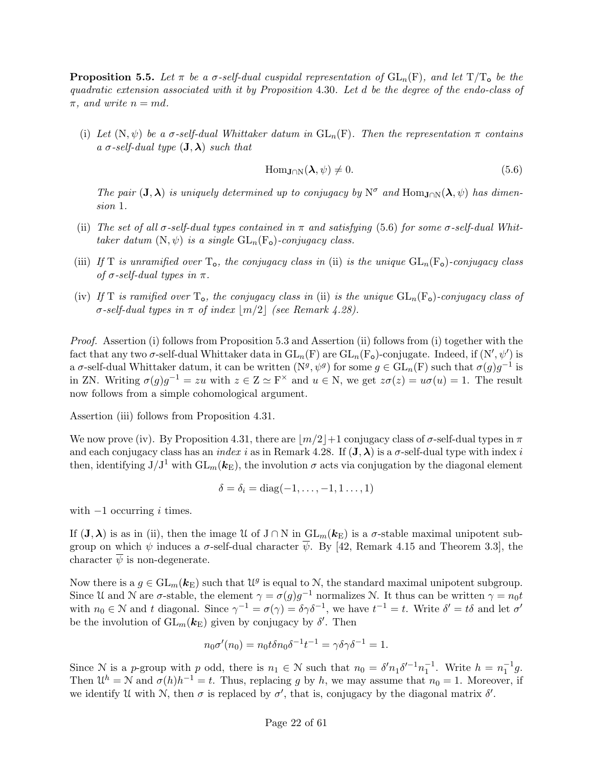**Proposition 5.5.** Let  $\pi$  be a  $\sigma$ -self-dual cuspidal representation of  $GL_n(F)$ , and let  $T/T_0$  be the quadratic extension associated with it by Proposition 4.30. Let d be the degree of the endo-class of  $\pi$ , and write  $n = md$ .

(i) Let  $(N, \psi)$  be a  $\sigma$ -self-dual Whittaker datum in  $GL_n(F)$ . Then the representation  $\pi$  contains a  $\sigma$ -self-dual type  $(\mathbf{J}, \boldsymbol{\lambda})$  such that

$$
\text{Hom}_{\mathbf{J}\cap\mathcal{N}}(\lambda,\psi)\neq 0. \tag{5.6}
$$

The pair  $(J, \lambda)$  is uniquely determined up to conjugacy by  $N^{\sigma}$  and  $\text{Hom}_{J \cap N}(\lambda, \psi)$  has dimension 1.

- (ii) The set of all  $\sigma$ -self-dual types contained in  $\pi$  and satisfying (5.6) for some  $\sigma$ -self-dual Whittaker datum  $(N, \psi)$  is a single  $GL_n(F_o)$ -conjugacy class.
- (iii) If T is unramified over  $T_o$ , the conjugacy class in (ii) is the unique  $GL_n(F_o)$ -conjugacy class of  $\sigma$ -self-dual types in  $\pi$ .
- (iv) If T is ramified over  $T_o$ , the conjugacy class in (ii) is the unique  $GL_n(F_o)$ -conjugacy class of  $\sigma$ -self-dual types in  $\pi$  of index  $\lfloor m/2 \rfloor$  (see Remark 4.28).

Proof. Assertion (i) follows from Proposition 5.3 and Assertion (ii) follows from (i) together with the fact that any two  $\sigma$ -self-dual Whittaker data in  $GL_n(F)$  are  $GL_n(F_o)$ -conjugate. Indeed, if  $(N',\psi')$  is a  $\sigma$ -self-dual Whittaker datum, it can be written  $(N^g, \psi^g)$  for some  $g \in GL_n(F)$  such that  $\sigma(g)g^{-1}$  is in ZN. Writing  $\sigma(g)g^{-1} = zu$  with  $z \in \mathbb{Z} \simeq \mathbb{F}^\times$  and  $u \in \mathbb{N}$ , we get  $z\sigma(z) = u\sigma(u) = 1$ . The result now follows from a simple cohomological argument.

Assertion (iii) follows from Proposition 4.31.

We now prove (iv). By Proposition 4.31, there are  $\lfloor m/2 \rfloor + 1$  conjugacy class of  $\sigma$ -self-dual types in  $\pi$ and each conjugacy class has an index i as in Remark 4.28. If  $(\mathbf{J}, \boldsymbol{\lambda})$  is a  $\sigma$ -self-dual type with index i then, identifying  $J/J^1$  with  $GL_m(\mathbf{k}_E)$ , the involution  $\sigma$  acts via conjugation by the diagonal element

$$
\delta = \delta_i = \text{diag}(-1,\ldots,-1,1\ldots,1)
$$

with  $-1$  occurring i times.

If  $(\mathbf{J}, \boldsymbol{\lambda})$  is as in (ii), then the image U of  $J \cap N$  in  $GL_m(\mathbf{k}_{\mathrm{E}})$  is a  $\sigma$ -stable maximal unipotent subgroup on which  $\psi$  induces a  $\sigma$ -self-dual character  $\overline{\psi}$ . By [42, Remark 4.15 and Theorem 3.3], the character  $\overline{\psi}$  is non-degenerate.

Now there is a  $g \in GL_m(\mathbf{k}_{\mathrm{E}})$  such that  $\mathcal{U}^g$  is equal to N, the standard maximal unipotent subgroup. Since U and N are  $\sigma$ -stable, the element  $\gamma = \sigma(g)g^{-1}$  normalizes N. It thus can be written  $\gamma = n_0 t$ with  $n_0 \in \mathbb{N}$  and t diagonal. Since  $\gamma^{-1} = \sigma(\gamma) = \delta \gamma \delta^{-1}$ , we have  $t^{-1} = t$ . Write  $\delta' = t\delta$  and let  $\sigma'$ be the involution of  $GL_m(\mathbf{k}_{\mathrm{E}})$  given by conjugacy by  $\delta'$ . Then

$$
n_0 \sigma'(n_0) = n_0 t \delta n_0 \delta^{-1} t^{-1} = \gamma \delta \gamma \delta^{-1} = 1.
$$

Since N is a p-group with p odd, there is  $n_1 \in \mathcal{N}$  such that  $n_0 = \delta' n_1 \delta'^{-1} n_1^{-1}$ . Write  $h = n_1^{-1} g$ . Then  $\mathcal{U}^h = \mathcal{N}$  and  $\sigma(h)h^{-1} = t$ . Thus, replacing g by h, we may assume that  $n_0 = 1$ . Moreover, if we identify U with N, then  $\sigma$  is replaced by  $\sigma'$ , that is, conjugacy by the diagonal matrix  $\delta'$ .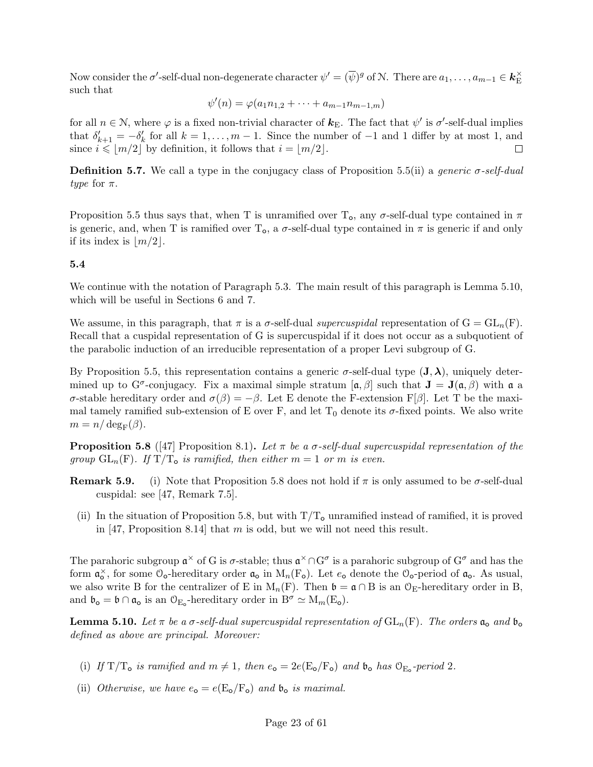Now consider the  $\sigma'$ -self-dual non-degenerate character  $\psi' = (\overline{\psi})^g$  of N. There are  $a_1, \ldots, a_{m-1} \in \mathbf{k}_{\mathrm{E}}^{\times}$ E such that

$$
\psi'(n) = \varphi(a_1 n_{1,2} + \dots + a_{m-1} n_{m-1,m})
$$

for all  $n \in \mathbb{N}$ , where  $\varphi$  is a fixed non-trivial character of  $\mathbf{k}_{\text{E}}$ . The fact that  $\psi'$  is  $\sigma'$ -self-dual implies that  $\delta'_{k+1} = -\delta'_{k}$  for all  $k = 1, ..., m-1$ . Since the number of  $-1$  and 1 differ by at most 1, and since  $i \leqslant \lfloor m/2 \rfloor$  by definition, it follows that  $i = \lfloor m/2 \rfloor$ .  $\Box$ 

**Definition 5.7.** We call a type in the conjugacy class of Proposition 5.5(ii) a *generic*  $\sigma$ -self-dual type for  $\pi$ .

Proposition 5.5 thus says that, when T is unramified over  $T_0$ , any  $\sigma$ -self-dual type contained in  $\pi$ is generic, and, when T is ramified over  $T_0$ , a  $\sigma$ -self-dual type contained in  $\pi$  is generic if and only if its index is  $\lfloor m/2 \rfloor$ .

### 5.4

We continue with the notation of Paragraph 5.3. The main result of this paragraph is Lemma 5.10, which will be useful in Sections 6 and 7.

We assume, in this paragraph, that  $\pi$  is a  $\sigma$ -self-dual supercuspidal representation of  $G = GL_n(F)$ . Recall that a cuspidal representation of G is supercuspidal if it does not occur as a subquotient of the parabolic induction of an irreducible representation of a proper Levi subgroup of G.

By Proposition 5.5, this representation contains a generic  $\sigma$ -self-dual type  $({\bf J},\lambda)$ , uniquely determined up to G<sup> $\sigma$ </sup>-conjugacy. Fix a maximal simple stratum  $[\alpha, \beta]$  such that  $J = J(\alpha, \beta)$  with  $\alpha$  a σ-stable hereditary order and  $\sigma(\beta) = -\beta$ . Let E denote the F-extension F[β]. Let T be the maximal tamely ramified sub-extension of E over F, and let  $T_0$  denote its  $\sigma$ -fixed points. We also write  $m = n/\deg_F(\beta)$ .

**Proposition 5.8** ([47] Proposition 8.1). Let  $\pi$  be a  $\sigma$ -self-dual supercuspidal representation of the group  $GL_n(F)$ . If  $T/T_o$  is ramified, then either  $m = 1$  or m is even.

- **Remark 5.9.** (i) Note that Proposition 5.8 does not hold if  $\pi$  is only assumed to be  $\sigma$ -self-dual cuspidal: see [47, Remark 7.5].
	- (ii) In the situation of Proposition 5.8, but with  $T/T<sub>o</sub>$  unramified instead of ramified, it is proved in [47, Proposition 8.14] that m is odd, but we will not need this result.

The parahoric subgroup  $\mathfrak{a}^{\times}$  of G is  $\sigma$ -stable; thus  $\mathfrak{a}^{\times} \cap G^{\sigma}$  is a parahoric subgroup of  $G^{\sigma}$  and has the form  $\mathfrak{a}_o^{\times}$ , for some  $\mathfrak{O}_o$ -hereditary order  $\mathfrak{a}_o$  in  $M_n(F_o)$ . Let  $e_o$  denote the  $\mathfrak{O}_o$ -period of  $\mathfrak{a}_o$ . As usual, we also write B for the centralizer of E in M<sub>n</sub>(F). Then  $\mathfrak{b} = \mathfrak{a} \cap B$  is an  $\mathcal{O}_E$ -hereditary order in B, and  $\mathfrak{b}_{\mathsf{o}} = \mathfrak{b} \cap \mathfrak{a}_{\mathsf{o}}$  is an  $\mathcal{O}_{E_{\mathsf{o}}}$ -hereditary order in  $B^{\sigma} \simeq M_m(E_{\mathsf{o}})$ .

**Lemma 5.10.** Let  $\pi$  be a  $\sigma$ -self-dual supercuspidal representation of  $GL_n(F)$ . The orders  $\mathfrak{a}_o$  and  $\mathfrak{b}_o$ defined as above are principal. Moreover:

- (i) If  $T/T_o$  is ramified and  $m \neq 1$ , then  $e_o = 2e(E_o/F_o)$  and  $\mathfrak{b}_o$  has  $\mathfrak{O}_{E_o}$ -period 2.
- (ii) Otherwise, we have  $e_{o} = e(E_{o}/F_{o})$  and  $b_{o}$  is maximal.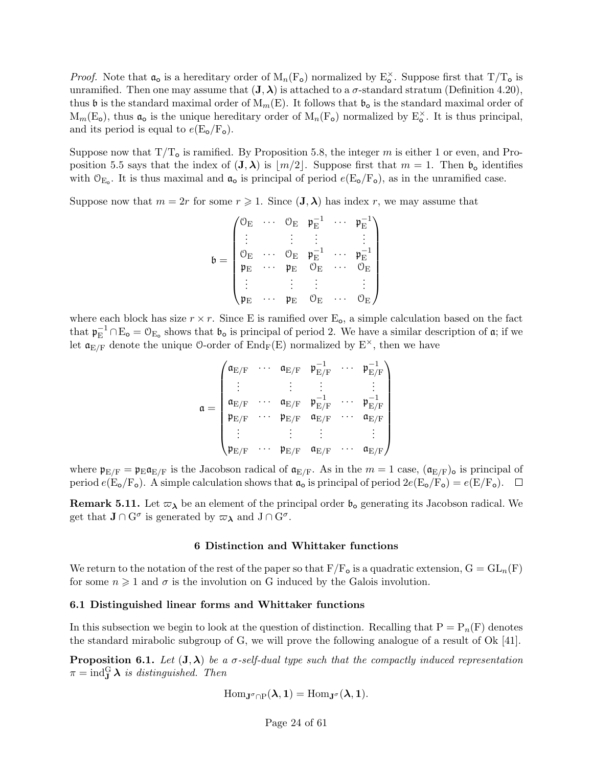*Proof.* Note that  $\mathfrak{a}_o$  is a hereditary order of  $M_n(F_o)$  normalized by  $E_o^{\times}$ . Suppose first that  $T/T_o$  is unramified. Then one may assume that  $(J, \lambda)$  is attached to a  $\sigma$ -standard stratum (Definition 4.20), thus b is the standard maximal order of  $M_m(E)$ . It follows that  $\mathfrak{b}_o$  is the standard maximal order of  $M_m(E_o)$ , thus  $\mathfrak{a}_o$  is the unique hereditary order of  $M_n(F_o)$  normalized by  $E_o^{\times}$ . It is thus principal, and its period is equal to  $e(E_{\rm o}/F_{\rm o})$ .

Suppose now that  $T/T_0$  is ramified. By Proposition 5.8, the integer m is either 1 or even, and Proposition 5.5 says that the index of  $(J, \lambda)$  is  $|m/2|$ . Suppose first that  $m = 1$ . Then  $\mathfrak{b}_{\mathfrak{0}}$  identifies with  $\mathcal{O}_{E_o}$ . It is thus maximal and  $\mathfrak{a}_o$  is principal of period  $e(E_o/F_o)$ , as in the unramified case.

Suppose now that  $m = 2r$  for some  $r \ge 1$ . Since  $(\mathbf{J}, \boldsymbol{\lambda})$  has index r, we may assume that

$$
\mathfrak{b} = \begin{pmatrix} \mathbb{O}_\mathrm{E} & \cdots & \mathbb{O}_\mathrm{E} & \mathfrak{p}_\mathrm{E}^{-1} & \cdots & \mathfrak{p}_\mathrm{E}^{-1} \\ \vdots & & \vdots & \vdots & & \vdots \\ \mathbb{O}_\mathrm{E} & \cdots & \mathbb{O}_\mathrm{E} & \mathfrak{p}_\mathrm{E}^{-1} & \cdots & \mathfrak{p}_\mathrm{E}^{-1} \\ \mathfrak{p}_\mathrm{E} & \cdots & \mathfrak{p}_\mathrm{E} & \mathbb{O}_\mathrm{E} & \cdots & \mathbb{O}_\mathrm{E} \\ \vdots & & \vdots & \vdots & & \vdots \\ \mathfrak{p}_\mathrm{E} & \cdots & \mathfrak{p}_\mathrm{E} & \mathbb{O}_\mathrm{E} & \cdots & \mathbb{O}_\mathrm{E} \end{pmatrix}
$$

where each block has size  $r \times r$ . Since E is ramified over  $E_0$ , a simple calculation based on the fact that  $\mathfrak{p}_{\mathrm{E}}^{-1} \cap \mathrm{E}_{\mathrm{o}} = \mathcal{O}_{\mathrm{E}_{\mathrm{o}}}$  shows that  $\mathfrak{b}_{\mathrm{o}}$  is principal of period 2. We have a similar description of  $\mathfrak{a}$ ; if we let  $\mathfrak{a}_{E/F}$  denote the unique 0-order of  $\text{End}_F(E)$  normalized by  $E^{\times}$ , then we have

$$
\mathfrak{a} = \begin{pmatrix} \mathfrak{a}_{E/F} & \cdots & \mathfrak{a}_{E/F} & \mathfrak{p}_{E/F}^{-1} & \cdots & \mathfrak{p}_{E/F}^{-1} \\ \vdots & & \vdots & & \vdots \\ \mathfrak{a}_{E/F} & \cdots & \mathfrak{a}_{E/F} & \mathfrak{p}_{E/F}^{-1} & \cdots & \mathfrak{p}_{E/F}^{-1} \\ \mathfrak{p}_{E/F} & \cdots & \mathfrak{p}_{E/F} & \mathfrak{a}_{E/F} & \cdots & \mathfrak{a}_{E/F} \\ \vdots & & \vdots & & \vdots \\ \mathfrak{p}_{E/F} & \cdots & \mathfrak{p}_{E/F} & \mathfrak{a}_{E/F} & \cdots & \mathfrak{a}_{E/F} \end{pmatrix}
$$

where  $\mathfrak{p}_{E/F} = \mathfrak{p}_E \mathfrak{a}_{E/F}$  is the Jacobson radical of  $\mathfrak{a}_{E/F}$ . As in the  $m = 1$  case,  $(\mathfrak{a}_{E/F})_o$  is principal of period  $e(E_{\text{o}}/F_{\text{o}})$ . A simple calculation shows that  $\mathfrak{a}_{\text{o}}$  is principal of period  $2e(E_{\text{o}}/F_{\text{o}}) = e(E/F_{\text{o}})$ .  $\Box$ 

**Remark 5.11.** Let  $\varpi_{\lambda}$  be an element of the principal order  $\mathfrak{b}_{\alpha}$  generating its Jacobson radical. We get that  $J \cap G^{\sigma}$  is generated by  $\varpi_{\lambda}$  and  $J \cap G^{\sigma}$ .

#### 6 Distinction and Whittaker functions

We return to the notation of the rest of the paper so that  $F/F_{o}$  is a quadratic extension,  $G = GL_{n}(F)$ for some  $n \geq 1$  and  $\sigma$  is the involution on G induced by the Galois involution.

#### 6.1 Distinguished linear forms and Whittaker functions

In this subsection we begin to look at the question of distinction. Recalling that  $P = P_n(F)$  denotes the standard mirabolic subgroup of G, we will prove the following analogue of a result of Ok [41].

**Proposition 6.1.** Let  $(J, \lambda)$  be a  $\sigma$ -self-dual type such that the compactly induced representation  $\pi = \text{ind}_{\mathbf{J}}^{\mathrm{G}} \boldsymbol{\lambda}$  is distinguished. Then

$$
\mathrm{Hom}_{\mathbf{J}^\sigma\cap P}(\lambda,1)=\mathrm{Hom}_{\mathbf{J}^\sigma}(\lambda,1).
$$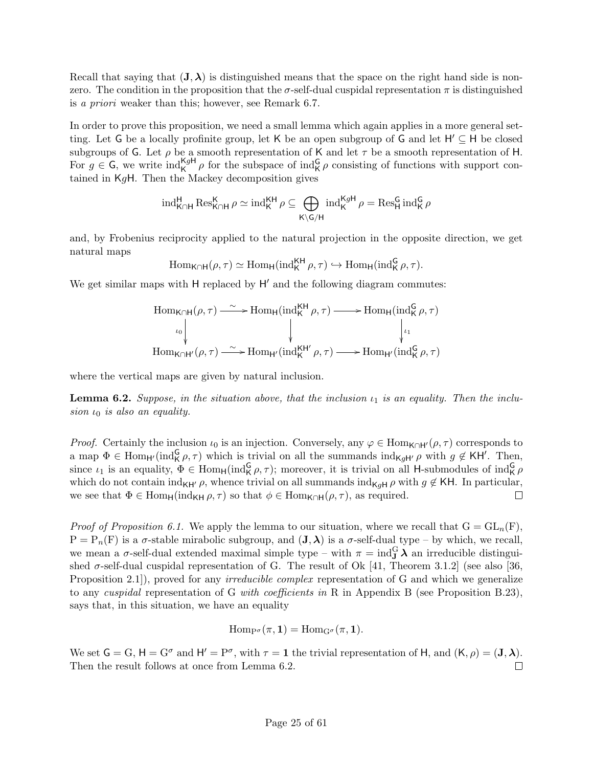Recall that saying that  $(J, \lambda)$  is distinguished means that the space on the right hand side is nonzero. The condition in the proposition that the  $\sigma$ -self-dual cuspidal representation  $\pi$  is distinguished is a priori weaker than this; however, see Remark 6.7.

In order to prove this proposition, we need a small lemma which again applies in a more general setting. Let G be a locally profinite group, let K be an open subgroup of G and let  $H' \subseteq H$  be closed subgroups of G. Let  $\rho$  be a smooth representation of K and let  $\tau$  be a smooth representation of H. For  $g \in G$ , we write  $\text{ind}_{K}^{KgH} \rho$  for the subspace of  $\text{ind}_{K}^{G} \rho$  consisting of functions with support contained in  $K_qH$ . Then the Mackey decomposition gives

$$
\mathrm{ind}_{K\cap H}^H\operatorname{Res}^K_{K\cap H}\rho\simeq \mathrm{ind}_K^{KH}\rho\subseteq \bigoplus_{K\backslash G/H}\mathrm{ind}_K^{KgH}\rho=\operatorname{Res}^G_H\mathrm{ind}_K^G\rho
$$

and, by Frobenius reciprocity applied to the natural projection in the opposite direction, we get natural maps

$$
\mathrm{Hom}_{\mathsf{K}\cap\mathsf{H}}(\rho,\tau)\simeq \mathrm{Hom}_{\mathsf{H}}(\mathrm{ind}_{\mathsf{K}}^{\mathsf{K}\mathsf{H}}\rho,\tau)\hookrightarrow \mathrm{Hom}_{\mathsf{H}}(\mathrm{ind}_{\mathsf{K}}^{\mathsf{G}}\rho,\tau).
$$

We get similar maps with  $H$  replaced by  $H'$  and the following diagram commutes:

$$
\operatorname{Hom}_{\mathsf{K}\cap\mathsf{H}}(\rho,\tau) \xrightarrow{\sim} \operatorname{Hom}_{\mathsf{H}}(\operatorname{ind}_{\mathsf{K}}^{\mathsf{K}\mathsf{H}}\rho,\tau) \longrightarrow \operatorname{Hom}_{\mathsf{H}}(\operatorname{ind}_{\mathsf{K}}^{\mathsf{G}}\rho,\tau)
$$
\n
$$
\downarrow_{\iota_1}
$$
\n
$$
\operatorname{Hom}_{\mathsf{K}\cap\mathsf{H}'}(\rho,\tau) \xrightarrow{\sim} \operatorname{Hom}_{\mathsf{H}'}(\operatorname{ind}_{\mathsf{K}}^{\mathsf{K}\mathsf{H}'}\rho,\tau) \longrightarrow \operatorname{Hom}_{\mathsf{H}'}(\operatorname{ind}_{\mathsf{K}}^{\mathsf{G}}\rho,\tau)
$$

where the vertical maps are given by natural inclusion.

**Lemma 6.2.** Suppose, in the situation above, that the inclusion  $\iota_1$  is an equality. Then the inclusion  $\iota_0$  is also an equality.

*Proof.* Certainly the inclusion  $\iota_0$  is an injection. Conversely, any  $\varphi \in \text{Hom}_{\mathsf{K} \cap \mathsf{H}'}(\rho, \tau)$  corresponds to a map  $\Phi \in \text{Hom}_{H}(\text{ind}_{K}^{\mathsf{G}}\rho, \tau)$  which is trivial on all the summands  $\text{ind}_{KgH'}\rho$  with  $g \notin \mathsf{KH'}$ . Then, since  $\iota_1$  is an equality,  $\Phi \in \text{Hom}_{\mathsf{H}}(\text{ind}_{\mathsf{K}}^{\mathsf{G}} \rho, \tau)$ ; moreover, it is trivial on all H-submodules of  $\text{ind}_{\mathsf{K}}^{\mathsf{G}} \rho$ which do not contain ind<sub>KH'</sub> $\rho$ , whence trivial on all summands ind<sub>KqH</sub>  $\rho$  with  $g \notin$  KH. In particular, we see that  $\Phi \in \text{Hom}_{\mathsf{H}}(\text{ind}_{\mathsf{KH}} \rho, \tau)$  so that  $\phi \in \text{Hom}_{\mathsf{K} \cap \mathsf{H}}(\rho, \tau)$ , as required.  $\Box$ 

*Proof of Proposition 6.1.* We apply the lemma to our situation, where we recall that  $G = GL_n(F)$ ,  $P = P_n(F)$  is a  $\sigma$ -stable mirabolic subgroup, and  $(J, \lambda)$  is a  $\sigma$ -self-dual type – by which, we recall, we mean a  $\sigma$ -self-dual extended maximal simple type – with  $\pi = \text{ind}_{\mathbf{J}}^{\mathbf{G}} \lambda$  an irreducible distinguished  $\sigma$ -self-dual cuspidal representation of G. The result of Ok [41, Theorem 3.1.2] (see also [36, Proposition 2.1), proved for any *irreducible complex* representation of G and which we generalize to any cuspidal representation of G with coefficients in R in Appendix B (see Proposition B.23), says that, in this situation, we have an equality

$$
\operatorname{Hom}_{P^{\sigma}}(\pi, 1) = \operatorname{Hom}_{G^{\sigma}}(\pi, 1).
$$

We set  $G = G$ ,  $H = G^{\sigma}$  and  $H' = P^{\sigma}$ , with  $\tau = 1$  the trivial representation of H, and  $(K, \rho) = (J, \lambda)$ . Then the result follows at once from Lemma 6.2.  $\Box$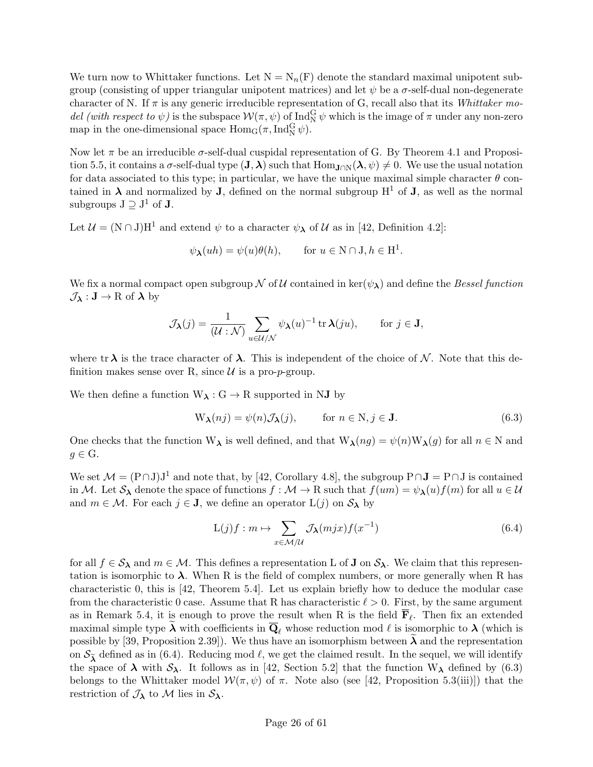We turn now to Whittaker functions. Let  $N = N_n(F)$  denote the standard maximal unipotent subgroup (consisting of upper triangular unipotent matrices) and let  $\psi$  be a  $\sigma$ -self-dual non-degenerate character of N. If  $\pi$  is any generic irreducible representation of G, recall also that its *Whittaker mo*del (with respect to  $\psi$ ) is the subspace  $\mathcal{W}(\pi,\psi)$  of Ind<sub>N</sub><sup>G</sup>  $\psi$  which is the image of  $\pi$  under any non-zero map in the one-dimensional space  $\text{Hom}_G(\pi, \text{Ind}_N^G \psi)$ .

Now let  $\pi$  be an irreducible  $\sigma$ -self-dual cuspidal representation of G. By Theorem 4.1 and Proposition 5.5, it contains a  $\sigma$ -self-dual type  $(\mathbf{J}, \boldsymbol{\lambda})$  such that  $\text{Hom}_{\mathbf{J}\cap\mathbb{N}}(\boldsymbol{\lambda}, \psi) \neq 0$ . We use the usual notation for data associated to this type; in particular, we have the unique maximal simple character  $\theta$  contained in  $\lambda$  and normalized by **J**, defined on the normal subgroup H<sup>1</sup> of **J**, as well as the normal subgroups  $J \supseteq J^1$  of **J**.

Let  $\mathcal{U} = (N \cap J)H^1$  and extend  $\psi$  to a character  $\psi_{\lambda}$  of  $\mathcal{U}$  as in [42, Definition 4.2]:

$$
\psi_{\lambda}(uh) = \psi(u)\theta(h), \quad \text{for } u \in \mathbb{N} \cap \mathcal{J}, h \in \mathcal{H}^1.
$$

We fix a normal compact open subgroup N of U contained in ker( $\psi_{\lambda}$ ) and define the Bessel function  $\mathcal{J}_{\lambda} : \mathbf{J} \to \mathbf{R}$  of  $\lambda$  by

$$
\mathcal{J}_{\boldsymbol{\lambda}}(j) = \frac{1}{(\mathcal{U} : \mathcal{N})} \sum_{u \in \mathcal{U}/\mathcal{N}} \psi_{\boldsymbol{\lambda}}(u)^{-1} \operatorname{tr} \boldsymbol{\lambda}(ju), \qquad \text{for } j \in \mathbf{J},
$$

where tr  $\lambda$  is the trace character of  $\lambda$ . This is independent of the choice of N. Note that this definition makes sense over R, since  $\mathcal U$  is a pro-p-group.

We then define a function  $W_{\lambda}: G \to R$  supported in NJ by

$$
W_{\lambda}(nj) = \psi(n)\mathcal{J}_{\lambda}(j), \qquad \text{for } n \in \mathbb{N}, j \in \mathbf{J}.
$$
 (6.3)

One checks that the function  $W_{\lambda}$  is well defined, and that  $W_{\lambda}(ng) = \psi(n)W_{\lambda}(g)$  for all  $n \in N$  and  $g \in G$ .

We set  $\mathcal{M} = (\text{P} \cap \text{J})\text{J}^1$  and note that, by [42, Corollary 4.8], the subgroup  $\text{P} \cap \text{J} = \text{P} \cap \text{J}$  is contained in M. Let  $S_\lambda$  denote the space of functions  $f : \mathcal{M} \to \mathbb{R}$  such that  $f(um) = \psi_\lambda(u) f(m)$  for all  $u \in \mathcal{U}$ and  $m \in \mathcal{M}$ . For each  $j \in J$ , we define an operator  $L(j)$  on  $S_{\lambda}$  by

$$
L(j)f : m \mapsto \sum_{x \in \mathcal{M}/\mathcal{U}} \mathcal{J}_{\lambda}(mjx) f(x^{-1}) \tag{6.4}
$$

for all  $f \in S_\lambda$  and  $m \in \mathcal{M}$ . This defines a representation L of J on  $S_\lambda$ . We claim that this representation is isomorphic to  $\lambda$ . When R is the field of complex numbers, or more generally when R has characteristic 0, this is [42, Theorem 5.4]. Let us explain briefly how to deduce the modular case from the characteristic 0 case. Assume that R has characteristic  $\ell > 0$ . First, by the same argument as in Remark 5.4, it is enough to prove the result when R is the field  $\mathbf{F}_{\ell}$ . Then fix an extended maximal simple type  $\lambda$  with coefficients in  $\overline{\mathbf{Q}}_{\ell}$  whose reduction mod  $\ell$  is isomorphic to  $\lambda$  (which is possible by [39, Proposition 2.39]). We thus have an isomorphism between  $\lambda$  and the representation on  $S_{\tilde{\lambda}}$  defined as in (6.4). Reducing mod  $\ell$ , we get the claimed result. In the sequel, we will identify the space of  $\lambda$  with  $S_{\lambda}$ . It follows as in [42, Section 5.2] that the function  $W_{\lambda}$  defined by (6.3) belongs to the Whittaker model  $W(\pi, \psi)$  of  $\pi$ . Note also (see [42, Proposition 5.3(iii)]) that the restriction of  $\mathcal{J}_{\lambda}$  to M lies in  $\mathcal{S}_{\lambda}$ .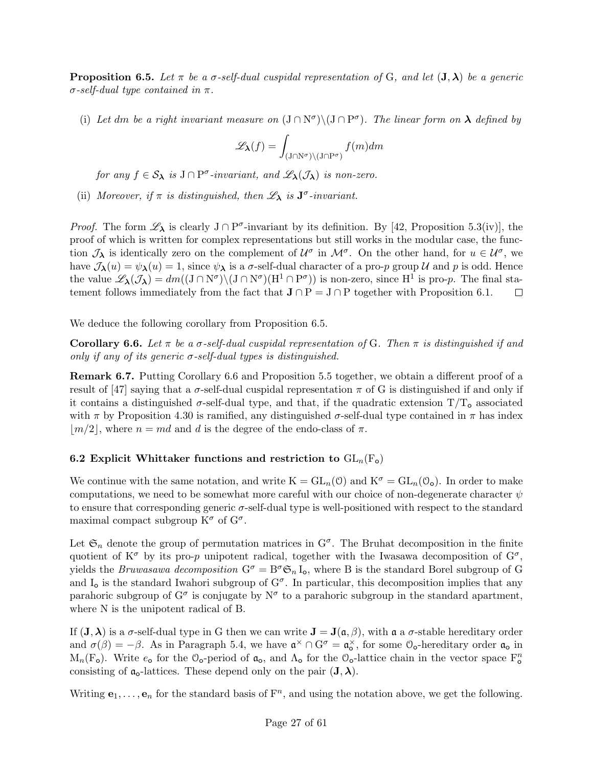**Proposition 6.5.** Let  $\pi$  be a  $\sigma$ -self-dual cuspidal representation of G, and let  $(\mathbf{J}, \lambda)$  be a generic  $\sigma$ -self-dual type contained in  $\pi$ .

(i) Let dm be a right invariant measure on  $(J \cap N^{\sigma}) \setminus (J \cap P^{\sigma})$ . The linear form on  $\lambda$  defined by

$$
\mathscr{L}_{\pmb{\lambda}}(f)=\int_{(\mathbf{J}\cap \mathbf{N}^\sigma)\backslash (\mathbf{J}\cap \mathbf{P}^\sigma)}f(m)dm
$$

for any  $f \in S_{\lambda}$  is  $J \cap P^{\sigma}$ -invariant, and  $\mathscr{L}_{\lambda}(\mathcal{J}_{\lambda})$  is non-zero.

(ii) Moreover, if  $\pi$  is distinguished, then  $\mathscr{L}_{\lambda}$  is  $J^{\sigma}$ -invariant.

*Proof.* The form  $\mathscr{L}_{\lambda}$  is clearly  $J \cap P^{\sigma}$ -invariant by its definition. By [42, Proposition 5.3(iv)], the proof of which is written for complex representations but still works in the modular case, the function  $\mathcal{J}_\lambda$  is identically zero on the complement of  $\mathcal{U}^\sigma$  in  $\mathcal{M}^\sigma$ . On the other hand, for  $u \in \mathcal{U}^\sigma$ , we have  $\mathcal{J}_{\lambda}(u) = \psi_{\lambda}(u) = 1$ , since  $\psi_{\lambda}$  is a  $\sigma$ -self-dual character of a pro-p group U and p is odd. Hence the value  $\mathscr{L}_{\lambda}(\mathcal{J}_{\lambda}) = dm((J \cap N^{\sigma}) \setminus (J \cap N^{\sigma})(H^{1} \cap P^{\sigma}))$  is non-zero, since  $H^{1}$  is pro-p. The final statement follows immediately from the fact that  $J \cap P = J \cap P$  together with Proposition 6.1.  $\Box$ 

We deduce the following corollary from Proposition 6.5.

**Corollary 6.6.** Let  $\pi$  be a  $\sigma$ -self-dual cuspidal representation of G. Then  $\pi$  is distinguished if and only if any of its generic  $\sigma$ -self-dual types is distinguished.

Remark 6.7. Putting Corollary 6.6 and Proposition 5.5 together, we obtain a different proof of a result of [47] saying that a  $\sigma$ -self-dual cuspidal representation  $\pi$  of G is distinguished if and only if it contains a distinguished  $\sigma$ -self-dual type, and that, if the quadratic extension  $T/T_0$  associated with  $\pi$  by Proposition 4.30 is ramified, any distinguished  $\sigma$ -self-dual type contained in  $\pi$  has index  $|m/2|$ , where  $n = md$  and d is the degree of the endo-class of  $\pi$ .

## 6.2 Explicit Whittaker functions and restriction to  $GL_n(F_o)$

We continue with the same notation, and write  $K = GL_n(0)$  and  $K^{\sigma} = GL_n(0_o)$ . In order to make computations, we need to be somewhat more careful with our choice of non-degenerate character  $\psi$ to ensure that corresponding generic  $\sigma$ -self-dual type is well-positioned with respect to the standard maximal compact subgroup  $K^{\sigma}$  of  $G^{\sigma}$ .

Let  $\mathfrak{S}_n$  denote the group of permutation matrices in  $G^{\sigma}$ . The Bruhat decomposition in the finite quotient of  $K^{\sigma}$  by its pro-p unipotent radical, together with the Iwasawa decomposition of  $G^{\sigma}$ , yields the *Bruwasawa decomposition*  $G^{\sigma} = B^{\sigma} \mathfrak{S}_n I_o$ , where B is the standard Borel subgroup of G and  $I_0$  is the standard Iwahori subgroup of  $G^{\sigma}$ . In particular, this decomposition implies that any parahoric subgroup of  $G^{\sigma}$  is conjugate by  $N^{\sigma}$  to a parahoric subgroup in the standard apartment, where N is the unipotent radical of B.

If  $(J, \lambda)$  is a  $\sigma$ -self-dual type in G then we can write  $J = J(\mathfrak{a}, \beta)$ , with  $\mathfrak{a}$  a  $\sigma$ -stable hereditary order and  $\sigma(\beta) = -\beta$ . As in Paragraph 5.4, we have  $\mathfrak{a}^{\times} \cap G^{\sigma} = \mathfrak{a}_{o}^{\times}$ , for some  $\mathfrak{O}_{o}$ -hereditary order  $\mathfrak{a}_{o}$  in M<sub>n</sub>(F<sub>o</sub>). Write  $e_o$  for the  $\mathcal{O}_o$ -period of  $\mathfrak{a}_o$ , and  $\Lambda_o$  for the  $\mathcal{O}_o$ -lattice chain in the vector space  $F_o^n$ consisting of  $\mathfrak{a}_{\mathsf{o}}$ -lattices. These depend only on the pair  $(\mathbf{J},\boldsymbol{\lambda})$ .

Writing  $e_1, \ldots, e_n$  for the standard basis of  $F^n$ , and using the notation above, we get the following.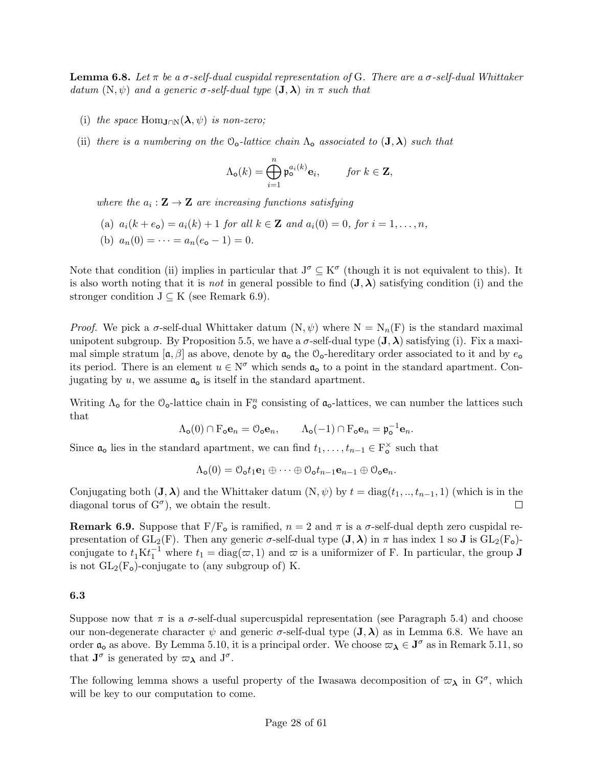**Lemma 6.8.** Let  $\pi$  be a  $\sigma$ -self-dual cuspidal representation of G. There are a  $\sigma$ -self-dual Whittaker datum  $(N, \psi)$  and a generic  $\sigma$ -self-dual type  $(J, \lambda)$  in  $\pi$  such that

- (i) the space Hom<sub>J∩N</sub> $(\lambda, \psi)$  is non-zero;
- (ii) there is a numbering on the  $\mathcal{O}_o$ -lattice chain  $\Lambda_o$  associated to  $(\mathbf{J}, \boldsymbol{\lambda})$  such that

$$
\Lambda_{\mathbf{o}}(k) = \bigoplus_{i=1}^{n} \mathfrak{p}_{\mathbf{o}}^{a_i(k)} \mathbf{e}_i, \quad \text{for } k \in \mathbf{Z},
$$

where the  $a_i : \mathbf{Z} \to \mathbf{Z}$  are increasing functions satisfying

- (a)  $a_i(k + e_0) = a_i(k) + 1$  for all  $k \in \mathbb{Z}$  and  $a_i(0) = 0$ , for  $i = 1, ..., n$ ,
- (b)  $a_n(0) = \cdots = a_n(e_0 1) = 0.$

Note that condition (ii) implies in particular that  $J^{\sigma} \subseteq K^{\sigma}$  (though it is not equivalent to this). It is also worth noting that it is *not* in general possible to find  $({\bf J},\boldsymbol{\lambda})$  satisfying condition (i) and the stronger condition  $J \subseteq K$  (see Remark 6.9).

*Proof.* We pick a  $\sigma$ -self-dual Whittaker datum  $(N, \psi)$  where  $N = N_n(F)$  is the standard maximal unipotent subgroup. By Proposition 5.5, we have a  $\sigma$ -self-dual type  $({\bf J},\boldsymbol{\lambda})$  satisfying (i). Fix a maximal simple stratum  $[\mathfrak{a}, \beta]$  as above, denote by  $\mathfrak{a}_0$  the  $\mathfrak{O}_0$ -hereditary order associated to it and by  $e_0$ its period. There is an element  $u \in N^{\sigma}$  which sends  $\mathfrak{a}_{\mathfrak{0}}$  to a point in the standard apartment. Conjugating by u, we assume  $a_0$  is itself in the standard apartment.

Writing  $\Lambda_o$  for the  $\mathcal{O}_o$ -lattice chain in  $\mathbb{F}_o^n$  consisting of  $\mathfrak{a}_o$ -lattices, we can number the lattices such that

$$
\Lambda_{\mathbf{o}}(0) \cap \mathbf{F}_{\mathbf{o}} \mathbf{e}_n = \mathcal{O}_{\mathbf{o}} \mathbf{e}_n, \qquad \Lambda_{\mathbf{o}}(-1) \cap \mathbf{F}_{\mathbf{o}} \mathbf{e}_n = \mathfrak{p}_{\mathbf{o}}^{-1} \mathbf{e}_n.
$$

Since  $\mathfrak{a}_o$  lies in the standard apartment, we can find  $t_1, \ldots, t_{n-1} \in \mathbb{F}_o^{\times}$  such that

$$
\Lambda_{\mathbf{0}}(0) = \mathcal{O}_{\mathbf{0}} t_1 \mathbf{e}_1 \oplus \cdots \oplus \mathcal{O}_{\mathbf{0}} t_{n-1} \mathbf{e}_{n-1} \oplus \mathcal{O}_{\mathbf{0}} \mathbf{e}_n.
$$

Conjugating both  $(\mathbf{J}, \boldsymbol{\lambda})$  and the Whittaker datum  $(N, \psi)$  by  $t = \text{diag}(t_1, ..., t_{n-1}, 1)$  (which is in the diagonal torus of  $G^{\sigma}$ ), we obtain the result.  $\Box$ 

Remark 6.9. Suppose that  $F/F<sub>o</sub>$  is ramified,  $n = 2$  and  $\pi$  is a  $\sigma$ -self-dual depth zero cuspidal representation of  $GL_2(F)$ . Then any generic  $\sigma$ -self-dual type  $({\bf J},\boldsymbol{\lambda})$  in  $\pi$  has index 1 so **J** is  $GL_2(F_0)$ conjugate to  $t_1 \text{K} t_1^{-1}$  where  $t_1 = \text{diag}(\varpi, 1)$  and  $\varpi$  is a uniformizer of F. In particular, the group **J** is not  $GL_2(F_0)$ -conjugate to (any subgroup of) K.

### 6.3

Suppose now that  $\pi$  is a  $\sigma$ -self-dual supercuspidal representation (see Paragraph 5.4) and choose our non-degenerate character  $\psi$  and generic  $\sigma$ -self-dual type  $({\bf J},\boldsymbol{\lambda})$  as in Lemma 6.8. We have an order  $\mathfrak{a}_o$  as above. By Lemma 5.10, it is a principal order. We choose  $\varpi_\lambda \in J^\sigma$  as in Remark 5.11, so that  $J^{\sigma}$  is generated by  $\varpi_{\lambda}$  and  $J^{\sigma}$ .

The following lemma shows a useful property of the Iwasawa decomposition of  $\varpi_\lambda$  in  $G^{\sigma}$ , which will be key to our computation to come.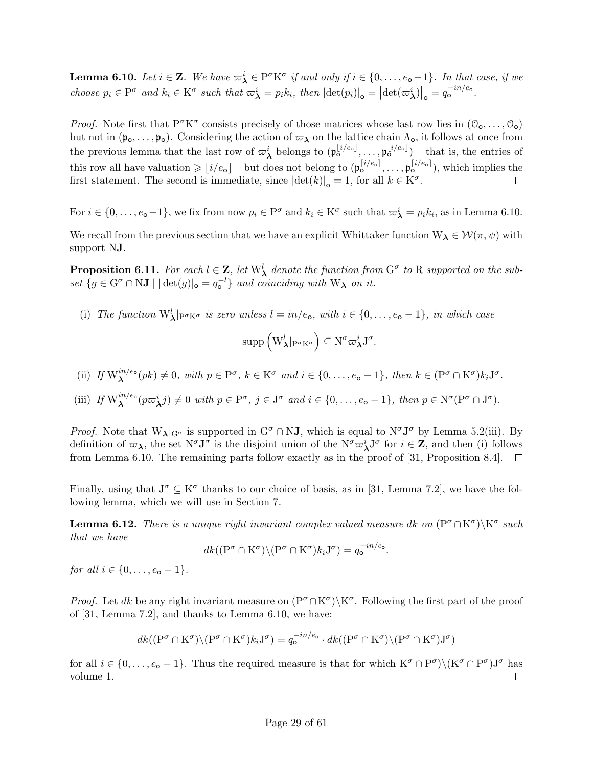**Lemma 6.10.** Let  $i \in \mathbf{Z}$ . We have  $\varpi_{\boldsymbol{\lambda}}^i \in \mathrm{P}^{\sigma} \mathrm{K}^{\sigma}$  if and only if  $i \in \{0, \ldots, e_{\mathbf{o}}-1\}$ . In that case, if we choose  $p_i \in \mathcal{P}^{\sigma}$  and  $k_i \in \mathcal{K}^{\sigma}$  such that  $\omega_{\boldsymbol{\lambda}}^i = p_i k_i$ , then  $|\text{det}(p_i)|_{\mathbf{o}} = |\text{det}(\omega_{\boldsymbol{\lambda}}^i)|_{\mathbf{o}} = q_{\mathbf{o}}^{-in/e_{\mathbf{o}}}$ .

*Proof.* Note first that  $P^{\sigma}K^{\sigma}$  consists precisely of those matrices whose last row lies in  $(0_0, \ldots, 0_0)$ but not in  $(\mathfrak{p}_0,\ldots,\mathfrak{p}_0)$ . Considering the action of  $\varpi_\lambda$  on the lattice chain  $\Lambda_o$ , it follows at once from the previous lemma that the last row of  $\varpi_{\lambda}^{i}$  belongs to  $(\mathfrak{p}_{\mathsf{o}}^{\lfloor i/e_{\mathsf{o}} \rfloor}, \ldots, \mathfrak{p}_{\mathsf{o}}^{\lfloor i/e_{\mathsf{o}} \rfloor})$  – that is, the entries of this row all have valuation  $\geqslant \lfloor i/e_{\text{o}} \rfloor - \text{but does not belong to } (\mathfrak{p}_{\text{o}}^{[i/e_{\text{o}}]}, \ldots, \mathfrak{p}_{\text{o}}^{[i/e_{\text{o}}]}),$  which implies the first statement. The second is immediate, since  $|\text{det}(k)|_o = 1$ , for all  $k \in K^{\sigma}$ .  $\Box$ 

For  $i \in \{0, \ldots, e_{\mathbf{o}}-1\}$ , we fix from now  $p_i \in \mathbb{P}^{\sigma}$  and  $k_i \in \mathbb{K}^{\sigma}$  such that  $\varpi_{\mathbf{\lambda}}^i = p_i k_i$ , as in Lemma 6.10.

We recall from the previous section that we have an explicit Whittaker function  $W_{\lambda} \in \mathcal{W}(\pi, \psi)$  with support NJ.

**Proposition 6.11.** For each  $l \in \mathbf{Z}$ , let  $W^l$  denote the function from  $G^{\sigma}$  to R supported on the subset  ${g \in G^{\sigma} \cap NJ \mid |\det(g)|_{o} = q_{o}^{-l}\}$  and coinciding with  $W_{\lambda}$  on it.

(i) The function  $W^l_{\lambda}|_{P^{\sigma} K^{\sigma}}$  is zero unless  $l = in/e_o$ , with  $i \in \{0, ..., e_o - 1\}$ , in which case

$$
\operatorname{supp} \left( \mathbf{W}_{\pmb{\lambda}}^l|_{\mathbf{P}^\sigma\mathbf{K}^\sigma} \right) \subseteq \mathbf{N}^\sigma \varpi_{\pmb{\lambda}}^i \mathbf{J}^\sigma.
$$

(ii) If 
$$
W_{\lambda}^{in/e_o}(pk) \neq 0
$$
, with  $p \in P^{\sigma}$ ,  $k \in K^{\sigma}$  and  $i \in \{0, ..., e_o - 1\}$ , then  $k \in (P^{\sigma} \cap K^{\sigma})k_iJ^{\sigma}$ .

(iii) If 
$$
W_{\lambda}^{in/e_o}(p\varpi_{\lambda}^i j) \neq 0
$$
 with  $p \in P^{\sigma}$ ,  $j \in J^{\sigma}$  and  $i \in \{0, ..., e_o - 1\}$ , then  $p \in N^{\sigma}(P^{\sigma} \cap J^{\sigma})$ .

*Proof.* Note that  $W_{\lambda}|_{G^{\sigma}}$  is supported in  $G^{\sigma} \cap NJ$ , which is equal to  $N^{\sigma}J^{\sigma}$  by Lemma 5.2(iii). By definition of  $\varpi_{\lambda}$ , the set  $N^{\sigma}J^{\sigma}$  is the disjoint union of the  $N^{\sigma}\varpi_{\lambda}^{i}J^{\sigma}$  for  $i \in \mathbb{Z}$ , and then (i) follows from Lemma 6.10. The remaining parts follow exactly as in the proof of [31, Proposition 8.4].  $\Box$ 

Finally, using that  $J^{\sigma} \subseteq K^{\sigma}$  thanks to our choice of basis, as in [31, Lemma 7.2], we have the following lemma, which we will use in Section 7.

**Lemma 6.12.** There is a unique right invariant complex valued measure dk on  $(P^{\sigma} \cap K^{\sigma})\backslash K^{\sigma}$  such that we have

$$
dk((P^{\sigma} \cap K^{\sigma}) \setminus (P^{\sigma} \cap K^{\sigma})k_iJ^{\sigma}) = q_o^{-in/e_o}.
$$

for all  $i \in \{0, \ldots, e_{\mathbf{0}} - 1\}.$ 

*Proof.* Let dk be any right invariant measure on  $(P^{\sigma} \cap K^{\sigma})\ K^{\sigma}$ . Following the first part of the proof of [31, Lemma 7.2], and thanks to Lemma 6.10, we have:

$$
dk((P^{\sigma}\cap K^{\sigma})\backslash (P^{\sigma}\cap K^{\sigma})k_iJ^{\sigma})=q_o^{-in/e_o}\cdot dk((P^{\sigma}\cap K^{\sigma})\backslash (P^{\sigma}\cap K^{\sigma})J^{\sigma})
$$

for all  $i \in \{0, \ldots, e_{\mathbf{o}} - 1\}$ . Thus the required measure is that for which  $K^{\sigma} \cap P^{\sigma} \setminus (K^{\sigma} \cap P^{\sigma}) J^{\sigma}$  has volume 1.  $\Box$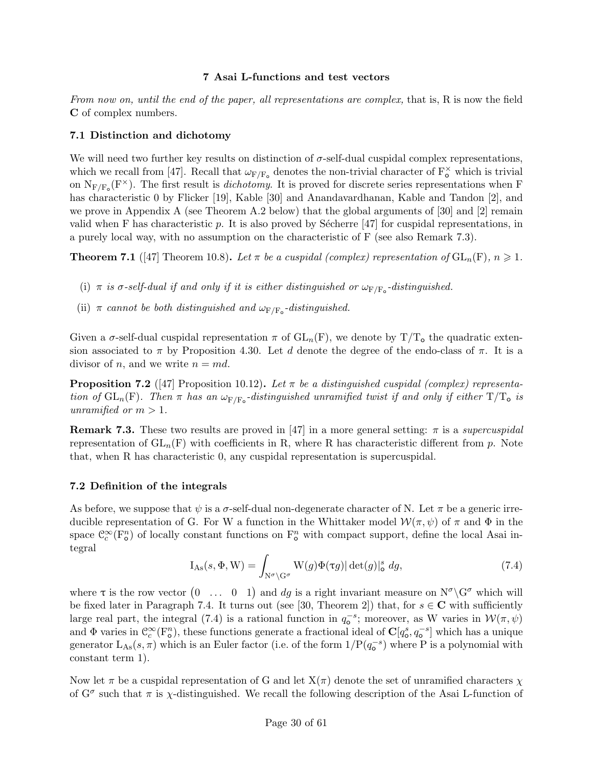## 7 Asai L-functions and test vectors

From now on, until the end of the paper, all representations are complex, that is, R is now the field C of complex numbers.

## 7.1 Distinction and dichotomy

We will need two further key results on distinction of  $\sigma$ -self-dual cuspidal complex representations, which we recall from [47]. Recall that  $\omega_{F/F_o}$  denotes the non-trivial character of  $F_o^{\times}$  which is trivial on  $N_{F/F_o}(F^{\times})$ . The first result is *dichotomy*. It is proved for discrete series representations when F has characteristic 0 by Flicker [19], Kable [30] and Anandavardhanan, Kable and Tandon [2], and we prove in Appendix A (see Theorem A.2 below) that the global arguments of  $[30]$  and  $[2]$  remain valid when F has characteristic  $p$ . It is also proved by Sécherre [47] for cuspidal representations, in a purely local way, with no assumption on the characteristic of F (see also Remark 7.3).

**Theorem 7.1** ([47] Theorem 10.8). Let  $\pi$  be a cuspidal (complex) representation of  $GL_n(F)$ ,  $n \geq 1$ .

- (i)  $\pi$  is  $\sigma$ -self-dual if and only if it is either distinguished or  $\omega_{\text{F/F}_0}$ -distinguished.
- (ii)  $\pi$  cannot be both distinguished and  $\omega_{\text{F/F}_0}$ -distinguished.

Given a  $\sigma$ -self-dual cuspidal representation  $\pi$  of  $GL_n(F)$ , we denote by  $T/T_o$  the quadratic extension associated to  $\pi$  by Proposition 4.30. Let d denote the degree of the endo-class of  $\pi$ . It is a divisor of n, and we write  $n = md$ .

**Proposition 7.2** ([47] Proposition 10.12). Let  $\pi$  be a distinguished cuspidal (complex) representation of  $GL_n(F)$ . Then  $\pi$  has an  $\omega_{F/F_o}$ -distinguished unramified twist if and only if either  $T/T_o$  is unramified or  $m > 1$ .

**Remark 7.3.** These two results are proved in [47] in a more general setting:  $\pi$  is a supercuspidal representation of  $GL_n(F)$  with coefficients in R, where R has characteristic different from p. Note that, when R has characteristic 0, any cuspidal representation is supercuspidal.

## 7.2 Definition of the integrals

As before, we suppose that  $\psi$  is a  $\sigma$ -self-dual non-degenerate character of N. Let  $\pi$  be a generic irreducible representation of G. For W a function in the Whittaker model  $\mathcal{W}(\pi,\psi)$  of  $\pi$  and  $\Phi$  in the space  $\mathbb{C}_c^{\infty}(\mathbb{F}_{o}^n)$  of locally constant functions on  $\mathbb{F}_{o}^n$  with compact support, define the local Asai integral

$$
I_{\mathrm{As}}(s, \Phi, W) = \int_{N^{\sigma} \backslash G^{\sigma}} W(g) \Phi(\tau g) |\det(g)|_{\mathsf{o}}^{s} dg,
$$
\n(7.4)

where  $\tau$  is the row vector  $(0 \ldots 0 1)$  and dg is a right invariant measure on  $N^{\sigma} \backslash G^{\sigma}$  which will be fixed later in Paragraph 7.4. It turns out (see [30, Theorem 2]) that, for  $s \in \mathbb{C}$  with sufficiently large real part, the integral (7.4) is a rational function in  $q_o^{-s}$ ; moreover, as W varies in  $\mathcal{W}(\pi,\psi)$ and  $\Phi$  varies in  $\mathcal{C}_c^{\infty}(\mathbf{F}_o^n)$ , these functions generate a fractional ideal of  $\mathbf{C}[q_o^s, q_o^{-s}]$  which has a unique generator  $L_{\text{As}}(s,\pi)$  which is an Euler factor (i.e. of the form  $1/P(q_{0}^{-s})$  where P is a polynomial with constant term 1).

Now let  $\pi$  be a cuspidal representation of G and let  $X(\pi)$  denote the set of unramified characters  $\chi$ of  $G^{\sigma}$  such that  $\pi$  is  $\chi$ -distinguished. We recall the following description of the Asai L-function of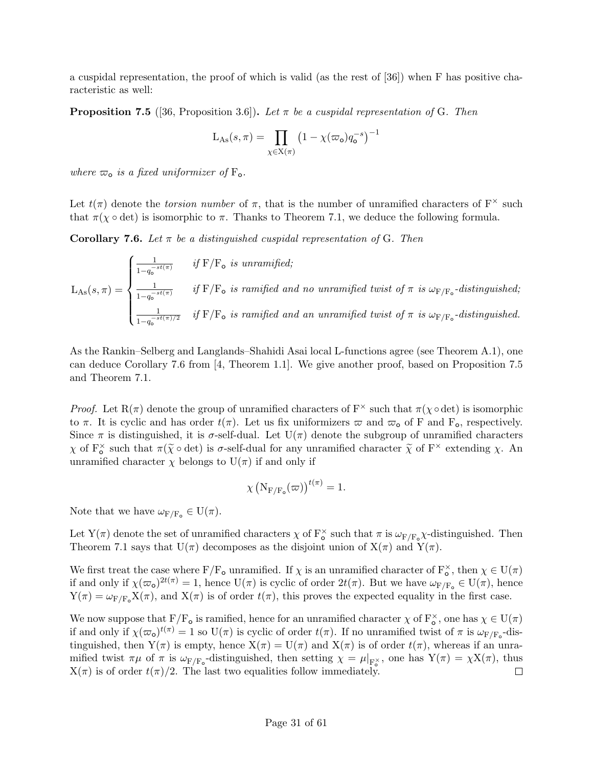a cuspidal representation, the proof of which is valid (as the rest of [36]) when F has positive characteristic as well:

**Proposition 7.5** ([36, Proposition 3.6]). Let  $\pi$  be a cuspidal representation of G. Then

$$
L_{\mathrm{As}}(s,\pi) = \prod_{\chi \in X(\pi)} \left(1 - \chi(\varpi_{\mathrm{o}}) q_{\mathrm{o}}^{-s}\right)^{-1}
$$

where  $\varpi_{o}$  is a fixed uniformizer of  $F_{o}$ .

Let  $t(\pi)$  denote the *torsion number* of  $\pi$ , that is the number of unramified characters of  $F^{\times}$  such that  $\pi(\chi \circ \det)$  is isomorphic to  $\pi$ . Thanks to Theorem 7.1, we deduce the following formula.

Corollary 7.6. Let  $\pi$  be a distinguished cuspidal representation of G. Then

$$
L_{\text{As}}(s,\pi) = \begin{cases} \frac{1}{1-q_o^{-st(\pi)}} & \text{if } F/F_o \text{ is unramified;}\\ \frac{1}{1-q_o^{-st(\pi)}} & \text{if } F/F_o \text{ is ramified and no unramified twist of } \pi \text{ is } \omega_{F/F_o}\text{-distinguished;}\\ \frac{1}{1-q_o^{-st(\pi)/2}} & \text{if } F/F_o \text{ is ramified and an unramified twist of } \pi \text{ is } \omega_{F/F_o}\text{-distinguished.} \end{cases}
$$

As the Rankin–Selberg and Langlands–Shahidi Asai local L-functions agree (see Theorem A.1), one can deduce Corollary 7.6 from [4, Theorem 1.1]. We give another proof, based on Proposition 7.5 and Theorem 7.1.

*Proof.* Let  $R(\pi)$  denote the group of unramified characters of  $F^{\times}$  such that  $\pi(\chi \circ \det)$  is isomorphic to  $\pi$ . It is cyclic and has order  $t(\pi)$ . Let us fix uniformizers  $\varpi$  and  $\varpi_0$  of F and F<sub>o</sub>, respectively. Since  $\pi$  is distinguished, it is  $\sigma$ -self-dual. Let  $U(\pi)$  denote the subgroup of unramified characters  $\chi$  of  $F_0^{\times}$  such that  $\pi(\tilde{\chi} \circ \det)$  is  $\sigma$ -self-dual for any unramified character  $\tilde{\chi}$  of  $F^{\times}$  extending  $\chi$ . An unramified character  $\chi$  belongs to  $U(\pi)$  if and only if

$$
\chi\left(N_{\mathrm{F}/\mathrm{F}_{\mathrm{o}}}(\varpi)\right)^{t(\pi)}=1.
$$

Note that we have  $\omega_{F/F_o} \in U(\pi)$ .

Let Y( $\pi$ ) denote the set of unramified characters  $\chi$  of  $F_o^{\times}$  such that  $\pi$  is  $\omega_{F/F_o}\chi$ -distinguished. Then Theorem 7.1 says that  $U(\pi)$  decomposes as the disjoint union of  $X(\pi)$  and  $Y(\pi)$ .

We first treat the case where  $F/F_o$  unramified. If  $\chi$  is an unramified character of  $F_o^{\times}$ , then  $\chi \in U(\pi)$ if and only if  $\chi(\varpi_o)^{2t(\pi)} = 1$ , hence  $U(\pi)$  is cyclic of order  $2t(\pi)$ . But we have  $\omega_{F/F_o} \in U(\pi)$ , hence  $Y(\pi) = \omega_{F/F_0} X(\pi)$ , and  $X(\pi)$  is of order  $t(\pi)$ , this proves the expected equality in the first case.

We now suppose that  $F/F_o$  is ramified, hence for an unramified character  $\chi$  of  $F_o^{\times}$ , one has  $\chi \in U(\pi)$ if and only if  $\chi(\varpi_o)^{t(\pi)} = 1$  so  $U(\pi)$  is cyclic of order  $t(\pi)$ . If no unramified twist of  $\pi$  is  $\omega_{F/F_o}$ -distinguished, then  $Y(\pi)$  is empty, hence  $X(\pi) = U(\pi)$  and  $X(\pi)$  is of order  $t(\pi)$ , whereas if an unramified twist  $\pi\mu$  of  $\pi$  is  $\omega_{F/F_o}$ -distinguished, then setting  $\chi = \mu|_{F_o^{\times}}$ , one has  $Y(\pi) = \chi X(\pi)$ , thus  $X(\pi)$  is of order  $t(\pi)/2$ . The last two equalities follow immediately.  $\Box$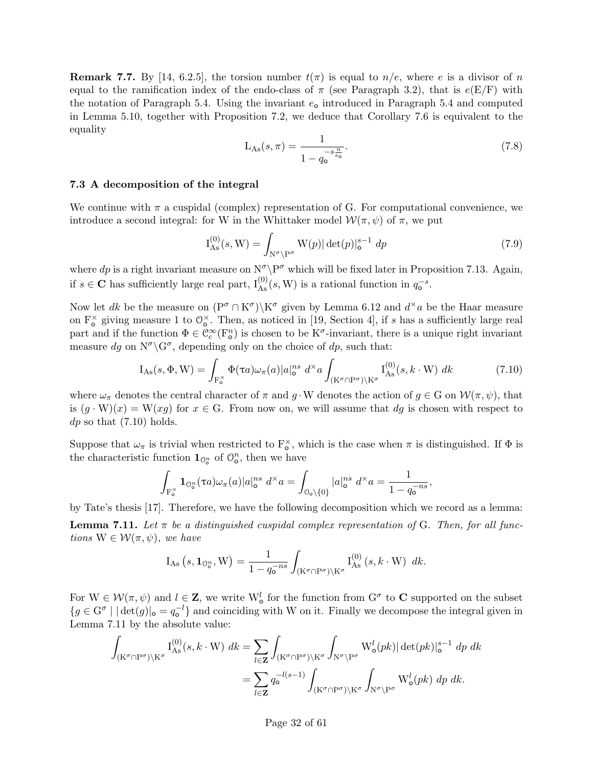**Remark 7.7.** By [14, 6.2.5], the torsion number  $t(\pi)$  is equal to  $n/e$ , where e is a divisor of n equal to the ramification index of the endo-class of  $\pi$  (see Paragraph 3.2), that is  $e(E/F)$  with the notation of Paragraph 5.4. Using the invariant  $e_0$  introduced in Paragraph 5.4 and computed in Lemma 5.10, together with Proposition 7.2, we deduce that Corollary 7.6 is equivalent to the equality

$$
L_{As}(s,\pi) = \frac{1}{1 - q_0^{-s\frac{n}{e_0}}}.\tag{7.8}
$$

#### 7.3 A decomposition of the integral

We continue with  $\pi$  a cuspidal (complex) representation of G. For computational convenience, we introduce a second integral: for W in the Whittaker model  $\mathcal{W}(\pi,\psi)$  of  $\pi$ , we put

$$
I_{As}^{(0)}(s, W) = \int_{N^{\sigma} \backslash P^{\sigma}} W(p) |\det(p)|_{o}^{s-1} dp
$$
\n(7.9)

where dp is a right invariant measure on  $N^{\sigma} \P^{\sigma}$  which will be fixed later in Proposition 7.13. Again, if  $s \in \mathbb{C}$  has sufficiently large real part,  $I_{\text{As}}^{(0)}(s, W)$  is a rational function in  $q_{\text{o}}^{-s}$ .

Now let dk be the measure on  $(P^{\sigma} \cap K^{\sigma}) \setminus K^{\sigma}$  given by Lemma 6.12 and  $d^{\times}a$  be the Haar measure on  $F_o^{\times}$  giving measure 1 to  $\mathbb{O}_\text{o}^{\times}$ . Then, as noticed in [19, Section 4], if s has a sufficiently large real part and if the function  $\Phi \in \mathcal{C}_c^{\infty}(\mathbb{F}_\mathfrak{O}^n)$  is chosen to be K<sup> $\sigma$ </sup>-invariant, there is a unique right invariant measure dg on  $N^{\sigma} \backslash G^{\sigma}$ , depending only on the choice of dp, such that:

$$
I_{As}(s, \Phi, W) = \int_{F_o^{\times}} \Phi(\tau a) \omega_{\pi}(a) |a|_o^{ns} d^{\times} a \int_{(K^{\sigma} \cap P^{\sigma}) \backslash K^{\sigma}} I_{As}^{(0)}(s, k \cdot W) dk
$$
(7.10)

where  $\omega_{\pi}$  denotes the central character of  $\pi$  and  $g \cdot W$  denotes the action of  $g \in G$  on  $\mathcal{W}(\pi, \psi)$ , that is  $(g \cdot W)(x) = W(xg)$  for  $x \in G$ . From now on, we will assume that dg is chosen with respect to  $dp$  so that  $(7.10)$  holds.

Suppose that  $\omega_{\pi}$  is trivial when restricted to  $F_o^{\times}$ , which is the case when  $\pi$  is distinguished. If  $\Phi$  is the characteristic function  $\mathbf{1}_{\mathbb{O}_0^n}$  of  $\mathbb{O}_0^n$ , then we have

$$
\int_{\mathcal{F}_o^{\times}} \mathbf{1}_{\mathcal{O}_o^n}(\tau a) \omega_{\pi}(a) |a|_o^{ns} d^{\times} a = \int_{\mathcal{O}_o \setminus \{0\}} |a|_o^{ns} d^{\times} a = \frac{1}{1 - q_o^{-ns}},
$$

by Tate's thesis [17]. Therefore, we have the following decomposition which we record as a lemma:

**Lemma 7.11.** Let  $\pi$  be a distinguished cuspidal complex representation of G. Then, for all functions  $W \in \mathcal{W}(\pi, \psi)$ , we have

$$
I_{\mathrm{As}}\left(s,\mathbf{1}_{\mathcal{O}_{o}^{n}},W\right)=\frac{1}{1-q_{o}^{-ns}}\int_{\left(K^{\sigma}\cap\mathrm{P}^{\sigma}\right)\backslash\mathrm{K}^{\sigma}}I_{\mathrm{As}}^{(0)}\left(s,k\cdot\mathrm{W}\right)\;dk.
$$

For  $W \in \mathcal{W}(\pi, \psi)$  and  $l \in \mathbb{Z}$ , we write  $W^l_\phi$  for the function from  $G^\sigma$  to  $\mathbb{C}$  supported on the subset  ${g \in G^{\sigma} \mid |\det(g)|_{\sigma} = q_{\sigma}^{-l}\}$  and coinciding with W on it. Finally we decompose the integral given in Lemma 7.11 by the absolute value:

$$
\int_{(\mathbf{K}^{\sigma}\cap\mathbf{P}^{\sigma})\backslash\mathbf{K}^{\sigma}}\mathbf{I}_{\mathrm{As}}^{(0)}(s,k\cdot\mathbf{W})\ dk = \sum_{l\in\mathbf{Z}}\int_{(\mathbf{K}^{\sigma}\cap\mathbf{P}^{\sigma})\backslash\mathbf{K}^{\sigma}}\int_{\mathbf{N}^{\sigma}\backslash\mathbf{P}^{\sigma}}\mathbf{W}_{\mathrm{o}}^{l}(pk)|\det(pk)|_{\mathrm{o}}^{s-1}\ dp\ dk
$$

$$
=\sum_{l\in\mathbf{Z}}q_{\mathrm{o}}^{-l(s-1)}\int_{(\mathbf{K}^{\sigma}\cap\mathbf{P}^{\sigma})\backslash\mathbf{K}^{\sigma}}\int_{\mathbf{N}^{\sigma}\backslash\mathbf{P}^{\sigma}}\mathbf{W}_{\mathrm{o}}^{l}(pk)\ dp\ dk.
$$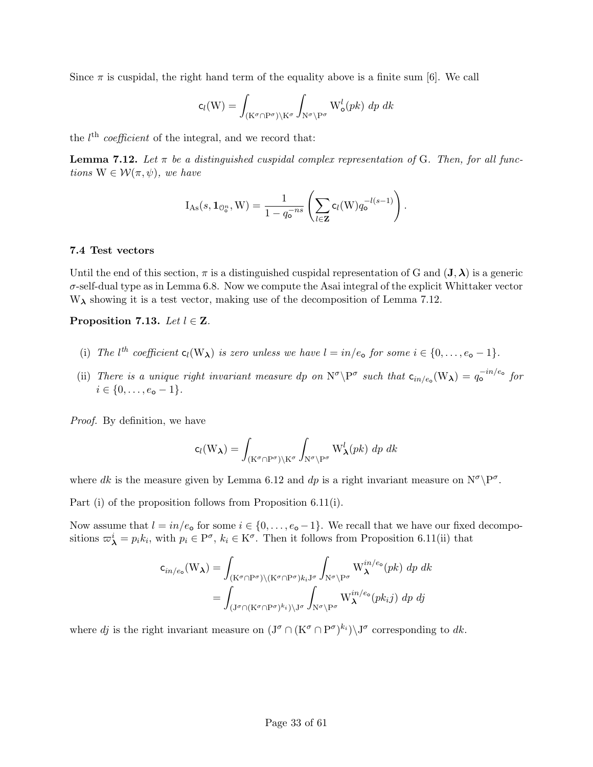Since  $\pi$  is cuspidal, the right hand term of the equality above is a finite sum [6]. We call

$$
c_l(W) = \int_{(K^{\sigma} \cap P^{\sigma}) \backslash K^{\sigma}} \int_{N^{\sigma} \backslash P^{\sigma}} W_o^l(pk) \, dp \, dk
$$

the  $l<sup>th</sup> coefficient$  of the integral, and we record that:

**Lemma 7.12.** Let  $\pi$  be a distinguished cuspidal complex representation of G. Then, for all functions  $W \in \mathcal{W}(\pi, \psi)$ , we have

$$
I_{\mathrm{As}}(s, \mathbf{1}_{\mathbb{O}_{o}^{n}}, W) = \frac{1}{1 - q_{o}^{-ns}} \left( \sum_{l \in \mathbf{Z}} c_{l}(W) q_{o}^{-l(s-1)} \right).
$$

### 7.4 Test vectors

Until the end of this section,  $\pi$  is a distinguished cuspidal representation of G and  $({\bf J},\boldsymbol{\lambda})$  is a generic  $\sigma$ -self-dual type as in Lemma 6.8. Now we compute the Asai integral of the explicit Whittaker vector  $W_{\lambda}$  showing it is a test vector, making use of the decomposition of Lemma 7.12.

Proposition 7.13. Let  $l \in \mathbf{Z}$ .

- (i) The  $l^{th}$  coefficient  $c_l(W_\lambda)$  is zero unless we have  $l = in/e_o$  for some  $i \in \{0, \ldots, e_o 1\}$ .
- (ii) There is a unique right invariant measure dp on  $N^{\sigma} \backslash P^{\sigma}$  such that  $c_{in/e_o}(W_{\lambda}) = q_o^{-in/e_o}$  for  $i \in \{0, \ldots, e_{\mathsf{o}} - 1\}.$

Proof. By definition, we have

$$
c_l(W_{\lambda}) = \int_{(K^{\sigma} \cap P^{\sigma}) \backslash K^{\sigma}} \int_{N^{\sigma} \backslash P^{\sigma}} W_{\lambda}^{l}(pk) \, dp \, dk
$$

where dk is the measure given by Lemma 6.12 and dp is a right invariant measure on  $N^{\sigma} \backslash P^{\sigma}$ .

Part (i) of the proposition follows from Proposition 6.11(i).

Now assume that  $l = in/e_0$  for some  $i \in \{0, \ldots, e_0 - 1\}$ . We recall that we have our fixed decompositions  $\omega^i_{\lambda} = p_i k_i$ , with  $p_i \in \mathbb{P}^{\sigma}$ ,  $k_i \in \mathbb{K}^{\sigma}$ . Then it follows from Proposition 6.11(ii) that

$$
c_{in/e_o}(W_{\lambda}) = \int_{(K^{\sigma} \cap P^{\sigma}) \setminus (K^{\sigma} \cap P^{\sigma})k_iJ^{\sigma}} \int_{N^{\sigma} \setminus P^{\sigma}} W_{\lambda}^{in/e_o}(pk) dp dk
$$
  
= 
$$
\int_{(J^{\sigma} \cap (K^{\sigma} \cap P^{\sigma})^{k_i}) \setminus J^{\sigma}} \int_{N^{\sigma} \setminus P^{\sigma}} W_{\lambda}^{in/e_o}(pk_i) dp dj
$$

where dj is the right invariant measure on  $(J^{\sigma} \cap (K^{\sigma} \cap P^{\sigma})^{k_i}) \setminus J^{\sigma}$  corresponding to dk.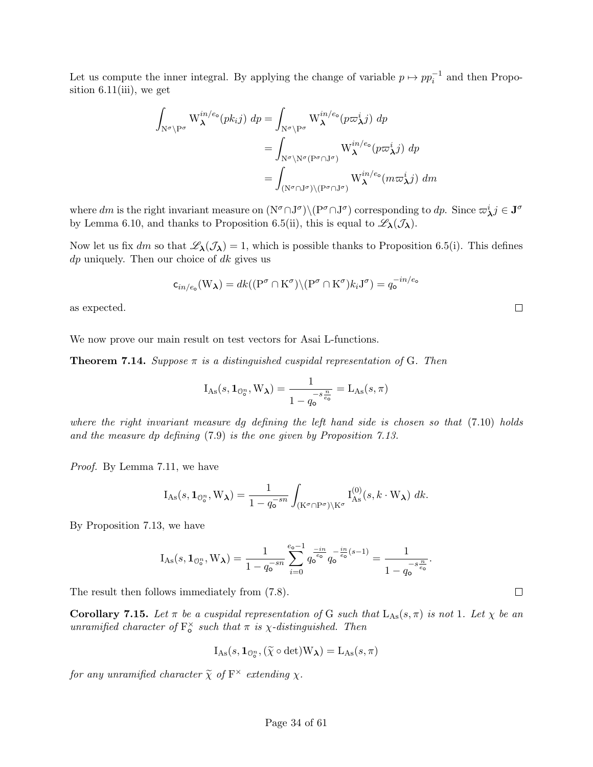Let us compute the inner integral. By applying the change of variable  $p \mapsto pp_i^{-1}$  and then Proposition  $6.11(iii)$ , we get

$$
\int_{\mathcal{N}^{\sigma}\backslash\mathcal{P}^{\sigma}} W_{\lambda}^{in/e_{\circ}}(pk_{i}j) dp = \int_{\mathcal{N}^{\sigma}\backslash\mathcal{P}^{\sigma}} W_{\lambda}^{in/e_{\circ}}(p\varpi_{\lambda}^{i}j) dp
$$
  
\n
$$
= \int_{\mathcal{N}^{\sigma}\backslash\mathcal{N}^{\sigma}(\mathcal{P}^{\sigma}\cap\mathcal{J}^{\sigma})} W_{\lambda}^{in/e_{\circ}}(p\varpi_{\lambda}^{i}j) dp
$$
  
\n
$$
= \int_{(\mathcal{N}^{\sigma}\cap\mathcal{J}^{\sigma})\backslash(\mathcal{P}^{\sigma}\cap\mathcal{J}^{\sigma})} W_{\lambda}^{in/e_{\circ}}(m\varpi_{\lambda}^{i}j) dm
$$

where dm is the right invariant measure on  $(N^{\sigma} \cap J^{\sigma}) \setminus (P^{\sigma} \cap J^{\sigma})$  corresponding to dp. Since  $\varpi_{\lambda}^{i} j \in J^{\sigma}$ by Lemma 6.10, and thanks to Proposition 6.5(ii), this is equal to  $\mathscr{L}_{\lambda}(\mathcal{J}_{\lambda})$ .

Now let us fix dm so that  $\mathscr{L}_{\lambda}(\mathcal{J}_{\lambda}) = 1$ , which is possible thanks to Proposition 6.5(i). This defines  $dp$  uniquely. Then our choice of  $dk$  gives us

$$
\mathsf{c}_{in/e_o}(W_\lambda) = dk((P^\sigma \cap K^\sigma) \setminus (P^\sigma \cap K^\sigma) k_i J^\sigma) = q_o^{-in/e_o}
$$

as expected.

We now prove our main result on test vectors for Asai L-functions.

**Theorem 7.14.** Suppose  $\pi$  is a distinguished cuspidal representation of G. Then

$$
I_{\mathrm{As}}(s, \mathbf{1}_{\mathbb{O}_0^n}, \mathbf{W}_{\lambda}) = \frac{1}{1 - q_o^{-s\frac{n}{e_o}}} = L_{\mathrm{As}}(s, \pi)
$$

where the right invariant measure dg defining the left hand side is chosen so that  $(7.10)$  holds and the measure dp defining (7.9) is the one given by Proposition 7.13.

Proof. By Lemma 7.11, we have

$$
I_{As}(s, \mathbf{1}_{\mathcal{O}_o^n}, W_\lambda) = \frac{1}{1 - q_o^{-sn}} \int_{(K^\sigma \cap P^\sigma) \backslash K^\sigma} I_{As}^{(0)}(s, k \cdot W_\lambda) \ dk.
$$

By Proposition 7.13, we have

$$
I_{As}(s, 1_{\mathbb{O}_0^n}, W_{\lambda}) = \frac{1}{1 - q_0^{-sn}} \sum_{i=0}^{e_0 - 1} q_0^{\frac{-in}{e_0}} q_0^{-\frac{in}{e_0}(s-1)} = \frac{1}{1 - q_0^{-s\frac{n}{e_0}}}.
$$

The result then follows immediately from (7.8).

**Corollary 7.15.** Let  $\pi$  be a cuspidal representation of G such that  $L_{\text{As}}(s,\pi)$  is not 1. Let  $\chi$  be an unramified character of  $F_o^{\times}$  such that  $\pi$  is  $\chi$ -distinguished. Then

$$
I_{\mathrm{As}}(s, \mathbf{1}_{\mathcal{O}_o^n}, (\widetilde{\chi} \circ \det) W_{\lambda}) = L_{\mathrm{As}}(s, \pi)
$$

for any unramified character  $\widetilde{\chi}$  of  $\mathbf{F}^{\times}$  extending  $\chi$ .

 $\Box$ 

 $\Box$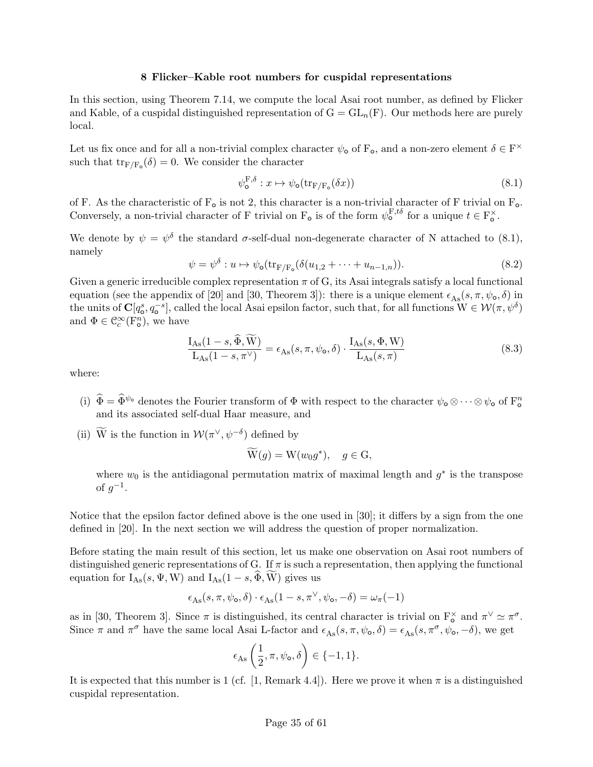#### 8 Flicker–Kable root numbers for cuspidal representations

In this section, using Theorem 7.14, we compute the local Asai root number, as defined by Flicker and Kable, of a cuspidal distinguished representation of  $G = GL_n(F)$ . Our methods here are purely local.

Let us fix once and for all a non-trivial complex character  $\psi_0$  of  $F_0$ , and a non-zero element  $\delta \in F^{\times}$ such that  $\text{tr}_{F/F_o}(\delta) = 0$ . We consider the character

$$
\psi_{\mathbf{o}}^{\mathbf{F},\delta} : x \mapsto \psi_{\mathbf{o}}(\text{tr}_{\mathbf{F}/\mathbf{F}_{\mathbf{o}}}(\delta x)) \tag{8.1}
$$

of F. As the characteristic of  $F_o$  is not 2, this character is a non-trivial character of F trivial on  $F_o$ . Conversely, a non-trivial character of F trivial on  $F_o$  is of the form  $\psi_o^{F,t\delta}$  for a unique  $t \in F_o^{\times}$ .

We denote by  $\psi = \psi^{\delta}$  the standard  $\sigma$ -self-dual non-degenerate character of N attached to (8.1), namely

$$
\psi = \psi^{\delta} : u \mapsto \psi_{\mathsf{o}}(\text{tr}_{F/F_{\mathsf{o}}}(\delta(u_{1,2} + \dots + u_{n-1,n})). \tag{8.2}
$$

Given a generic irreducible complex representation  $\pi$  of G, its Asai integrals satisfy a local functional equation (see the appendix of [20] and [30, Theorem 3]): there is a unique element  $\epsilon_{As}(s, \pi, \psi_{\mathbf{o}}, \delta)$  in the units of  $\mathbf{C}[q_{\mathbf{o}}^s, q_{\mathbf{o}}^{-s}]$ , called the local Asai epsilon factor, such that, for all functions  $\mathbf{W} \in \mathcal{W}(\pi, \psi^{\delta})$ and  $\Phi \in \mathcal{C}_c^{\infty}(\mathcal{F}_{\mathsf{o}}^n)$ , we have

$$
\frac{I_{\text{As}}(1-s,\tilde{\Phi}, \tilde{W})}{L_{\text{As}}(1-s,\pi^{\vee})} = \epsilon_{\text{As}}(s,\pi,\psi_{\text{o}},\delta) \cdot \frac{I_{\text{As}}(s,\Phi, W)}{L_{\text{As}}(s,\pi)}\tag{8.3}
$$

where:

- (i)  $\hat{\Phi} = \hat{\Phi}^{\psi_{o}}$  denotes the Fourier transform of  $\Phi$  with respect to the character  $\psi_{o} \otimes \cdots \otimes \psi_{o}$  of  $F_{o}^{n}$ and its associated self-dual Haar measure, and
- (ii) W is the function in  $\mathcal{W}(\pi^{\vee}, \psi^{-\delta})$  defined by

$$
\widetilde{\mathrm{W}}(g) = \mathrm{W}(w_0 g^*), \quad g \in \mathrm{G},
$$

where  $w_0$  is the antidiagonal permutation matrix of maximal length and  $g^*$  is the transpose of  $g^{-1}$ .

Notice that the epsilon factor defined above is the one used in [30]; it differs by a sign from the one defined in [20]. In the next section we will address the question of proper normalization.

Before stating the main result of this section, let us make one observation on Asai root numbers of distinguished generic representations of G. If  $\pi$  is such a representation, then applying the functional equation for  $I_{\text{As}}(s, \Psi, W)$  and  $I_{\text{As}}(1-s, \widehat{\Phi}, \widetilde{W})$  gives us

$$
\epsilon_{\mathrm{As}}(s,\pi,\psi_{\mathrm{o}},\delta)\cdot\epsilon_{\mathrm{As}}(1-s,\pi^{\vee},\psi_{\mathrm{o}},-\delta)=\omega_{\pi}(-1)
$$

as in [30, Theorem 3]. Since  $\pi$  is distinguished, its central character is trivial on  $F_o^{\times}$  and  $\pi^{\vee} \simeq \pi^{\sigma}$ . Since  $\pi$  and  $\pi^{\sigma}$  have the same local Asai L-factor and  $\epsilon_{\text{As}}(s, \pi, \psi_{\text{o}}, \delta) = \epsilon_{\text{As}}(s, \pi^{\sigma}, \psi_{\text{o}}, -\delta)$ , we get

$$
\epsilon_{\mathrm{As}}\left(\frac{1}{2},\pi,\psi_{\mathrm{o}},\delta\right) \in \{-1,1\}.
$$

It is expected that this number is 1 (cf. [1, Remark 4.4]). Here we prove it when  $\pi$  is a distinguished cuspidal representation.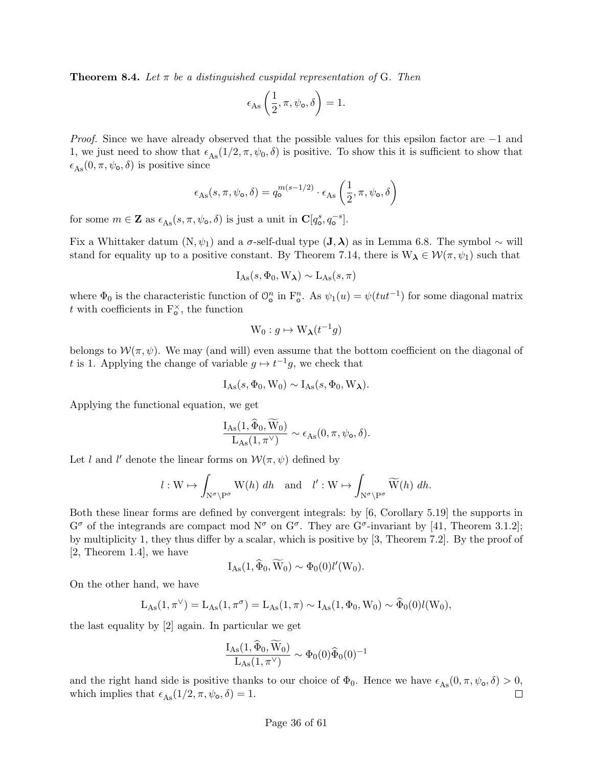**Theorem 8.4.** Let  $\pi$  be a distinguished cuspidal representation of G. Then

$$
\epsilon_{\text{As}}\left(\frac{1}{2}, \pi, \psi_{\text{o}}, \delta\right) = 1.
$$

Proof. Since we have already observed that the possible values for this epsilon factor are −1 and 1, we just need to show that  $\epsilon_{\text{As}}(1/2, \pi, \psi_0, \delta)$  is positive. To show this it is sufficient to show that  $\epsilon_{\text{As}}(0, \pi, \psi_{\text{o}}, \delta)$  is positive since

$$
\epsilon_{\text{As}}(s,\pi,\psi_{\text{o}},\delta) = q_{\text{o}}^{m(s-1/2)} \cdot \epsilon_{\text{As}}\left(\frac{1}{2},\pi,\psi_{\text{o}},\delta\right)
$$

for some  $m \in \mathbf{Z}$  as  $\epsilon_{\text{As}}(s, \pi, \psi_0, \delta)$  is just a unit in  $\mathbf{C}[q^s_0, q^{-s}_0].$ 

Fix a Whittaker datum  $(N, \psi_1)$  and a  $\sigma$ -self-dual type  $(\mathbf{J}, \boldsymbol{\lambda})$  as in Lemma 6.8. The symbol ~ will stand for equality up to a positive constant. By Theorem 7.14, there is  $W_{\lambda} \in \mathcal{W}(\pi, \psi_1)$  such that

$$
I_{\mathrm{As}}(s, \Phi_0, W_{\lambda}) \sim L_{\mathrm{As}}(s, \pi)
$$

where  $\Phi_0$  is the characteristic function of  $\mathcal{O}_0^n$  in  $\mathbb{F}_0^n$ . As  $\psi_1(u) = \psi(tut^{-1})$  for some diagonal matrix t with coefficients in  $F_o^{\times}$ , the function

$$
\mathrm{W}_0: g \mapsto \mathrm{W}_{\lambda}(t^{-1}g)
$$

belongs to  $\mathcal{W}(\pi,\psi)$ . We may (and will) even assume that the bottom coefficient on the diagonal of t is 1. Applying the change of variable  $g \mapsto t^{-1}g$ , we check that

$$
I_{As}(s, \Phi_0, W_0) \sim I_{As}(s, \Phi_0, W_{\lambda}).
$$

Applying the functional equation, we get

$$
\frac{I_{\mathrm{As}}(1,\widetilde{\Phi}_0,W_0)}{L_{\mathrm{As}}(1,\pi^{\vee})} \sim \epsilon_{\mathrm{As}}(0,\pi,\psi_\mathrm{o},\delta).
$$

Let l and l' denote the linear forms on  $\mathcal{W}(\pi,\psi)$  defined by

$$
l: W \mapsto \int_{N^{\sigma} \backslash P^{\sigma}} W(h) dh
$$
 and  $l': W \mapsto \int_{N^{\sigma} \backslash P^{\sigma}} \widetilde{W}(h) dh$ .

Both these linear forms are defined by convergent integrals: by [6, Corollary 5.19] the supports in  $G^{\sigma}$  of the integrands are compact mod  $N^{\sigma}$  on  $G^{\sigma}$ . They are  $G^{\sigma}$ -invariant by [41, Theorem 3.1.2]; by multiplicity 1, they thus differ by a scalar, which is positive by [3, Theorem 7.2]. By the proof of [2, Theorem 1.4], we have

$$
I_{As}(1,\widehat{\Phi}_0,\widetilde{W}_0)\sim \Phi_0(0)l'(W_0).
$$

On the other hand, we have

$$
L_{\mathrm{As}}(1,\pi^{\vee})=L_{\mathrm{As}}(1,\pi^{\sigma})=L_{\mathrm{As}}(1,\pi)\sim I_{\mathrm{As}}(1,\Phi_0,W_0)\sim \widehat{\Phi}_0(0)l(W_0),
$$

the last equality by [2] again. In particular we get

$$
\frac{\mathrm{I}_{\mathrm{As}}(1,\widehat{\Phi}_0,\overline{\mathrm{W}}_0)}{\mathrm{L}_{\mathrm{As}}(1,\pi^\vee)}\sim \Phi_0(0)\widehat{\Phi}_0(0)^{-1}
$$

and the right hand side is positive thanks to our choice of  $\Phi_0$ . Hence we have  $\epsilon_{\text{As}}(0, \pi, \psi_0, \delta) > 0$ , which implies that  $\epsilon_{\text{As}}(1/2, \pi, \psi_{\text{o}}, \delta) = 1$ .  $\Box$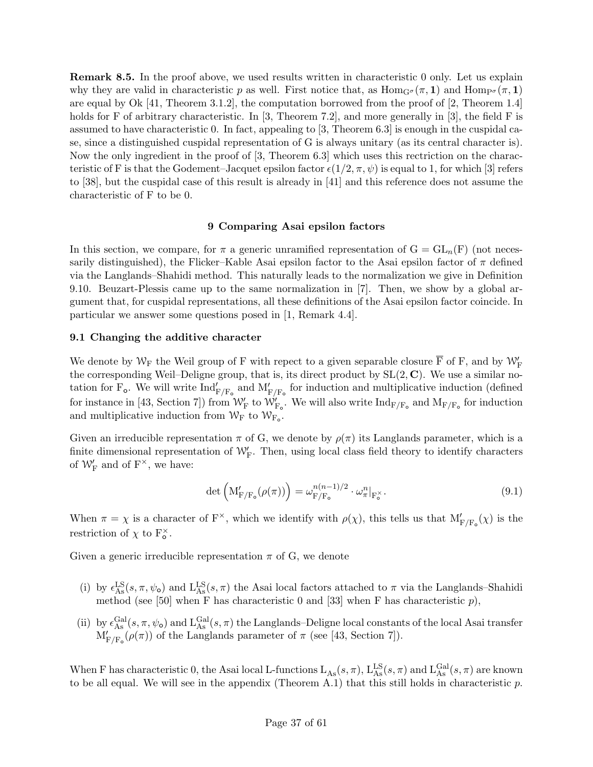Remark 8.5. In the proof above, we used results written in characteristic 0 only. Let us explain why they are valid in characteristic p as well. First notice that, as  $\text{Hom}_{G}(\pi, 1)$  and  $\text{Hom}_{P^{\sigma}}(\pi, 1)$ are equal by Ok [41, Theorem 3.1.2], the computation borrowed from the proof of [2, Theorem 1.4] holds for F of arbitrary characteristic. In [3, Theorem 7.2], and more generally in [3], the field F is assumed to have characteristic 0. In fact, appealing to [3, Theorem 6.3] is enough in the cuspidal case, since a distinguished cuspidal representation of G is always unitary (as its central character is). Now the only ingredient in the proof of [3, Theorem 6.3] which uses this rectriction on the characteristic of F is that the Godement–Jacquet epsilon factor  $\epsilon(1/2, \pi, \psi)$  is equal to 1, for which [3] refers to [38], but the cuspidal case of this result is already in [41] and this reference does not assume the characteristic of F to be 0.

### 9 Comparing Asai epsilon factors

In this section, we compare, for  $\pi$  a generic unramified representation of  $G = GL_n(F)$  (not necessarily distinguished), the Flicker–Kable Asai epsilon factor to the Asai epsilon factor of  $\pi$  defined via the Langlands–Shahidi method. This naturally leads to the normalization we give in Definition 9.10. Beuzart-Plessis came up to the same normalization in [7]. Then, we show by a global argument that, for cuspidal representations, all these definitions of the Asai epsilon factor coincide. In particular we answer some questions posed in [1, Remark 4.4].

#### 9.1 Changing the additive character

We denote by  $\mathcal{W}_F$  the Weil group of F with repect to a given separable closure  $\overline{F}$  of F, and by  $\mathcal{W}'_F$ the corresponding Weil–Deligne group, that is, its direct product by  $SL(2, \mathbb{C})$ . We use a similar notation for  $F_o$ . We will write  $Ind'_{F/F_o}$  and  $M'_{F/F_o}$  for induction and multiplicative induction (defined for instance in [43, Section 7]) from  $W'_{F}$  to  $W'_{F_o}$ . We will also write  ${\rm Ind}_{F/F_o}$  and  $M_{F/F_o}$  for induction and multiplicative induction from  $W_F$  to  $W_{F_o}$ .

Given an irreducible representation  $\pi$  of G, we denote by  $\rho(\pi)$  its Langlands parameter, which is a finite dimensional representation of  $\mathcal{W}_{F}^{\prime}$ . Then, using local class field theory to identify characters of  $\mathcal{W}'_{\mathrm{F}}$  and of  $\mathrm{F}^{\times}$ , we have:

$$
\det\left(\mathbf{M}'_{\mathbf{F}/\mathbf{F}_{\mathsf{o}}}(\rho(\pi))\right) = \omega_{\mathbf{F}/\mathbf{F}_{\mathsf{o}}}^{n(n-1)/2} \cdot \omega_{\pi}^{n}|_{\mathbf{F}_{\mathsf{o}}^{\times}}.\tag{9.1}
$$

When  $\pi = \chi$  is a character of  $F^{\times}$ , which we identify with  $\rho(\chi)$ , this tells us that  $M'_{F/F_o}(\chi)$  is the restriction of  $\chi$  to  $F_o^{\times}$ .

Given a generic irreducible representation  $\pi$  of G, we denote

- (i) by  $\epsilon_{\text{As}}^{\text{LS}}(s, \pi, \psi_0)$  and  $\text{L}_{\text{As}}^{\text{LS}}(s, \pi)$  the Asai local factors attached to  $\pi$  via the Langlands–Shahidi method (see [50] when F has characteristic 0 and [33] when F has characteristic  $p$ ),
- (ii) by  $\epsilon_{\text{As}}^{\text{Gal}}(s, \pi, \psi_0)$  and  $\text{L}_{\text{As}}^{\text{Gal}}(s, \pi)$  the Langlands–Deligne local constants of the local Asai transfer  $M'_{F/F_o}(\rho(\pi))$  of the Langlands parameter of  $\pi$  (see [43, Section 7]).

When F has characteristic 0, the Asai local L-functions  $L_{As}(s, \pi)$ ,  $L_{As}^{LS}(s, \pi)$  and  $L_{As}^{Gal}(s, \pi)$  are known to be all equal. We will see in the appendix (Theorem A.1) that this still holds in characteristic  $p$ .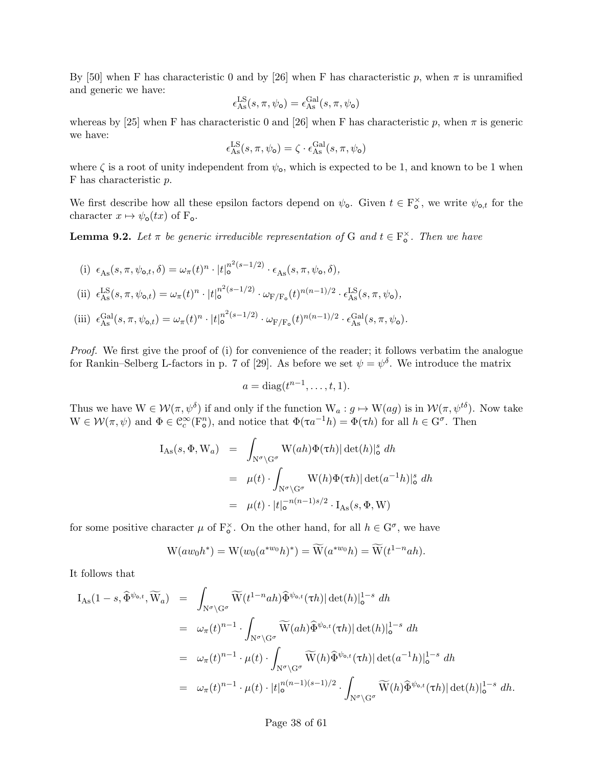By [50] when F has characteristic 0 and by [26] when F has characteristic p, when  $\pi$  is unramified and generic we have:

$$
\epsilon_{\rm As}^{\rm LS}(s,\pi,\psi_\mathrm{o})=\epsilon_{\rm As}^{\rm Gal}(s,\pi,\psi_\mathrm{o})
$$

whereas by [25] when F has characteristic 0 and [26] when F has characteristic p, when  $\pi$  is generic we have:

$$
\epsilon_{\mathrm{As}}^{\mathrm{LS}}(s, \pi, \psi_{\mathrm{o}}) = \zeta \cdot \epsilon_{\mathrm{As}}^{\mathrm{Gal}}(s, \pi, \psi_{\mathrm{o}})
$$

where  $\zeta$  is a root of unity independent from  $\psi_{\mathbf{0}}$ , which is expected to be 1, and known to be 1 when F has characteristic p.

We first describe how all these epsilon factors depend on  $\psi_{o}$ . Given  $t \in F_{o}^{\times}$ , we write  $\psi_{o,t}$  for the character  $x \mapsto \psi_{\mathbf{o}}(tx)$  of  $F_{\mathbf{o}}$ .

**Lemma 9.2.** Let  $\pi$  be generic irreducible representation of G and  $t \in F_o^{\times}$ . Then we have

(i) 
$$
\epsilon_{\text{As}}(s, \pi, \psi_{\text{o},t}, \delta) = \omega_{\pi}(t)^n \cdot |t|_0^{n^2(s-1/2)} \cdot \epsilon_{\text{As}}(s, \pi, \psi_{\text{o}}, \delta),
$$
  
\n(ii)  $\epsilon_{\text{As}}^{\text{LS}}(s, \pi, \psi_{\text{o},t}) = \omega_{\pi}(t)^n \cdot |t|_0^{n^2(s-1/2)} \cdot \omega_{\text{F}/\text{F}_0}(t)^{n(n-1)/2} \cdot \epsilon_{\text{As}}^{\text{LS}}(s, \pi, \psi_{\text{o}}),$   
\n(iii)  $\epsilon_{\text{As}}^{\text{Gal}}(s, \pi, \psi_{\text{o},t}) = \omega_{\pi}(t)^n \cdot |t|_0^{n^2(s-1/2)} \cdot \omega_{\text{F}/\text{F}_\text{o}}(t)^{n(n-1)/2} \cdot \epsilon_{\text{As}}^{\text{Gal}}(s, \pi, \psi_{\text{o}}).$ 

Proof. We first give the proof of (i) for convenience of the reader; it follows verbatim the analogue for Rankin–Selberg L-factors in p. 7 of [29]. As before we set  $\psi = \psi^{\delta}$ . We introduce the matrix

$$
a = \operatorname{diag}(t^{n-1}, \dots, t, 1).
$$

Thus we have  $W \in \mathcal{W}(\pi, \psi^{\delta})$  if and only if the function  $W_a: g \mapsto W(ag)$  is in  $\mathcal{W}(\pi, \psi^{t\delta})$ . Now take  $W \in \mathcal{W}(\pi, \psi)$  and  $\Phi \in \mathcal{C}_c^{\infty}(\mathbb{F}_o^n)$ , and notice that  $\Phi(\tau a^{-1}h) = \Phi(\tau h)$  for all  $h \in \mathbb{G}^{\sigma}$ . Then

$$
I_{\text{As}}(s, \Phi, W_a) = \int_{N^{\sigma} \backslash G^{\sigma}} W(ah) \Phi(\tau h) |\det(h)|_{\text{o}}^s dh
$$
  

$$
= \mu(t) \cdot \int_{N^{\sigma} \backslash G^{\sigma}} W(h) \Phi(\tau h) |\det(a^{-1}h)|_{\text{o}}^s dh
$$
  

$$
= \mu(t) \cdot |t|_{\text{o}}^{-n(n-1)s/2} \cdot I_{\text{As}}(s, \Phi, W)
$$

for some positive character  $\mu$  of  $F_o^{\times}$ . On the other hand, for all  $h \in G^{\sigma}$ , we have

$$
\mathcal{W}(aw_0h^*) = \mathcal{W}(w_0(a^{*w_0}h)^*) = \widetilde{\mathcal{W}}(a^{*w_0}h) = \widetilde{\mathcal{W}}(t^{1-n}ah).
$$

It follows that

$$
I_{As}(1-s,\widehat{\Phi}^{\psi_{o,t}},\widetilde{W}_a) = \int_{N^{\sigma}\backslash G^{\sigma}} \widetilde{W}(t^{1-n}ah)\widehat{\Phi}^{\psi_{o,t}}(\tau h)|\det(h)|_{o}^{1-s} dh
$$
  
\n
$$
= \omega_{\pi}(t)^{n-1} \cdot \int_{N^{\sigma}\backslash G^{\sigma}} \widetilde{W}(ah)\widehat{\Phi}^{\psi_{o,t}}(\tau h)|\det(h)|_{o}^{1-s} dh
$$
  
\n
$$
= \omega_{\pi}(t)^{n-1} \cdot \mu(t) \cdot \int_{N^{\sigma}\backslash G^{\sigma}} \widetilde{W}(h)\widehat{\Phi}^{\psi_{o,t}}(\tau h)|\det(a^{-1}h)|_{o}^{1-s} dh
$$
  
\n
$$
= \omega_{\pi}(t)^{n-1} \cdot \mu(t) \cdot |t|_{o}^{n(n-1)(s-1)/2} \cdot \int_{N^{\sigma}\backslash G^{\sigma}} \widetilde{W}(h)\widehat{\Phi}^{\psi_{o,t}}(\tau h)|\det(h)|_{o}^{1-s} dh.
$$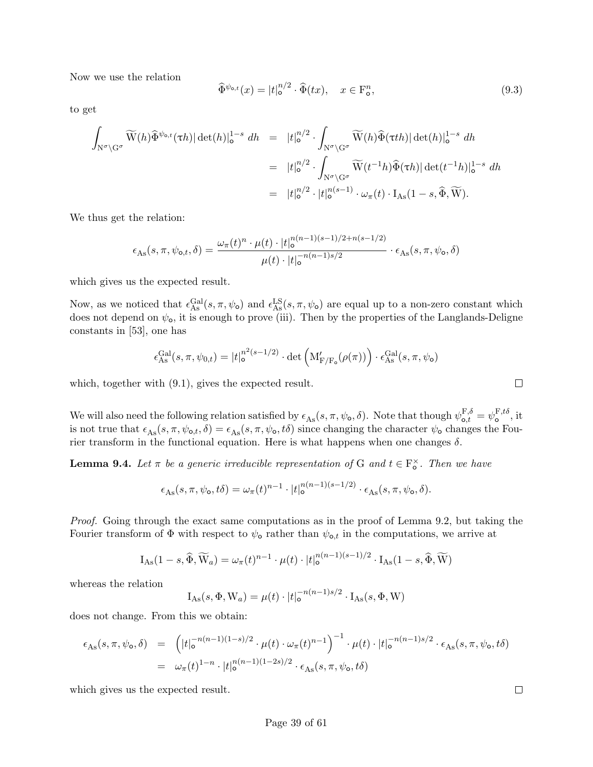Now we use the relation

$$
\widehat{\Phi}^{\psi_{\mathsf{o},t}}(x) = |t|_{\mathsf{o}}^{n/2} \cdot \widehat{\Phi}(tx), \quad x \in \mathcal{F}_{\mathsf{o}}^n,\tag{9.3}
$$

to get

$$
\int_{\mathcal{N}^{\sigma}\backslash\mathcal{G}^{\sigma}} \widetilde{W}(h)\widehat{\Phi}^{\psi_{\mathsf{o},t}}(\tau h)|\det(h)|_{\mathsf{o}}^{1-s} dh = |t|_{\mathsf{o}}^{n/2} \cdot \int_{\mathcal{N}^{\sigma}\backslash\mathcal{G}^{\sigma}} \widetilde{W}(h)\widehat{\Phi}(\tau th)|\det(h)|_{\mathsf{o}}^{1-s} dh
$$
\n
$$
= |t|_{\mathsf{o}}^{n/2} \cdot \int_{\mathcal{N}^{\sigma}\backslash\mathcal{G}^{\sigma}} \widetilde{W}(t^{-1}h)\widehat{\Phi}(\tau h)|\det(t^{-1}h)|_{\mathsf{o}}^{1-s} dh
$$
\n
$$
= |t|_{\mathsf{o}}^{n/2} \cdot |t|_{\mathsf{o}}^{n(s-1)} \cdot \omega_{\pi}(t) \cdot I_{\text{As}}(1-s, \widehat{\Phi}, \widetilde{W}).
$$

We thus get the relation:

$$
\epsilon_{\text{As}}(s,\pi,\psi_{\text{o},t},\delta) = \frac{\omega_{\pi}(t)^n \cdot \mu(t) \cdot |t|_{\text{o}}^{n(n-1)(s-1)/2 + n(s-1/2)}}{\mu(t) \cdot |t|_{\text{o}}^{-n(n-1)s/2}} \cdot \epsilon_{\text{As}}(s,\pi,\psi_{\text{o}},\delta)
$$

which gives us the expected result.

Now, as we noticed that  $\epsilon_{\rm As}^{\rm Gal}(s,\pi,\psi_{\rm o})$  and  $\epsilon_{\rm As}^{\rm LS}(s,\pi,\psi_{\rm o})$  are equal up to a non-zero constant which does not depend on  $\psi_{\text{o}}$ , it is enough to prove (iii). Then by the properties of the Langlands-Deligne constants in [53], one has

$$
\epsilon^{\text{Gal}}_{\text{As}}(s,\pi,\psi_{0,t}) = |t|_0^{n^2(s-1/2)} \cdot \det \left( \mathbf{M}'_{\text{F}/\text{F}_0}(\rho(\pi)) \right) \cdot \epsilon^{\text{Gal}}_{\text{As}}(s,\pi,\psi_0)
$$

which, together with (9.1), gives the expected result.

We will also need the following relation satisfied by  $\epsilon_{\text{As}}(s, \pi, \psi_{\text{o}}, \delta)$ . Note that though  $\psi_{\text{o},t}^{\text{F},\delta} = \psi_{\text{o}}^{\text{F},t\delta}$  $\mathbf{r}^{\text{r},\text{to}}$ , it is not true that  $\epsilon_{\text{As}}(s, \pi, \psi_{\text{o},t}, \delta) = \epsilon_{\text{As}}(s, \pi, \psi_{\text{o}}, t\delta)$  since changing the character  $\psi_{\text{o}}$  changes the Fourier transform in the functional equation. Here is what happens when one changes  $\delta$ .

**Lemma 9.4.** Let  $\pi$  be a generic irreducible representation of G and  $t \in F_o^{\times}$ . Then we have

$$
\epsilon_{\text{As}}(s,\pi,\psi_{\text{o}},t\delta)=\omega_{\pi}(t)^{n-1}\cdot|t|_{\text{o}}^{n(n-1)(s-1/2)}\cdot\epsilon_{\text{As}}(s,\pi,\psi_{\text{o}},\delta).
$$

Proof. Going through the exact same computations as in the proof of Lemma 9.2, but taking the Fourier transform of  $\Phi$  with respect to  $\psi_{\text{o}}$  rather than  $\psi_{\text{o},t}$  in the computations, we arrive at

$$
I_{\mathrm{As}}(1-s,\widehat{\Phi},\widetilde{W}_a)=\omega_{\pi}(t)^{n-1}\cdot\mu(t)\cdot|t|_0^{n(n-1)(s-1)/2}\cdot I_{\mathrm{As}}(1-s,\widehat{\Phi},\widetilde{W})
$$

whereas the relation

$$
I_{\mathrm{As}}(s, \Phi, W_a) = \mu(t) \cdot |t|_0^{-n(n-1)s/2} \cdot I_{\mathrm{As}}(s, \Phi, W)
$$

does not change. From this we obtain:

$$
\epsilon_{\text{As}}(s,\pi,\psi_{\text{o}},\delta) = \left( |t|_{\text{o}}^{-n(n-1)(1-s)/2} \cdot \mu(t) \cdot \omega_{\pi}(t)^{n-1} \right)^{-1} \cdot \mu(t) \cdot |t|_{\text{o}}^{-n(n-1)s/2} \cdot \epsilon_{\text{As}}(s,\pi,\psi_{\text{o}},t\delta)
$$
  

$$
= \omega_{\pi}(t)^{1-n} \cdot |t|_{\text{o}}^{n(n-1)(1-2s)/2} \cdot \epsilon_{\text{As}}(s,\pi,\psi_{\text{o}},t\delta)
$$

which gives us the expected result.

 $\Box$ 

 $\Box$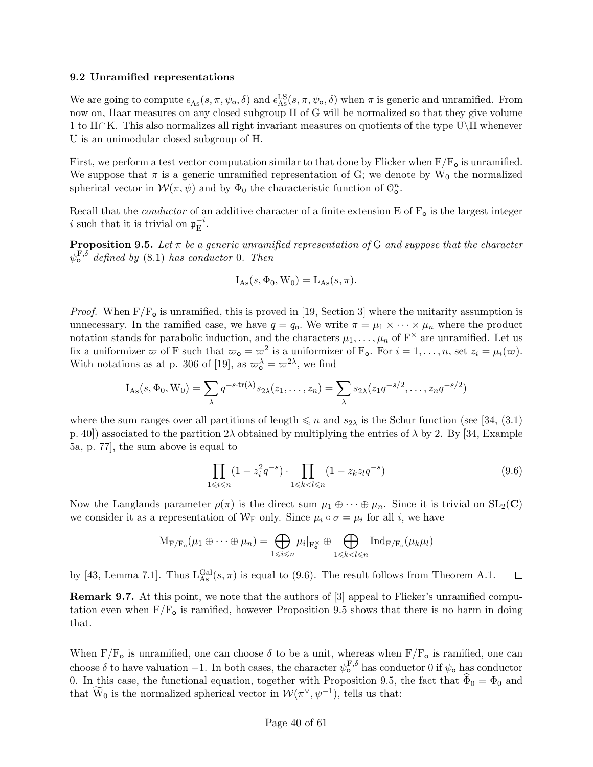#### 9.2 Unramified representations

We are going to compute  $\epsilon_{\text{As}}(s, \pi, \psi_{\text{o}}, \delta)$  and  $\epsilon_{\text{As}}^{\text{LS}}(s, \pi, \psi_{\text{o}}, \delta)$  when  $\pi$  is generic and unramified. From now on, Haar measures on any closed subgroup H of G will be normalized so that they give volume 1 to H∩K. This also normalizes all right invariant measures on quotients of the type U\H whenever U is an unimodular closed subgroup of H.

First, we perform a test vector computation similar to that done by Flicker when  $F/F<sub>o</sub>$  is unramified. We suppose that  $\pi$  is a generic unramified representation of G; we denote by W<sub>0</sub> the normalized spherical vector in  $W(\pi,\psi)$  and by  $\Phi_0$  the characteristic function of  $\mathcal{O}_{\mathbf{o}}^n$ .

Recall that the *conductor* of an additive character of a finite extension E of  $F_o$  is the largest integer i such that it is trivial on  $\mathfrak{p}_{\mathrm{E}}^{-i}$  $\bar{E}^i$ .

**Proposition 9.5.** Let  $\pi$  be a generic unramified representation of G and suppose that the character  $\psi_{\mathsf{o}}^{\mathrm{F},\delta^-}$  defined by (8.1) has conductor 0. Then

$$
I_{\text{As}}(s, \Phi_0, W_0) = L_{\text{As}}(s, \pi).
$$

*Proof.* When  $F/F_{o}$  is unramified, this is proved in [19, Section 3] where the unitarity assumption is unnecessary. In the ramified case, we have  $q = q_0$ . We write  $\pi = \mu_1 \times \cdots \times \mu_n$  where the product notation stands for parabolic induction, and the characters  $\mu_1, \ldots, \mu_n$  of  $F^{\times}$  are unramified. Let us fix a uniformizer  $\varpi$  of F such that  $\varpi_{\mathbf{o}} = \varpi^2$  is a uniformizer of F<sub>**o**</sub>. For  $i = 1, \ldots, n$ , set  $z_i = \mu_i(\varpi)$ . With notations as at p. 306 of [19], as  $\omega_o^{\lambda} = \omega^{2\lambda}$ , we find

$$
I_{As}(s, \Phi_0, W_0) = \sum_{\lambda} q^{-s \cdot tr(\lambda)} s_{2\lambda}(z_1, \dots, z_n) = \sum_{\lambda} s_{2\lambda}(z_1 q^{-s/2}, \dots, z_n q^{-s/2})
$$

where the sum ranges over all partitions of length  $\leq n$  and  $s_{2\lambda}$  is the Schur function (see [34, (3.1) p. 40]) associated to the partition  $2\lambda$  obtained by multiplying the entries of  $\lambda$  by 2. By [34, Example 5a, p. 77], the sum above is equal to

$$
\prod_{1 \le i \le n} (1 - z_i^2 q^{-s}) \cdot \prod_{1 \le k < l \le n} (1 - z_k z_l q^{-s}) \tag{9.6}
$$

Now the Langlands parameter  $\rho(\pi)$  is the direct sum  $\mu_1 \oplus \cdots \oplus \mu_n$ . Since it is trivial on  $SL_2(\mathbb{C})$ we consider it as a representation of  $W_F$  only. Since  $\mu_i \circ \sigma = \mu_i$  for all i, we have

$$
\mathrm{M}_{\mathrm{F}/\mathrm{F}_{\mathrm{o}}}(\mu_1 \oplus \cdots \oplus \mu_n) = \bigoplus_{1 \leqslant i \leqslant n} \mu_i|_{\mathrm{F}_{\mathrm{o}}^{\times}} \oplus \bigoplus_{1 \leqslant k < l \leqslant n} \mathrm{Ind}_{\mathrm{F}/\mathrm{F}_{\mathrm{o}}}(\mu_k \mu_l)
$$

by [43, Lemma 7.1]. Thus  $L_{As}^{Gal}(s,\pi)$  is equal to (9.6). The result follows from Theorem A.1.  $\Box$ 

Remark 9.7. At this point, we note that the authors of [3] appeal to Flicker's unramified computation even when  $F/F<sub>o</sub>$  is ramified, however Proposition 9.5 shows that there is no harm in doing that.

When  $F/F_{o}$  is unramified, one can choose  $\delta$  to be a unit, whereas when  $F/F_{o}$  is ramified, one can choose  $\delta$  to have valuation  $-1$ . In both cases, the character  $\psi_0^{\text{F},\delta}$  has conductor 0 if  $\psi_0$  has conductor 0. In this case, the functional equation, together with Proposition 9.5, the fact that  $\Phi_0 = \Phi_0$  and that  $\widetilde{W}_0$  is the normalized spherical vector in  $\mathcal{W}(\pi^{\vee}, \psi^{-1})$ , tells us that: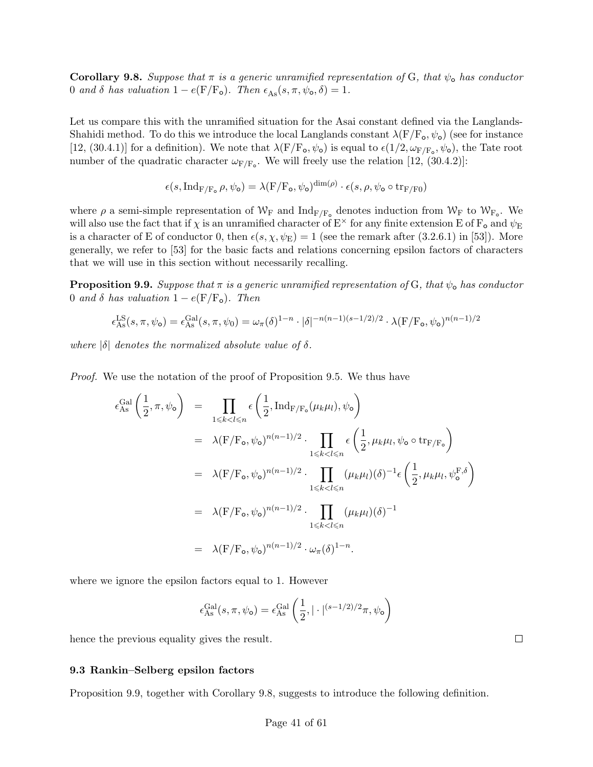**Corollary 9.8.** Suppose that  $\pi$  is a generic unramified representation of G, that  $\psi_{o}$  has conductor 0 and  $\delta$  has valuation  $1 - e(F/F_o)$ . Then  $\epsilon_{As}(s, \pi, \psi_o, \delta) = 1$ .

Let us compare this with the unramified situation for the Asai constant defined via the Langlands-Shahidi method. To do this we introduce the local Langlands constant  $\lambda(F/F_{o}, \psi_{o})$  (see for instance [12, (30.4.1)] for a definition). We note that  $\lambda(F/F_o, \psi_o)$  is equal to  $\epsilon(1/2, \omega_{F/F_o}, \psi_o)$ , the Tate root number of the quadratic character  $\omega_{F/F_o}$ . We will freely use the relation [12, (30.4.2)]:

$$
\epsilon(s,\mathrm{Ind}_{\mathrm{F}/\mathrm{F}_\mathrm{o}}\rho,\psi_\mathrm{o})=\lambda(\mathrm{F}/\mathrm{F}_\mathrm{o},\psi_\mathrm{o})^{\dim(\rho)}\cdot\epsilon(s,\rho,\psi_\mathrm{o}\circ\mathrm{tr}_{\mathrm{F}/\mathrm{F}0})
$$

where  $\rho$  a semi-simple representation of  $W_F$  and  $\text{Ind}_{F/F_o}$  denotes induction from  $W_F$  to  $W_{F_o}$ . We will also use the fact that if  $\chi$  is an unramified character of  $E^{\times}$  for any finite extension E of  $F_o$  and  $\psi_E$ is a character of E of conductor 0, then  $\epsilon(s, \chi, \psi_E) = 1$  (see the remark after (3.2.6.1) in [53]). More generally, we refer to [53] for the basic facts and relations concerning epsilon factors of characters that we will use in this section without necessarily recalling.

**Proposition 9.9.** Suppose that  $\pi$  is a generic unramified representation of G, that  $\psi_{o}$  has conductor 0 and  $\delta$  has valuation 1 – e(F/F<sub>o</sub>). Then

$$
\epsilon_{\rm As}^{\rm LS}(s,\pi,\psi_{\rm o}) = \epsilon_{\rm As}^{\rm Gal}(s,\pi,\psi_0) = \omega_{\pi}(\delta)^{1-n} \cdot |\delta|^{-n(n-1)(s-1/2)/2} \cdot \lambda(F/F_{\rm o},\psi_{\rm o})^{n(n-1)/2}
$$

where  $|\delta|$  denotes the normalized absolute value of  $\delta$ .

Proof. We use the notation of the proof of Proposition 9.5. We thus have

$$
\epsilon_{\text{As}}^{\text{Gal}}\left(\frac{1}{2}, \pi, \psi_{\mathbf{o}}\right) = \prod_{1 \leq k < l \leq n} \epsilon\left(\frac{1}{2}, \text{Ind}_{F/F_{\mathbf{o}}}\left(\mu_k \mu_l\right), \psi_{\mathbf{o}}\right)
$$
\n
$$
= \lambda (F/F_{\mathbf{o}}, \psi_{\mathbf{o}})^{n(n-1)/2} \cdot \prod_{1 \leq k < l \leq n} \epsilon\left(\frac{1}{2}, \mu_k \mu_l, \psi_{\mathbf{o}} \circ \text{tr}_{F/F_{\mathbf{o}}}\right)
$$
\n
$$
= \lambda (F/F_{\mathbf{o}}, \psi_{\mathbf{o}})^{n(n-1)/2} \cdot \prod_{1 \leq k < l \leq n} (\mu_k \mu_l)(\delta)^{-1} \epsilon\left(\frac{1}{2}, \mu_k \mu_l, \psi_{\mathbf{o}}^{F, \delta}\right)
$$
\n
$$
= \lambda (F/F_{\mathbf{o}}, \psi_{\mathbf{o}})^{n(n-1)/2} \cdot \prod_{1 \leq k < l \leq n} (\mu_k \mu_l)(\delta)^{-1}
$$
\n
$$
= \lambda (F/F_{\mathbf{o}}, \psi_{\mathbf{o}})^{n(n-1)/2} \cdot \omega_{\pi}(\delta)^{1-n}.
$$

where we ignore the epsilon factors equal to 1. However

$$
\epsilon_{\mathrm{As}}^{\mathrm{Gal}}(s,\pi,\psi_{\mathrm{o}}) = \epsilon_{\mathrm{As}}^{\mathrm{Gal}}\left(\frac{1}{2},|\cdot|^{(s-1/2)/2}\pi,\psi_{\mathrm{o}}\right)
$$

hence the previous equality gives the result.

### 9.3 Rankin–Selberg epsilon factors

Proposition 9.9, together with Corollary 9.8, suggests to introduce the following definition.

 $\Box$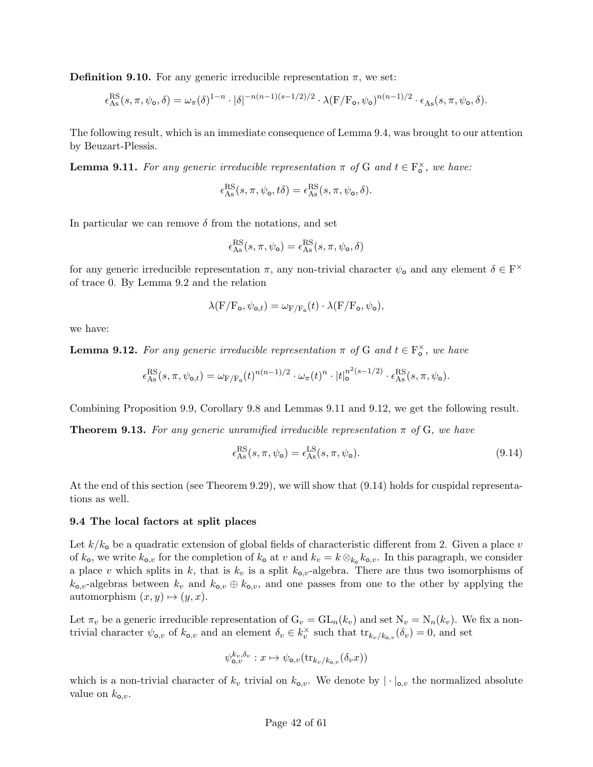**Definition 9.10.** For any generic irreducible representation  $\pi$ , we set:

$$
\epsilon_{\rm As}^{\rm RS}(s,\pi,\psi_{\rm o},\delta)=\omega_{\pi}(\delta)^{1-n}\cdot|\delta|^{-n(n-1)(s-1/2)/2}\cdot\lambda(F/F_{\rm o},\psi_{\rm o})^{n(n-1)/2}\cdot\epsilon_{\rm As}(s,\pi,\psi_{\rm o},\delta).
$$

The following result, which is an immediate consequence of Lemma 9.4, was brought to our attention by Beuzart-Plessis.

**Lemma 9.11.** For any generic irreducible representation  $\pi$  of G and  $t \in \mathbb{F}_\text{o}^\times$ , we have:

$$
\epsilon_{\mathrm{As}}^{\mathrm{RS}}(s,\pi,\psi_{\mathrm{o}},t\delta)=\epsilon_{\mathrm{As}}^{\mathrm{RS}}(s,\pi,\psi_{\mathrm{o}},\delta).
$$

In particular we can remove  $\delta$  from the notations, and set

$$
\epsilon_{\mathrm{As}}^{\mathrm{RS}}(s,\pi,\psi_{\mathrm{o}}) = \epsilon_{\mathrm{As}}^{\mathrm{RS}}(s,\pi,\psi_{\mathrm{o}},\delta)
$$

for any generic irreducible representation  $\pi$ , any non-trivial character  $\psi_{o}$  and any element  $\delta \in F^{\times}$ of trace 0. By Lemma 9.2 and the relation

$$
\lambda(\mathbf{F}/\mathbf{F_o}, \psi_{\mathbf{o},t}) = \omega_{\mathbf{F}/\mathbf{F_o}}(t) \cdot \lambda(\mathbf{F}/\mathbf{F_o}, \psi_{\mathbf{o}}),
$$

we have:

**Lemma 9.12.** For any generic irreducible representation  $\pi$  of G and  $t \in \mathbb{F}_{o}^{\times}$ , we have

$$
\epsilon_{\mathrm{As}}^{\mathrm{RS}}(s,\pi,\psi_{\mathrm{o},t}) = \omega_{\mathrm{F}/\mathrm{F}_{\mathrm{o}}}(t)^{n(n-1)/2} \cdot \omega_{\pi}(t)^n \cdot |t|_{\mathrm{o}}^{n^2(s-1/2)} \cdot \epsilon_{\mathrm{As}}^{\mathrm{RS}}(s,\pi,\psi_{\mathrm{o}}).
$$

Combining Proposition 9.9, Corollary 9.8 and Lemmas 9.11 and 9.12, we get the following result.

**Theorem 9.13.** For any generic unramified irreducible representation  $\pi$  of G, we have

$$
\epsilon_{\rm As}^{\rm RS}(s,\pi,\psi_{\rm o}) = \epsilon_{\rm As}^{\rm LS}(s,\pi,\psi_{\rm o}).\tag{9.14}
$$

At the end of this section (see Theorem 9.29), we will show that (9.14) holds for cuspidal representations as well.

#### 9.4 The local factors at split places

Let  $k/k_0$  be a quadratic extension of global fields of characteristic different from 2. Given a place v of  $k_0$ , we write  $k_{0,v}$  for the completion of  $k_0$  at v and  $k_v = k \otimes_{k_0} k_{0,v}$ . In this paragraph, we consider a place v which splits in k, that is  $k_v$  is a split  $k_{o,v}$ -algebra. There are thus two isomorphisms of  $k_{0,v}$ -algebras between  $k_v$  and  $k_{0,v} \oplus k_{0,v}$ , and one passes from one to the other by applying the automorphism  $(x, y) \mapsto (y, x)$ .

Let  $\pi_v$  be a generic irreducible representation of  $G_v = GL_n(k_v)$  and set  $N_v = N_n(k_v)$ . We fix a nontrivial character  $\psi_{\mathbf{o},v}$  of  $k_{\mathbf{o},v}$  and an element  $\delta_v \in k_v^{\times}$  such that  ${\rm tr}_{k_v/k_{\mathbf{o},v}}(\delta_v)=0$ , and set

$$
\psi_{\mathbf{o},v}^{k_v,\delta_v}: x \mapsto \psi_{\mathbf{o},v}(\text{tr}_{k_v/k_{\mathbf{o},v}}(\delta_v x))
$$

which is a non-trivial character of  $k_v$  trivial on  $k_{0,v}$ . We denote by  $|\cdot|_{0,v}$  the normalized absolute value on  $k_{\text{o},v}$ .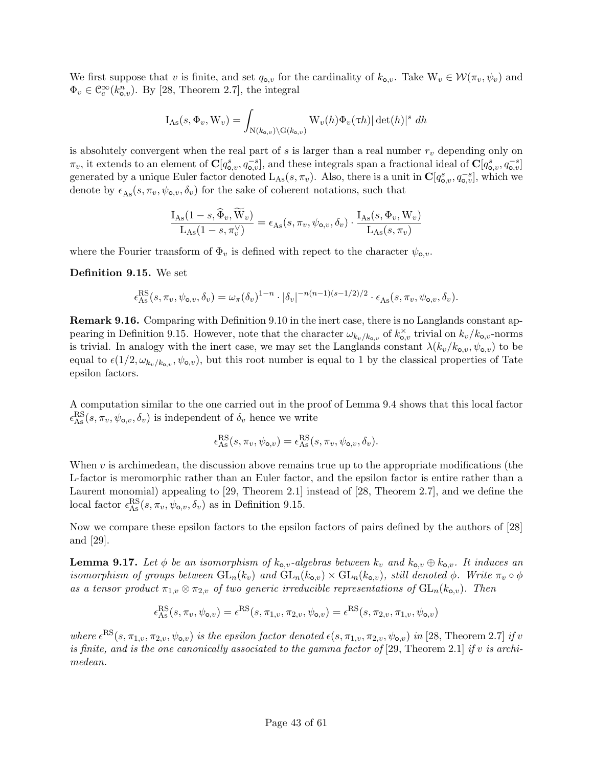We first suppose that v is finite, and set  $q_{\text{o},v}$  for the cardinality of  $k_{\text{o},v}$ . Take  $W_v \in \mathcal{W}(\pi_v, \psi_v)$  and  $\Phi_v \in \mathcal{C}_c^{\infty}(k_{0,v}^n)$ . By [28, Theorem 2.7], the integral

$$
I_{\mathrm{As}}(s, \Phi_v, W_v) = \int_{N(k_{o,v}) \backslash G(k_{o,v})} W_v(h) \Phi_v(\tau h) |\det(h)|^s dh
$$

is absolutely convergent when the real part of s is larger than a real number  $r<sub>v</sub>$  depending only on  $\pi_v$ , it extends to an element of  $\mathbf{C}[q_{0,v}^s, q_{0,v}^{-s}]$ , and these integrals span a fractional ideal of  $\mathbf{C}[q_{0,v}^s, q_{0,v}^{-s}]$ generated by a unique Euler factor denoted  $L_{As}(s, \pi_v)$ . Also, there is a unit in  $\mathbf{C}[q_{\mathbf{o},v}^s, q_{\mathbf{o},v}^{-s}]$ , which we denote by  $\epsilon_{\text{As}}(s, \pi_v, \psi_{\text{o},v}, \delta_v)$  for the sake of coherent notations, such that

$$
\frac{\mathrm{I}_{\mathrm{As}}(1-s,\widehat{\Phi}_v,\widetilde{\mathbf{W}}_v)}{\mathrm{L}_{\mathrm{As}}(1-s,\pi_v^{\vee})} = \epsilon_{\mathrm{As}}(s,\pi_v,\psi_{\mathrm{o},v},\delta_v) \cdot \frac{\mathrm{I}_{\mathrm{As}}(s,\Phi_v,\mathbf{W}_v)}{\mathrm{L}_{\mathrm{As}}(s,\pi_v)}
$$

where the Fourier transform of  $\Phi_v$  is defined with repect to the character  $\psi_{\mathbf{o},v}$ .

### Definition 9.15. We set

$$
\epsilon_{\mathrm{As}}^{\mathrm{RS}}(s,\pi_v,\psi_{\mathrm{o},v},\delta_v)=\omega_\pi(\delta_v)^{1-n}\cdot|\delta_v|^{-n(n-1)(s-1/2)/2}\cdot\epsilon_{\mathrm{As}}(s,\pi_v,\psi_{\mathrm{o},v},\delta_v).
$$

Remark 9.16. Comparing with Definition 9.10 in the inert case, there is no Langlands constant appearing in Definition 9.15. However, note that the character  $\omega_{k_v/k_{0,v}}$  of  $k_{0,v}^{\times}$  trivial on  $k_v/k_{0,v}$ -norms is trivial. In analogy with the inert case, we may set the Langlands constant  $\lambda(k_v/k_{o,v}, \psi_{o,v})$  to be equal to  $\epsilon(1/2, \omega_{k_v/k_{0,v}}, \psi_{0,v})$ , but this root number is equal to 1 by the classical properties of Tate epsilon factors.

A computation similar to the one carried out in the proof of Lemma 9.4 shows that this local factor  $\epsilon_{\rm As}^{\rm RS}(s,\pi_v,\psi_{{\rm o},v},\delta_v)$  is independent of  $\delta_v$  hence we write

$$
\epsilon_{\mathrm{As}}^{\mathrm{RS}}(s, \pi_v, \psi_{\mathrm{o},v}) = \epsilon_{\mathrm{As}}^{\mathrm{RS}}(s, \pi_v, \psi_{\mathrm{o},v}, \delta_v).
$$

When  $v$  is archimedean, the discussion above remains true up to the appropriate modifications (the L-factor is meromorphic rather than an Euler factor, and the epsilon factor is entire rather than a Laurent monomial) appealing to [29, Theorem 2.1] instead of [28, Theorem 2.7], and we define the local factor  $\epsilon_{\text{As}}^{\text{RS}}(s, \pi_v, \psi_{\text{o},v}, \delta_v)$  as in Definition 9.15.

Now we compare these epsilon factors to the epsilon factors of pairs defined by the authors of [28] and [29].

**Lemma 9.17.** Let  $\phi$  be an isomorphism of  $k_{o,v}$ -algebras between  $k_v$  and  $k_{o,v} \oplus k_{o,v}$ . It induces an isomorphism of groups between  $GL_n(k_v)$  and  $GL_n(k_{o,v}) \times GL_n(k_{o,v})$ , still denoted  $\phi$ . Write  $\pi_v \circ \phi$ as a tensor product  $\pi_{1,v} \otimes \pi_{2,v}$  of two generic irreducible representations of  $GL_n(k_{o,v})$ . Then

$$
\epsilon_{\rm As}^{\rm RS}(s, \pi_v, \psi_{\mathsf{o},v}) = \epsilon^{\rm RS}(s, \pi_{1,v}, \pi_{2,v}, \psi_{\mathsf{o},v}) = \epsilon^{\rm RS}(s, \pi_{2,v}, \pi_{1,v}, \psi_{\mathsf{o},v})
$$

where  $\epsilon^{RS}(s, \pi_{1,v}, \pi_{2,v}, \psi_{\mathbf{o},v})$  is the epsilon factor denoted  $\epsilon(s, \pi_{1,v}, \pi_{2,v}, \psi_{\mathbf{o},v})$  in [28, Theorem 2.7] if v is finite, and is the one canonically associated to the gamma factor of [29, Theorem 2.1] if v is archimedean.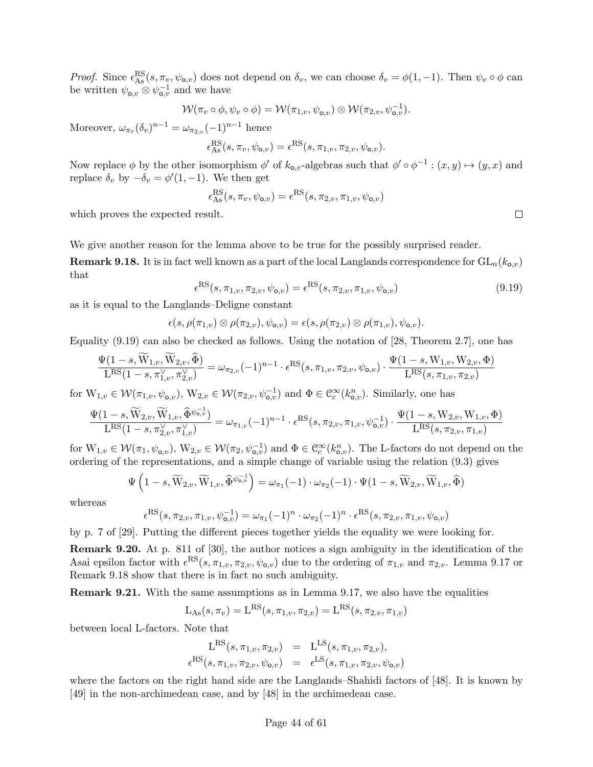*Proof.* Since  $\epsilon_{\text{As}}^{\text{RS}}(s, \pi_v, \psi_{\text{o},v})$  does not depend on  $\delta_v$ , we can choose  $\delta_v = \phi(1, -1)$ . Then  $\psi_v \circ \phi$  can be written  $\psi_{\mathbf{o},v} \otimes \psi_{\mathbf{o},v}^{-1}$  and we have

$$
\mathcal{W}(\pi_v \circ \phi, \psi_v \circ \phi) = \mathcal{W}(\pi_{1,v}, \psi_{\mathbf{o},v}) \otimes \mathcal{W}(\pi_{2,v}, \psi_{\mathbf{o},v}^{-1}).
$$

Moreover,  $\omega_{\pi_v}(\delta_v)^{n-1} = \omega_{\pi_{2,v}}(-1)^{n-1}$  hence

$$
\epsilon_{\mathrm{As}}^{\mathrm{RS}}(s,\pi_v,\psi_{\mathbf{o},v}) = \epsilon^{\mathrm{RS}}(s,\pi_{1,v},\pi_{2,v},\psi_{\mathbf{o},v}).
$$

Now replace  $\phi$  by the other isomorphism  $\phi'$  of  $k_{0,v}$ -algebras such that  $\phi' \circ \phi^{-1} : (x, y) \mapsto (y, x)$  and replace  $\delta_v$  by  $-\delta_v = \phi'(1, -1)$ . We then get

$$
\epsilon_{\mathrm{As}}^{\mathrm{RS}}(s, \pi_v, \psi_{\mathsf{o},v}) = \epsilon^{\mathrm{RS}}(s, \pi_{2,v}, \pi_{1,v}, \psi_{\mathsf{o},v})
$$

which proves the expected result.

We give another reason for the lemma above to be true for the possibly surprised reader.

**Remark 9.18.** It is in fact well known as a part of the local Langlands correspondence for  $GL_n(k_{o,v})$ that

$$
\epsilon^{\text{RS}}(s, \pi_{1,v}, \pi_{2,v}, \psi_{\mathbf{o},v}) = \epsilon^{\text{RS}}(s, \pi_{2,v}, \pi_{1,v}, \psi_{\mathbf{o},v})
$$
\n(9.19)

as it is equal to the Langlands–Deligne constant

$$
\epsilon(s,\rho(\pi_{1,v})\otimes\rho(\pi_{2,v}),\psi_{\mathsf{o},v})=\epsilon(s,\rho(\pi_{2,v})\otimes\rho(\pi_{1,v}),\psi_{\mathsf{o},v}).
$$

Equality (9.19) can also be checked as follows. Using the notation of [28, Theorem 2.7], one has

$$
\frac{\Psi(1-s,\widetilde{W}_{1,v},\widetilde{W}_{2,v},\widehat{\Phi})}{L^{RS}(1-s,\pi_{1,v}^{\vee},\pi_{2,v}^{\vee})} = \omega_{\pi_{2,v}}(-1)^{n-1} \cdot \epsilon^{RS}(s,\pi_{1,v},\pi_{2,v},\psi_{\mathbf{o},v}) \cdot \frac{\Psi(1-s,\mathrm{W}_{1,v},\mathrm{W}_{2,v},\Phi)}{L^{RS}(s,\pi_{1,v},\pi_{2,v})}
$$

for  $W_{1,v} \in \mathcal{W}(\pi_{1,v}, \psi_{\mathbf{o},v}), W_{2,v} \in \mathcal{W}(\pi_{2,v}, \psi_{\mathbf{o},v}^{-1})$  and  $\Phi \in \mathcal{C}_c^{\infty}(k_{\mathbf{o},v}^n)$ . Similarly, one has

$$
\frac{\Psi(1-s,\widetilde{W}_{2,v},\widetilde{W}_{1,v},\widehat{\Phi}^{\psi_{0,v}^{-1}})}{L^{RS}(1-s,\pi_{2,v}^{\vee},\pi_{1,v}^{\vee})}=\omega_{\pi_{1,v}}(-1)^{n-1}\cdot\epsilon^{RS}(s,\pi_{2,v},\pi_{1,v},\psi_{\mathbf{o},v}^{-1})\cdot\frac{\Psi(1-s,\mathbf{W}_{2,v},\mathbf{W}_{1,v},\Phi)}{L^{RS}(s,\pi_{2,v},\pi_{1,v})}
$$

for  $W_{1,v} \in \mathcal{W}(\pi_1, \psi_{\mathbf{o},v}), W_{2,v} \in \mathcal{W}(\pi_2, \psi_{\mathbf{o},v}^{-1})$  and  $\Phi \in \mathcal{C}_c^{\infty}(k_{\mathbf{o},v}^n)$ . The L-factors do not depend on the ordering of the representations, and a simple change of variable using the relation (9.3) gives

$$
\Psi\left(1-s,\widetilde{W}_{2,v},\widetilde{W}_{1,v},\widehat{\Phi}^{\psi_{\bullet,v}^{-1}}\right)=\omega_{\pi_1}(-1)\cdot\omega_{\pi_2}(-1)\cdot\Psi(1-s,\widetilde{W}_{2,v},\widetilde{W}_{1,v},\widehat{\Phi})
$$

whereas

$$
\epsilon^{\text{RS}}(s, \pi_{2,v}, \pi_{1,v}, \psi_{\mathbf{o},v}^{-1}) = \omega_{\pi_1}(-1)^n \cdot \omega_{\pi_2}(-1)^n \cdot \epsilon^{\text{RS}}(s, \pi_{2,v}, \pi_{1,v}, \psi_{\mathbf{o},v})
$$

by p. 7 of [29]. Putting the different pieces together yields the equality we were looking for.

Remark 9.20. At p. 811 of [30], the author notices a sign ambiguity in the identification of the Asai epsilon factor with  $\epsilon^{RS}(s, \pi_{1,v}, \pi_{2,v}, \psi_{\mathbf{o},v})$  due to the ordering of  $\pi_{1,v}$  and  $\pi_{2,v}$ . Lemma 9.17 or Remark 9.18 show that there is in fact no such ambiguity.

Remark 9.21. With the same assumptions as in Lemma 9.17, we also have the equalities

$$
L_{\text{As}}(s, \pi_v) = L^{\text{RS}}(s, \pi_{1,v}, \pi_{2,v}) = L^{\text{RS}}(s, \pi_{2,v}, \pi_{1,v})
$$

between local L-factors. Note that

$$
L^{RS}(s, \pi_{1,v}, \pi_{2,v}) = L^{LS}(s, \pi_{1,v}, \pi_{2,v}),
$$
  

$$
\epsilon^{RS}(s, \pi_{1,v}, \pi_{2,v}, \psi_{o,v}) = \epsilon^{LS}(s, \pi_{1,v}, \pi_{2,v}, \psi_{o,v})
$$

where the factors on the right hand side are the Langlands–Shahidi factors of [48]. It is known by [49] in the non-archimedean case, and by [48] in the archimedean case.

 $\Box$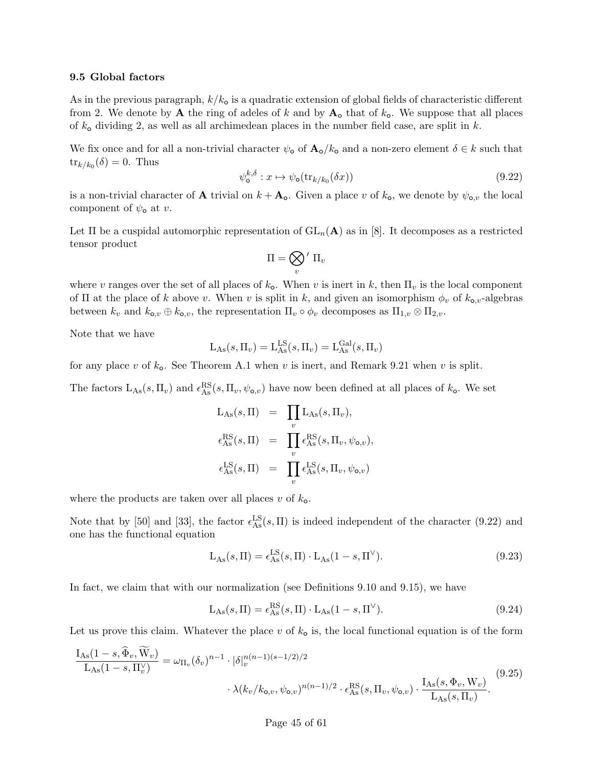#### 9.5 Global factors

As in the previous paragraph,  $k/k_0$  is a quadratic extension of global fields of characteristic different from 2. We denote by **A** the ring of adeles of k and by  $A_0$  that of  $k_0$ . We suppose that all places of  $k_{\text{o}}$  dividing 2, as well as all archimedean places in the number field case, are split in k.

We fix once and for all a non-trivial character  $\psi_{\text{o}}$  of  $\mathbf{A}_{\text{o}}/k_{\text{o}}$  and a non-zero element  $\delta \in k$  such that  $\text{tr}_{k/k_0}(\delta) = 0$ . Thus

$$
\psi_{\mathbf{o}}^{k,\delta} : x \mapsto \psi_{\mathbf{o}}(\text{tr}_{k/k_0}(\delta x)) \tag{9.22}
$$

is a non-trivial character of **A** trivial on  $k + A_o$ . Given a place v of  $k_o$ , we denote by  $\psi_{o,v}$  the local component of  $\psi_{\mathbf{o}}$  at v.

Let  $\Pi$  be a cuspidal automorphic representation of  $GL_n(\mathbf{A})$  as in [8]. It decomposes as a restricted tensor product

$$
\Pi = \bigotimes_v{}' \; \Pi_v
$$

where v ranges over the set of all places of  $k_0$ . When v is inert in k, then  $\Pi_v$  is the local component of  $\Pi$  at the place of k above v. When v is split in k, and given an isomorphism  $\phi_v$  of  $k_{o,v}$ -algebras between  $k_v$  and  $k_{o,v} \oplus k_{o,v}$ , the representation  $\Pi_v \circ \phi_v$  decomposes as  $\Pi_{1,v} \otimes \Pi_{2,v}$ .

Note that we have

$$
L_{\mathrm{As}}(s, \Pi_v) = L_{\mathrm{As}}^{\mathrm{LS}}(s, \Pi_v) = L_{\mathrm{As}}^{\mathrm{Gal}}(s, \Pi_v)
$$

for any place v of  $k_{o}$ . See Theorem A.1 when v is inert, and Remark 9.21 when v is split.

The factors  $L_{As}(s, \Pi_v)$  and  $\epsilon_{As}^{RS}(s, \Pi_v, \psi_{o,v})$  have now been defined at all places of  $k_o$ . We set

$$
L_{As}(s,\Pi) = \prod_{v} L_{As}(s,\Pi_{v}),
$$
  
\n
$$
\epsilon_{As}^{RS}(s,\Pi) = \prod_{v} \epsilon_{As}^{RS}(s,\Pi_{v},\psi_{o,v}),
$$
  
\n
$$
\epsilon_{As}^{LS}(s,\Pi) = \prod_{v} \epsilon_{As}^{LS}(s,\Pi_{v},\psi_{o,v})
$$

where the products are taken over all places  $v$  of  $k_o$ .

Note that by [50] and [33], the factor  $\epsilon_{\text{As}}^{\text{LS}}(s,\Pi)$  is indeed independent of the character (9.22) and one has the functional equation

$$
L_{\text{As}}(s,\Pi) = \epsilon_{\text{As}}^{\text{LS}}(s,\Pi) \cdot L_{\text{As}}(1-s,\Pi^{\vee}).\tag{9.23}
$$

In fact, we claim that with our normalization (see Definitions 9.10 and 9.15), we have

$$
L_{\text{As}}(s,\Pi) = \epsilon_{\text{As}}^{\text{RS}}(s,\Pi) \cdot L_{\text{As}}(1-s,\Pi^{\vee}).\tag{9.24}
$$

Let us prove this claim. Whatever the place v of  $k_0$  is, the local functional equation is of the form

$$
\frac{I_{As}(1-s,\Phi_v, W_v)}{L_{As}(1-s,\Pi_v^{\vee})} = \omega_{\Pi_v}(\delta_v)^{n-1} \cdot |\delta|_v^{n(n-1)(s-1/2)/2} \cdot \epsilon_{As}^{RS}(s,\Pi_v, \psi_{\mathbf{o},v}) \cdot \frac{I_{As}(s,\Phi_v, W_v)}{L_{As}(s,\Pi_v)}.
$$
\n(9.25)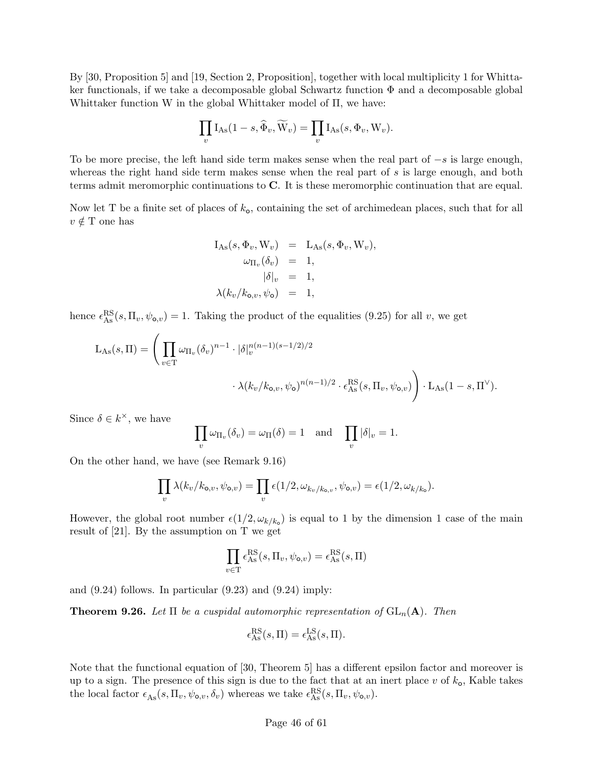By [30, Proposition 5] and [19, Section 2, Proposition], together with local multiplicity 1 for Whittaker functionals, if we take a decomposable global Schwartz function  $\Phi$  and a decomposable global Whittaker function W in the global Whittaker model of Π, we have:

$$
\prod_{v} I_{\text{As}}(1-s, \widehat{\Phi}_v, \widetilde{W}_v) = \prod_{v} I_{\text{As}}(s, \Phi_v, W_v).
$$

To be more precise, the left hand side term makes sense when the real part of  $-s$  is large enough, whereas the right hand side term makes sense when the real part of s is large enough, and both terms admit meromorphic continuations to C. It is these meromorphic continuation that are equal.

Now let T be a finite set of places of  $k_0$ , containing the set of archimedean places, such that for all  $v \notin T$  one has

$$
I_{As}(s, \Phi_v, W_v) = L_{As}(s, \Phi_v, W_v),
$$
  
\n
$$
\omega_{\Pi_v}(\delta_v) = 1,
$$
  
\n
$$
|\delta|_v = 1,
$$
  
\n
$$
\lambda(k_v/k_{o,v}, \psi_o) = 1,
$$

hence  $\epsilon_{\text{As}}^{\text{RS}}(s,\Pi_v,\psi_{\text{o},v})=1$ . Taking the product of the equalities (9.25) for all v, we get

$$
L_{\text{As}}(s,\Pi) = \left(\prod_{v\in\mathcal{T}} \omega_{\Pi_v}(\delta_v)^{n-1} \cdot |\delta|_v^{n(n-1)(s-1/2)/2} \cdot \epsilon_{\text{As}}^{\text{RS}}(s,\Pi_v,\psi_{\mathbf{o},v})\right) \cdot L_{\text{As}}(1-s,\Pi^{\vee}).
$$

Since  $\delta \in k^{\times}$ , we have

$$
\prod_{v} \omega_{\Pi_v}(\delta_v) = \omega_{\Pi}(\delta) = 1 \text{ and } \prod_{v} |\delta|_v = 1.
$$

On the other hand, we have (see Remark 9.16)

$$
\prod_v \lambda(k_v/k_{\mathsf{o},v},\psi_{\mathsf{o},v}) = \prod_v \epsilon(1/2,\omega_{k_v/k_{\mathsf{o},v}},\psi_{\mathsf{o},v}) = \epsilon(1/2,\omega_{k/k_{\mathsf{o}}}).
$$

However, the global root number  $\epsilon(1/2, \omega_{k/k_0})$  is equal to 1 by the dimension 1 case of the main result of [21]. By the assumption on T we get

$$
\prod_{v \in \mathrm{T}} \epsilon_{\mathrm{As}}^{\mathrm{RS}}(s, \Pi_v, \psi_{\mathsf{o},v}) = \epsilon_{\mathrm{As}}^{\mathrm{RS}}(s, \Pi)
$$

and  $(9.24)$  follows. In particular  $(9.23)$  and  $(9.24)$  imply:

**Theorem 9.26.** Let  $\Pi$  be a cuspidal automorphic representation of  $GL_n(A)$ . Then

$$
\epsilon_{\mathrm{As}}^{\mathrm{RS}}(s,\Pi) = \epsilon_{\mathrm{As}}^{\mathrm{LS}}(s,\Pi).
$$

Note that the functional equation of [30, Theorem 5] has a different epsilon factor and moreover is up to a sign. The presence of this sign is due to the fact that at an inert place v of  $k_0$ , Kable takes the local factor  $\epsilon_{\text{As}}(s, \Pi_v, \psi_{\text{o},v}, \delta_v)$  whereas we take  $\epsilon_{\text{As}}^{\text{RS}}(s, \Pi_v, \psi_{\text{o},v})$ .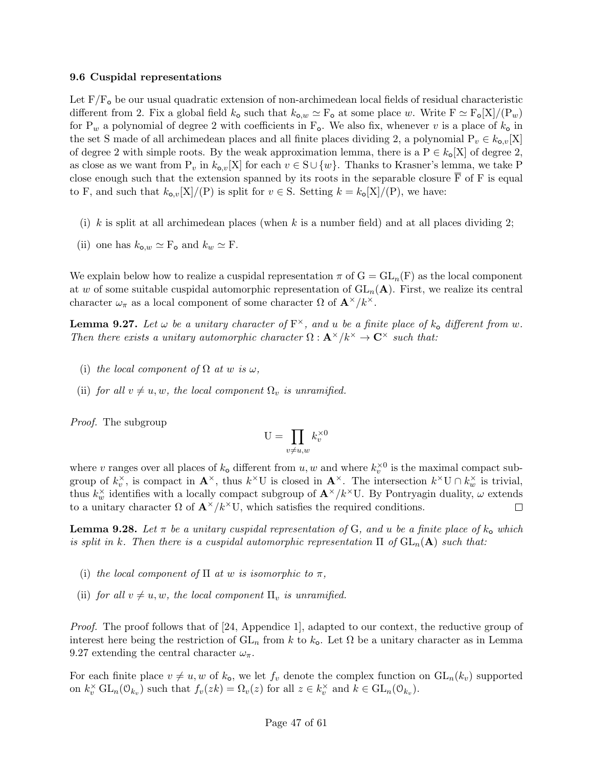#### 9.6 Cuspidal representations

Let  $F/F<sub>o</sub>$  be our usual quadratic extension of non-archimedean local fields of residual characteristic different from 2. Fix a global field  $k_0$  such that  $k_{0,w} \simeq F_0$  at some place w. Write  $F \simeq F_0[X]/(P_w)$ for P<sub>w</sub> a polynomial of degree 2 with coefficients in F<sub>o</sub>. We also fix, whenever v is a place of  $k_0$  in the set S made of all archimedean places and all finite places dividing 2, a polynomial  $P_v \in k_{\alpha,v}[X]$ of degree 2 with simple roots. By the weak approximation lemma, there is a  $P \in k_0[X]$  of degree 2, as close as we want from  $P_v$  in  $k_{o,v}[X]$  for each  $v \in S \cup \{w\}$ . Thanks to Krasner's lemma, we take P close enough such that the extension spanned by its roots in the separable closure  $\overline{F}$  of F is equal to F, and such that  $k_{\text{o},v}[X]/(P)$  is split for  $v \in S$ . Setting  $k = k_{\text{o}}[X]/(P)$ , we have:

- (i) k is split at all archimedean places (when k is a number field) and at all places dividing 2;
- (ii) one has  $k_{\mathbf{o},w} \simeq F_{\mathbf{o}}$  and  $k_w \simeq F$ .

We explain below how to realize a cuspidal representation  $\pi$  of  $G = GL_n(F)$  as the local component at w of some suitable cuspidal automorphic representation of  $GL_n(A)$ . First, we realize its central character  $\omega_{\pi}$  as a local component of some character  $\Omega$  of  $\mathbf{A}^{\times}/k^{\times}$ .

**Lemma 9.27.** Let  $\omega$  be a unitary character of  $F^{\times}$ , and u be a finite place of  $k_{o}$  different from  $\omega$ . Then there exists a unitary automorphic character  $\Omega : \mathbf{A}^{\times}/k^{\times} \to \mathbf{C}^{\times}$  such that:

- (i) the local component of  $\Omega$  at w is  $\omega$ ,
- (ii) for all  $v \neq u, w$ , the local component  $\Omega_v$  is unramified.

Proof. The subgroup

$$
U = \prod_{v \neq u, w} k_v^{\times 0}
$$

where v ranges over all places of  $k_0$  different from  $u, w$  and where  $k_v^{\times 0}$  is the maximal compact subgroup of  $k_v^{\times}$ , is compact in  $\mathbf{A}^{\times}$ , thus  $k^{\times}$ U is closed in  $\mathbf{A}^{\times}$ . The intersection  $k^{\times}$ U  $\cap k_w^{\times}$  is trivial, thus  $k_w^{\times}$  identifies with a locally compact subgroup of  $\mathbf{A}^{\times}/k^{\times}$ U. By Pontryagin duality,  $\omega$  extends to a unitary character  $\Omega$  of  $\mathbf{A}^{\times}/k^{\times}$ U, which satisfies the required conditions.  $\Box$ 

**Lemma 9.28.** Let  $\pi$  be a unitary cuspidal representation of G, and u be a finite place of  $k_0$  which is split in k. Then there is a cuspidal automorphic representation  $\Pi$  of  $GL_n(\mathbf{A})$  such that:

- (i) the local component of  $\Pi$  at w is isomorphic to  $\pi$ ,
- (ii) for all  $v \neq u, w$ , the local component  $\Pi_v$  is unramified.

*Proof.* The proof follows that of [24, Appendice 1], adapted to our context, the reductive group of interest here being the restriction of  $GL_n$  from k to  $k_o$ . Let  $\Omega$  be a unitary character as in Lemma 9.27 extending the central character  $\omega_{\pi}$ .

For each finite place  $v \neq u, w$  of  $k_o$ , we let  $f_v$  denote the complex function on  $GL_n(k_v)$  supported on  $k_v^{\times}$  GL<sub>n</sub>( $\mathcal{O}_{k_v}$ ) such that  $f_v(zk) = \Omega_v(z)$  for all  $z \in k_v^{\times}$  and  $k \in GL_n(\mathcal{O}_{k_v})$ .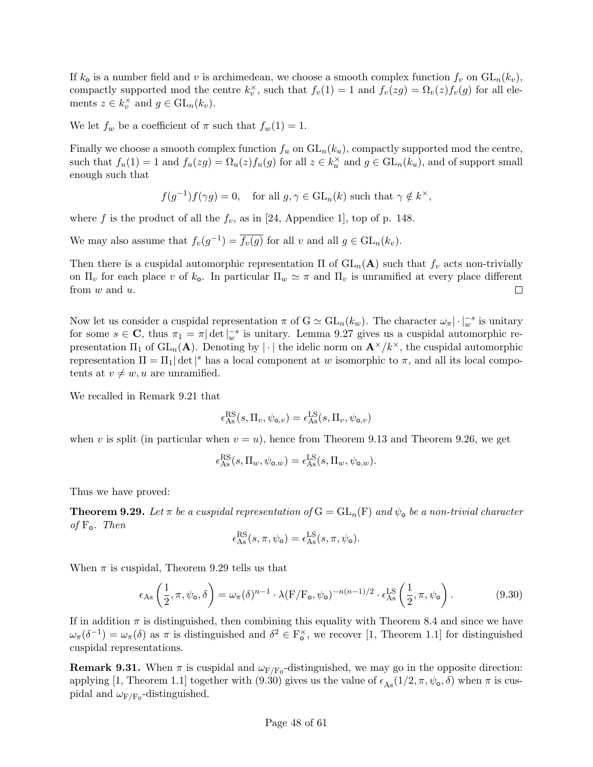If  $k_0$  is a number field and v is archimedean, we choose a smooth complex function  $f_v$  on  $GL_n(k_v)$ , compactly supported mod the centre  $k_v^{\times}$ , such that  $f_v(1) = 1$  and  $f_v(zg) = \Omega_v(z) f_v(g)$  for all elements  $z \in k_v^{\times}$  and  $g \in GL_n(k_v)$ .

We let  $f_w$  be a coefficient of  $\pi$  such that  $f_w(1) = 1$ .

Finally we choose a smooth complex function  $f_u$  on  $GL_n(k_u)$ , compactly supported mod the centre, such that  $f_u(1) = 1$  and  $f_u(zg) = \Omega_u(z) f_u(g)$  for all  $z \in k_u^{\times}$  and  $g \in GL_n(k_u)$ , and of support small enough such that

$$
f(g^{-1})f(\gamma g) = 0
$$
, for all  $g, \gamma \in \mathrm{GL}_n(k)$  such that  $\gamma \notin k^{\times}$ ,

where f is the product of all the  $f_v$ , as in [24, Appendice 1], top of p. 148.

We may also assume that  $f_v(g^{-1}) = \overline{f_v(g)}$  for all v and all  $g \in GL_n(k_v)$ .

Then there is a cuspidal automorphic representation  $\Pi$  of  $GL_n(\mathbf{A})$  such that  $f_v$  acts non-trivially on  $\Pi_v$  for each place v of  $k_o$ . In particular  $\Pi_w \simeq \pi$  and  $\Pi_v$  is unramified at every place different from w and u.  $\Box$ 

Now let us consider a cuspidal representation  $\pi$  of  $G \simeq GL_n(k_w)$ . The character  $\omega_{\pi} |\cdot|_w^{-s}$  is unitary for some  $s \in \mathbb{C}$ , thus  $\pi_1 = \pi |\det|_w^{-s}$  is unitary. Lemma 9.27 gives us a cuspidal automorphic representation  $\Pi_1$  of  $GL_n(\mathbf{A})$ . Denoting by  $|\cdot|$  the idelic norm on  $\mathbf{A}^{\times}/k^{\times}$ , the cuspidal automorphic representation  $\Pi = \Pi_1 |\det|^s$  has a local component at w isomorphic to  $\pi$ , and all its local compotents at  $v \neq w$ , u are unramified.

We recalled in Remark 9.21 that

$$
\epsilon_{\mathrm{As}}^{\mathrm{RS}}(s,\Pi_v,\psi_{\mathrm{o},v})=\epsilon_{\mathrm{As}}^{\mathrm{LS}}(s,\Pi_v,\psi_{\mathrm{o},v})
$$

when v is split (in particular when  $v = u$ ), hence from Theorem 9.13 and Theorem 9.26, we get

$$
\epsilon_{\mathrm{As}}^{\mathrm{RS}}(s,\Pi_w,\psi_{\mathrm{o},w})=\epsilon_{\mathrm{As}}^{\mathrm{LS}}(s,\Pi_w,\psi_{\mathrm{o},w}).
$$

Thus we have proved:

**Theorem 9.29.** Let  $\pi$  be a cuspidal representation of  $G = GL_n(F)$  and  $\psi_o$  be a non-trivial character of  $F_o$ . Then

$$
\epsilon_{\mathrm{As}}^{\mathrm{RS}}(s,\pi,\psi_{\mathrm{o}}) = \epsilon_{\mathrm{As}}^{\mathrm{LS}}(s,\pi,\psi_{\mathrm{o}}).
$$

When  $\pi$  is cuspidal, Theorem 9.29 tells us that

$$
\epsilon_{\text{As}}\left(\frac{1}{2},\pi,\psi_{\text{o}},\delta\right) = \omega_{\pi}(\delta)^{n-1} \cdot \lambda(F/F_{\text{o}},\psi_{\text{o}})^{-n(n-1)/2} \cdot \epsilon_{\text{As}}^{\text{LS}}\left(\frac{1}{2},\pi,\psi_{\text{o}}\right). \tag{9.30}
$$

If in addition  $\pi$  is distinguished, then combining this equality with Theorem 8.4 and since we have  $\omega_{\pi}(\delta^{-1}) = \omega_{\pi}(\delta)$  as  $\pi$  is distinguished and  $\delta^2 \in \mathbb{F}_\bullet^{\times}$ , we recover [1, Theorem 1.1] for distinguished cuspidal representations.

**Remark 9.31.** When  $\pi$  is cuspidal and  $\omega_{F/F_0}$ -distinguished, we may go in the opposite direction: applying [1, Theorem 1.1] together with (9.30) gives us the value of  $\epsilon_{\text{As}}(1/2, \pi, \psi_{\text{o}}, \delta)$  when  $\pi$  is cuspidal and  $\omega_{\rm F/F_0}$ -distinguished.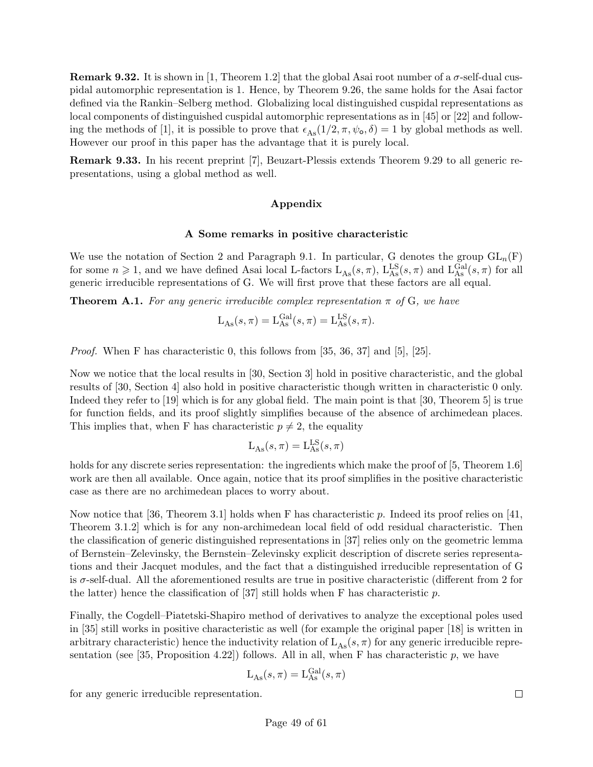**Remark 9.32.** It is shown in [1, Theorem 1.2] that the global Asai root number of a  $\sigma$ -self-dual cuspidal automorphic representation is 1. Hence, by Theorem 9.26, the same holds for the Asai factor defined via the Rankin–Selberg method. Globalizing local distinguished cuspidal representations as local components of distinguished cuspidal automorphic representations as in [45] or [22] and following the methods of [1], it is possible to prove that  $\epsilon_{\text{As}}(1/2, \pi, \psi_{\text{o}}, \delta) = 1$  by global methods as well. However our proof in this paper has the advantage that it is purely local.

Remark 9.33. In his recent preprint [7], Beuzart-Plessis extends Theorem 9.29 to all generic representations, using a global method as well.

## Appendix

#### A Some remarks in positive characteristic

We use the notation of Section 2 and Paragraph 9.1. In particular, G denotes the group  $GL_n(F)$ for some  $n \geq 1$ , and we have defined Asai local L-factors  $L_{As}(s, \pi)$ ,  $L_{As}^{LS}(s, \pi)$  and  $L_{As}^{Gal}(s, \pi)$  for all generic irreducible representations of G. We will first prove that these factors are all equal.

**Theorem A.1.** For any generic irreducible complex representation  $\pi$  of G, we have

$$
L_{\mathrm{As}}(s,\pi) = L_{\mathrm{As}}^{\mathrm{Gal}}(s,\pi) = L_{\mathrm{As}}^{\mathrm{LS}}(s,\pi).
$$

Proof. When F has characteristic 0, this follows from [35, 36, 37] and [5], [25].

Now we notice that the local results in [30, Section 3] hold in positive characteristic, and the global results of [30, Section 4] also hold in positive characteristic though written in characteristic 0 only. Indeed they refer to [19] which is for any global field. The main point is that [30, Theorem 5] is true for function fields, and its proof slightly simplifies because of the absence of archimedean places. This implies that, when F has characteristic  $p \neq 2$ , the equality

$$
L_{As}(s,\pi) = L_{As}^{LS}(s,\pi)
$$

holds for any discrete series representation: the ingredients which make the proof of [5, Theorem 1.6] work are then all available. Once again, notice that its proof simplifies in the positive characteristic case as there are no archimedean places to worry about.

Now notice that [36, Theorem 3.1] holds when F has characteristic p. Indeed its proof relies on [41, Theorem 3.1.2] which is for any non-archimedean local field of odd residual characteristic. Then the classification of generic distinguished representations in [37] relies only on the geometric lemma of Bernstein–Zelevinsky, the Bernstein–Zelevinsky explicit description of discrete series representations and their Jacquet modules, and the fact that a distinguished irreducible representation of G is  $\sigma$ -self-dual. All the aforementioned results are true in positive characteristic (different from 2 for the latter) hence the classification of [37] still holds when F has characteristic  $p$ .

Finally, the Cogdell–Piatetski-Shapiro method of derivatives to analyze the exceptional poles used in [35] still works in positive characteristic as well (for example the original paper [18] is written in arbitrary characteristic) hence the inductivity relation of  $L_{\text{As}}(s,\pi)$  for any generic irreducible representation (see [35, Proposition 4.22]) follows. All in all, when F has characteristic  $p$ , we have

$$
L_{\mathrm{As}}(s,\pi)=L_{\mathrm{As}}^{\mathrm{Gal}}(s,\pi)
$$

for any generic irreducible representation.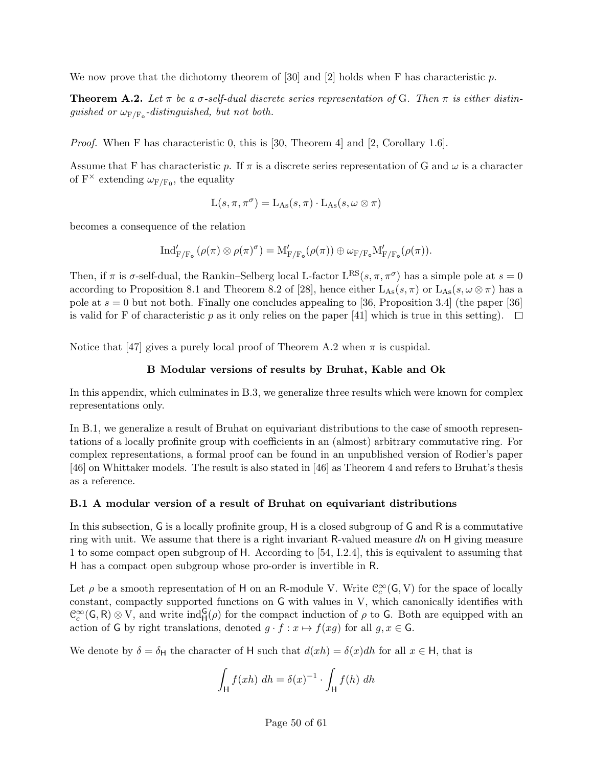We now prove that the dichotomy theorem of [30] and [2] holds when F has characteristic p.

**Theorem A.2.** Let  $\pi$  be a  $\sigma$ -self-dual discrete series representation of G. Then  $\pi$  is either distinguished or  $\omega_{\mathrm{F/F}_\mathrm{o}}$ -distinguished, but not both.

Proof. When F has characteristic 0, this is [30, Theorem 4] and [2, Corollary 1.6].

Assume that F has characteristic p. If  $\pi$  is a discrete series representation of G and  $\omega$  is a character of  $F^{\times}$  extending  $\omega_{F/F_0}$ , the equality

$$
L(s,\pi,\pi^\sigma)=L_{\mathrm{As}}(s,\pi)\cdot L_{\mathrm{As}}(s,\omega\otimes\pi)
$$

becomes a consequence of the relation

$$
\mathrm{Ind}'_{F/F_o}(\rho(\pi)\otimes \rho(\pi)^{\sigma})=\mathrm{M}'_{F/F_o}(\rho(\pi))\oplus \omega_{F/F_o}\mathrm{M}'_{F/F_o}(\rho(\pi)).
$$

Then, if  $\pi$  is  $\sigma$ -self-dual, the Rankin–Selberg local L-factor  $L^{RS}(s, \pi, \pi^{\sigma})$  has a simple pole at  $s = 0$ according to Proposition 8.1 and Theorem 8.2 of [28], hence either  $L_{\text{As}}(s,\pi)$  or  $L_{\text{As}}(s,\omega \otimes \pi)$  has a pole at  $s = 0$  but not both. Finally one concludes appealing to [36, Proposition 3.4] (the paper [36] is valid for F of characteristic p as it only relies on the paper [41] which is true in this setting).  $\Box$ 

Notice that [47] gives a purely local proof of Theorem A.2 when  $\pi$  is cuspidal.

## B Modular versions of results by Bruhat, Kable and Ok

In this appendix, which culminates in B.3, we generalize three results which were known for complex representations only.

In B.1, we generalize a result of Bruhat on equivariant distributions to the case of smooth representations of a locally profinite group with coefficients in an (almost) arbitrary commutative ring. For complex representations, a formal proof can be found in an unpublished version of Rodier's paper [46] on Whittaker models. The result is also stated in [46] as Theorem 4 and refers to Bruhat's thesis as a reference.

## B.1 A modular version of a result of Bruhat on equivariant distributions

In this subsection, G is a locally profinite group, H is a closed subgroup of G and R is a commutative ring with unit. We assume that there is a right invariant R-valued measure dh on H giving measure 1 to some compact open subgroup of H. According to [54, I.2.4], this is equivalent to assuming that H has a compact open subgroup whose pro-order is invertible in R.

Let  $\rho$  be a smooth representation of H on an R-module V. Write  $\mathcal{C}_c^{\infty}(\mathsf{G}, V)$  for the space of locally constant, compactly supported functions on G with values in V, which canonically identifies with  $\mathcal{C}_c^{\infty}(\mathsf{G},\mathsf{R})\otimes V$ , and write  $\text{ind}_{\mathsf{H}}^{\mathsf{G}}(\rho)$  for the compact induction of  $\rho$  to  $\mathsf{G}$ . Both are equipped with an action of G by right translations, denoted  $g \cdot f : x \mapsto f(xg)$  for all  $g, x \in \mathsf{G}$ .

We denote by  $\delta = \delta_H$  the character of H such that  $d(xh) = \delta(x)dh$  for all  $x \in H$ , that is

$$
\int_{\mathsf{H}} f(xh) \, dh = \delta(x)^{-1} \cdot \int_{\mathsf{H}} f(h) \, dh
$$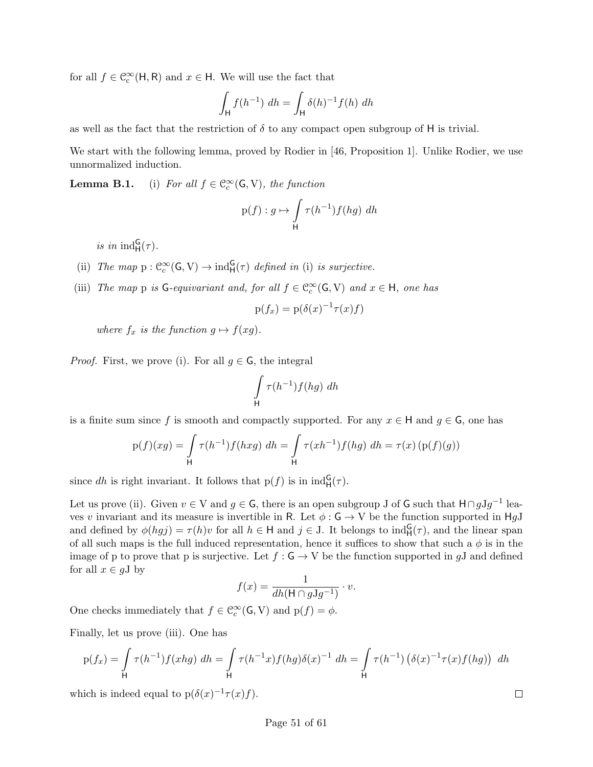for all  $f \in \mathcal{C}^{\infty}_{c}(\mathsf{H}, \mathsf{R})$  and  $x \in \mathsf{H}$ . We will use the fact that

$$
\int_{\mathsf{H}} f(h^{-1}) \, dh = \int_{\mathsf{H}} \delta(h)^{-1} f(h) \, dh
$$

as well as the fact that the restriction of  $\delta$  to any compact open subgroup of H is trivial.

We start with the following lemma, proved by Rodier in [46, Proposition 1]. Unlike Rodier, we use unnormalized induction.

**Lemma B.1.** (i) For all  $f \in \mathcal{C}_c^{\infty}(\mathsf{G}, V)$ , the function

$$
p(f) : g \mapsto \int_{\mathsf{H}} \tau(h^{-1}) f(hg) \ dh
$$

is in  $\mathrm{ind}_{\mathsf{H}}^{\mathsf{G}}(\tau)$ .

- (ii) The map  $p: \mathbb{C}_c^{\infty}(\mathsf{G}, V) \to \text{ind}_{\mathsf{H}}^{\mathsf{G}}(\tau)$  defined in (i) is surjective.
- (iii) The map p is  $G$ -equivariant and, for all  $f \in C_c^{\infty}(G, V)$  and  $x \in H$ , one has

$$
p(f_x) = p(\delta(x)^{-1}\tau(x)f)
$$

where  $f_x$  is the function  $g \mapsto f(xg)$ .

*Proof.* First, we prove (i). For all  $q \in \mathsf{G}$ , the integral

$$
\int_{\mathsf{H}} \tau(h^{-1}) f(hg) \ dh
$$

is a finite sum since f is smooth and compactly supported. For any  $x \in H$  and  $g \in G$ , one has

$$
p(f)(xg) = \int_{H} \tau(h^{-1}) f(hxg) \, dh = \int_{H} \tau(xh^{-1}) f(hg) \, dh = \tau(x) \left( p(f)(g) \right)
$$

since dh is right invariant. It follows that  $p(f)$  is in  $\text{ind}_{H}^{G}(\tau)$ .

Let us prove (ii). Given  $v \in V$  and  $g \in G$ , there is an open subgroup J of G such that  $H \cap gJg^{-1}$  leaves v invariant and its measure is invertible in R. Let  $\phi : G \to V$  be the function supported in HgJ and defined by  $\phi(hgj) = \tau(h)v$  for all  $h \in H$  and  $j \in J$ . It belongs to  $ind_H^G(\tau)$ , and the linear span of all such maps is the full induced representation, hence it suffices to show that such a  $\phi$  is in the image of p to prove that p is surjective. Let  $f : G \to V$  be the function supported in gJ and defined for all  $x \in gJ$  by

$$
f(x) = \frac{1}{dh(\mathsf{H} \cap g\mathsf{J} g^{-1})} \cdot v.
$$

One checks immediately that  $f \in \mathcal{C}_c^{\infty}(\mathsf{G}, V)$  and  $p(f) = \phi$ .

Finally, let us prove (iii). One has

$$
p(f_x) = \int_{H} \tau(h^{-1}) f(xhg) \, dh = \int_{H} \tau(h^{-1}x) f(hg) \delta(x)^{-1} \, dh = \int_{H} \tau(h^{-1}) \left( \delta(x)^{-1} \tau(x) f(hg) \right) \, dh
$$

which is indeed equal to  $p(\delta(x)^{-1}\tau(x)f)$ .

 $\Box$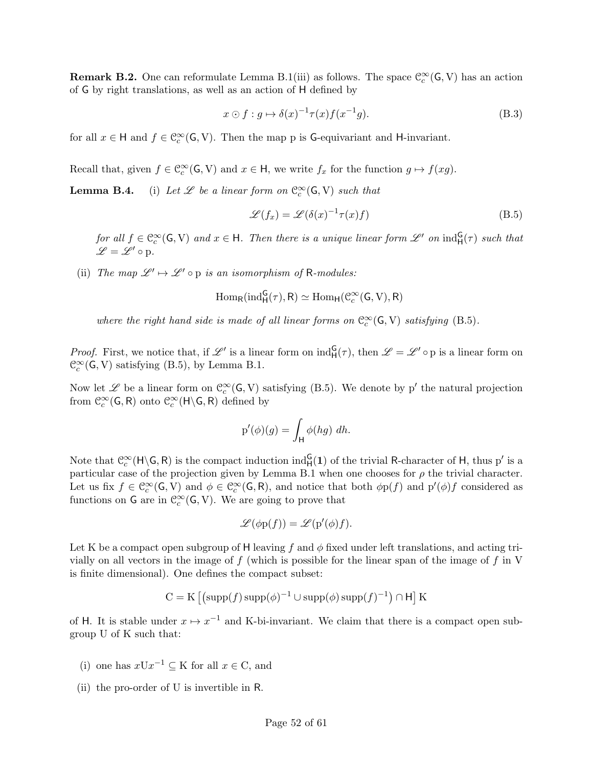**Remark B.2.** One can reformulate Lemma B.1(iii) as follows. The space  $\mathcal{C}_c^{\infty}(\mathsf{G}, V)$  has an action of G by right translations, as well as an action of H defined by

$$
x \odot f : g \mapsto \delta(x)^{-1} \tau(x) f(x^{-1}g). \tag{B.3}
$$

for all  $x \in H$  and  $f \in \mathcal{C}_c^{\infty}(\mathsf{G}, V)$ . Then the map p is **G**-equivariant and H-invariant.

Recall that, given  $f \in \mathcal{C}_c^{\infty}(\mathsf{G}, V)$  and  $x \in \mathsf{H}$ , we write  $f_x$  for the function  $g \mapsto f(xg)$ .

**Lemma B.4.** (i) Let  $\mathscr L$  be a linear form on  $\mathbb C_c^\infty(\mathsf G,\mathsf V)$  such that

$$
\mathcal{L}(f_x) = \mathcal{L}(\delta(x)^{-1}\tau(x)f) \tag{B.5}
$$

for all  $f \in \mathcal{C}_c^{\infty}(\mathsf{G}, V)$  and  $x \in \mathsf{H}$ . Then there is a unique linear form  $\mathscr{L}'$  on  $\text{ind}_{\mathsf{H}}^{\mathsf{G}}(\tau)$  such that  $\mathscr{L} = \mathscr{L}' \circ p.$ 

(ii) The map  $\mathscr{L}' \mapsto \mathscr{L}' \circ p$  is an isomorphism of R-modules:

$$
\mathrm{Hom}_R(\mathrm{ind}_H^G(\tau),R)\simeq \mathrm{Hom}_H(\mathcal{C}_c^\infty(G,V),R)
$$

where the right hand side is made of all linear forms on  $\mathcal{C}_c^{\infty}(\mathsf{G}, V)$  satisfying (B.5).

*Proof.* First, we notice that, if  $\mathscr{L}'$  is a linear form on  $\text{ind}_{H}^{G}(\tau)$ , then  $\mathscr{L} = \mathscr{L}' \circ p$  is a linear form on  $\mathcal{C}_c^{\infty}(\mathsf{G}, V)$  satisfying (B.5), by Lemma B.1.

Now let  $\mathscr L$  be a linear form on  $\mathcal C_c^\infty(\mathsf G,\mathsf V)$  satisfying (B.5). We denote by p' the natural projection from  $\mathcal{C}_c^{\infty}(\mathsf{G},\mathsf{R})$  onto  $\mathcal{C}_c^{\infty}(\mathsf{H}\backslash \mathsf{G},\mathsf{R})$  defined by

$$
p'(\phi)(g) = \int_{\mathsf{H}} \phi(hg) \ dh.
$$

Note that  $\mathcal{C}_c^{\infty}(\mathsf{H}\backslash\mathsf{G},\mathsf{R})$  is the compact induction  $\mathrm{ind}_{\mathsf{H}}^{\mathsf{G}}(1)$  of the trivial R-character of H, thus p' is a particular case of the projection given by Lemma B.1 when one chooses for  $\rho$  the trivial character. Let us fix  $f \in \mathcal{C}_c^{\infty}(\mathsf{G}, V)$  and  $\phi \in \mathcal{C}_c^{\infty}(\mathsf{G}, \mathsf{R})$ , and notice that both  $\phi \mathrm{p}(f)$  and  $\mathrm{p}'(\phi)f$  considered as functions on  $G$  are in  $\mathcal{C}_c^{\infty}(G, V)$ . We are going to prove that

$$
\mathscr{L}(\phi p(f)) = \mathscr{L}(p'(\phi)f).
$$

Let K be a compact open subgroup of H leaving f and  $\phi$  fixed under left translations, and acting trivially on all vectors in the image of  $f$  (which is possible for the linear span of the image of  $f$  in V is finite dimensional). One defines the compact subset:

$$
C = K \left[ \left( \text{supp}(f) \, \text{supp}(\phi)^{-1} \cup \text{supp}(\phi) \, \text{supp}(f)^{-1} \right) \cap H \right] K
$$

of H. It is stable under  $x \mapsto x^{-1}$  and K-bi-invariant. We claim that there is a compact open subgroup U of K such that:

- (i) one has  $xUx^{-1} \subseteq K$  for all  $x \in C$ , and
- (ii) the pro-order of U is invertible in R.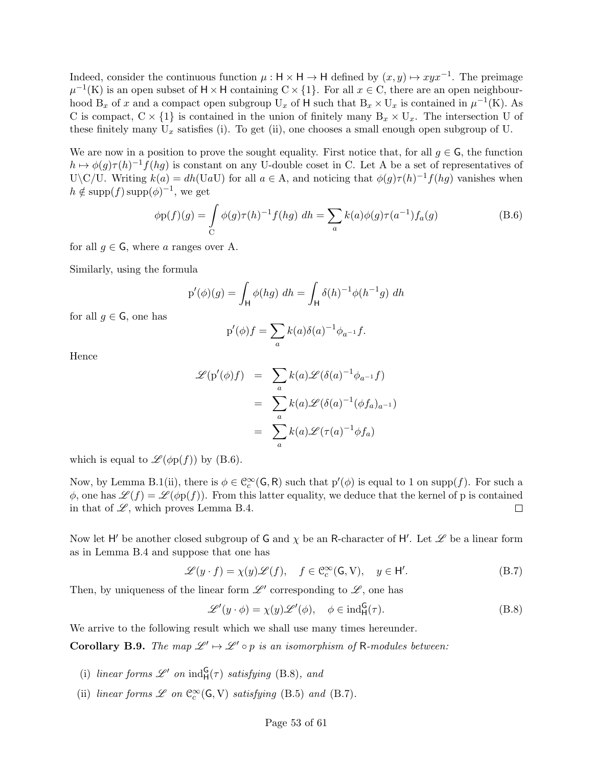Indeed, consider the continuous function  $\mu : \mathsf{H} \times \mathsf{H} \to \mathsf{H}$  defined by  $(x, y) \mapsto xyx^{-1}$ . The preimage  $\mu^{-1}(K)$  is an open subset of  $H \times H$  containing  $C \times \{1\}$ . For all  $x \in C$ , there are an open neighbourhood  $B_x$  of x and a compact open subgroup  $U_x$  of H such that  $B_x \times U_x$  is contained in  $\mu^{-1}(K)$ . As C is compact,  $C \times \{1\}$  is contained in the union of finitely many  $B_x \times U_x$ . The intersection U of these finitely many  $U_x$  satisfies (i). To get (ii), one chooses a small enough open subgroup of U.

We are now in a position to prove the sought equality. First notice that, for all  $g \in \mathsf{G}$ , the function  $h \mapsto \phi(g)\tau(h)^{-1}f(hg)$  is constant on any U-double coset in C. Let A be a set of representatives of U\C/U. Writing  $k(a) = dh(UaU)$  for all  $a \in A$ , and noticing that  $\phi(g)\tau(h)^{-1}f(hg)$  vanishes when  $h \notin \text{supp}(f) \text{supp}(\phi)^{-1}$ , we get

$$
\phi p(f)(g) = \int_{C} \phi(g)\tau(h)^{-1}f(hg) dh = \sum_{a} k(a)\phi(g)\tau(a^{-1})f_a(g)
$$
 (B.6)

for all  $q \in \mathsf{G}$ , where a ranges over A.

Similarly, using the formula

$$
p'(\phi)(g) = \int_{\mathsf{H}} \phi(hg) \, dh = \int_{\mathsf{H}} \delta(h)^{-1} \phi(h^{-1}g) \, dh
$$

for all  $g \in \mathsf{G}$ , one has

$$
p'(\phi)f = \sum_{a} k(a)\delta(a)^{-1}\phi_{a^{-1}}f.
$$

Hence

$$
\mathcal{L}(\mathbf{p}'(\phi)f) = \sum_{a} k(a) \mathcal{L}(\delta(a)^{-1} \phi_{a^{-1}} f)
$$

$$
= \sum_{a} k(a) \mathcal{L}(\delta(a)^{-1} (\phi f_{a})_{a^{-1}})
$$

$$
= \sum_{a} k(a) \mathcal{L}(\tau(a)^{-1} \phi f_{a})
$$

which is equal to  $\mathscr{L}(\phi p(f))$  by (B.6).

Now, by Lemma B.1(ii), there is  $\phi \in C_c^{\infty}(\mathsf{G}, \mathsf{R})$  such that  $p'(\phi)$  is equal to 1 on supp(f). For such a  $\phi$ , one has  $\mathscr{L}(f) = \mathscr{L}(\phi p(f))$ . From this latter equality, we deduce that the kernel of p is contained in that of  $\mathscr{L}$ , which proves Lemma B.4.  $\Box$ 

Now let H' be another closed subgroup of G and  $\chi$  be an R-character of H'. Let  $\mathscr L$  be a linear form as in Lemma B.4 and suppose that one has

$$
\mathcal{L}(y \cdot f) = \chi(y)\mathcal{L}(f), \quad f \in \mathcal{C}_c^{\infty}(\mathsf{G}, \mathsf{V}), \quad y \in \mathsf{H}'.
$$
 (B.7)

Then, by uniqueness of the linear form  $\mathscr{L}'$  corresponding to  $\mathscr{L}$ , one has

$$
\mathcal{L}'(y \cdot \phi) = \chi(y)\mathcal{L}'(\phi), \quad \phi \in \text{ind}_{\mathsf{H}}^{\mathsf{G}}(\tau). \tag{B.8}
$$

We arrive to the following result which we shall use many times hereunder.

**Corollary B.9.** The map  $\mathscr{L}' \mapsto \mathscr{L}' \circ p$  is an isomorphism of R-modules between:

- (i) linear forms  $\mathscr{L}'$  on  $\text{ind}_{H}^{G}(\tau)$  satisfying (B.8), and
- (ii) linear forms  $\mathscr L$  on  $\mathcal{C}_c^{\infty}(\mathsf{G},\mathsf{V})$  satisfying (B.5) and (B.7).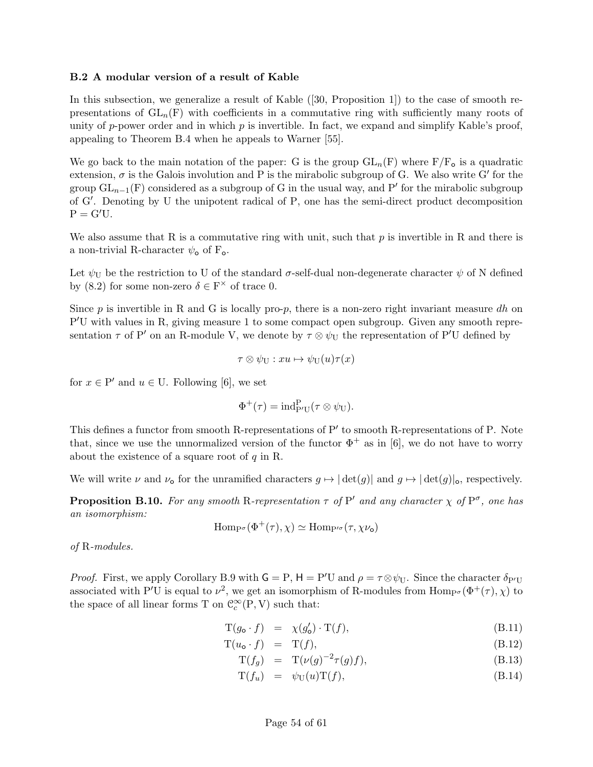## B.2 A modular version of a result of Kable

In this subsection, we generalize a result of Kable ([30, Proposition 1]) to the case of smooth representations of  $GL_n(F)$  with coefficients in a commutative ring with sufficiently many roots of unity of p-power order and in which  $p$  is invertible. In fact, we expand and simplify Kable's proof, appealing to Theorem B.4 when he appeals to Warner [55].

We go back to the main notation of the paper: G is the group  $GL_n(F)$  where  $F/F_o$  is a quadratic extension,  $\sigma$  is the Galois involution and P is the mirabolic subgroup of G. We also write G' for the group  $GL_{n-1}(F)$  considered as a subgroup of G in the usual way, and P' for the mirabolic subgroup of G'. Denoting by U the unipotent radical of P, one has the semi-direct product decomposition  $P = G'U$ .

We also assume that R is a commutative ring with unit, such that  $p$  is invertible in R and there is a non-trivial R-character  $\psi_{\mathbf{o}}$  of  $F_{\mathbf{o}}$ .

Let  $\psi_{\text{U}}$  be the restriction to U of the standard  $\sigma$ -self-dual non-degenerate character  $\psi$  of N defined by (8.2) for some non-zero  $\delta \in \mathcal{F}^{\times}$  of trace 0.

Since p is invertible in R and G is locally pro-p, there is a non-zero right invariant measure dh on P'U with values in R, giving measure 1 to some compact open subgroup. Given any smooth representation  $\tau$  of P' on an R-module V, we denote by  $\tau \otimes \psi_U$  the representation of P'U defined by

$$
\tau\otimes\psi_{\mathbf{U}}:xu\mapsto\psi_{\mathbf{U}}(u)\tau(x)
$$

for  $x \in P'$  and  $u \in U$ . Following [6], we set

$$
\Phi^+(\tau) = \mathrm{ind}_{P'U}^P(\tau \otimes \psi_U).
$$

This defines a functor from smooth R-representations of  $P'$  to smooth R-representations of P. Note that, since we use the unnormalized version of the functor  $\Phi^+$  as in [6], we do not have to worry about the existence of a square root of  $q$  in R.

We will write  $\nu$  and  $\nu_0$  for the unramified characters  $g \mapsto |\det(g)|$  and  $g \mapsto |\det(g)|_0$ , respectively.

**Proposition B.10.** For any smooth R-representation  $\tau$  of P' and any character  $\chi$  of P<sup> $\sigma$ </sup>, one has an isomorphism:

$$
\mathrm{Hom}_{P^{\sigma}}(\Phi^+(\tau), \chi) \simeq \mathrm{Hom}_{P'^{\sigma}}(\tau, \chi \nu_{\mathsf{o}})
$$

of R-modules.

*Proof.* First, we apply Corollary B.9 with  $G = P$ ,  $H = P'U$  and  $\rho = \tau \otimes \psi_U$ . Since the character  $\delta_{P'U}$ associated with P'U is equal to  $\nu^2$ , we get an isomorphism of R-modules from  $\text{Hom}_{\text{P}^{\sigma}}(\Phi^+(\tau), \chi)$  to the space of all linear forms T on  $\mathcal{C}_c^\infty(\mathbf{P},\mathbf{V})$  such that:

$$
\mathcal{T}(g_{\mathbf{o}} \cdot f) = \chi(g_{\mathbf{o}}') \cdot \mathcal{T}(f), \tag{B.11}
$$

$$
T(u_{\mathbf{o}} \cdot f) = T(f), \tag{B.12}
$$

$$
\mathcal{T}(f_g) = \mathcal{T}(\nu(g)^{-2}\tau(g)f),\tag{B.13}
$$

$$
T(f_u) = \psi_U(u)T(f), \qquad (B.14)
$$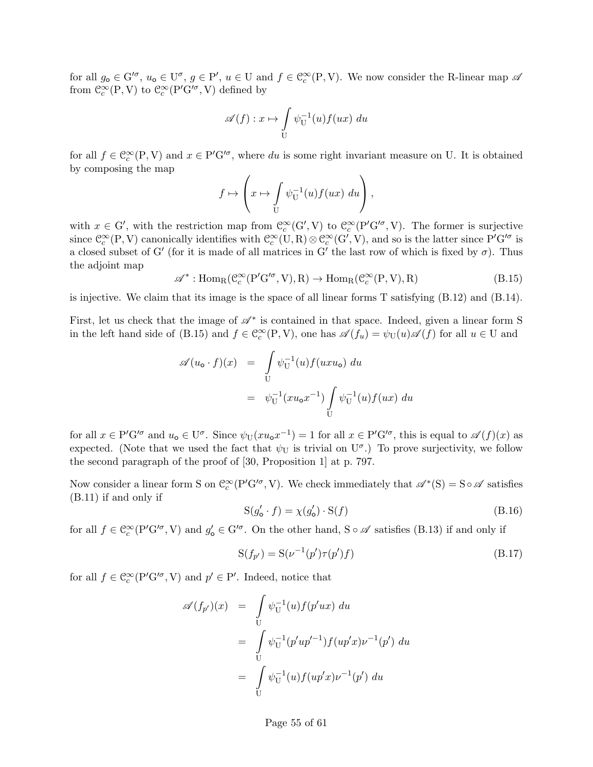for all  $g_0 \in G'^{\sigma}$ ,  $u_0 \in U^{\sigma}$ ,  $g \in P'$ ,  $u \in U$  and  $f \in C_c^{\infty}(\mathbb{P}, V)$ . We now consider the R-linear map  $\mathscr A$ from  $\mathcal{C}_c^{\infty}(\mathbf{P}, \mathbf{V})$  to  $\mathcal{C}_c^{\infty}(\mathbf{P}^{\prime} \mathbf{G}^{\prime \sigma}, \mathbf{V})$  defined by

$$
\mathscr{A}(f) : x \mapsto \int\limits_{\mathcal{U}} \psi_{\mathcal{U}}^{-1}(u) f(ux) \, du
$$

for all  $f \in \mathcal{C}_c^{\infty}(\mathbb{P}, V)$  and  $x \in \mathbb{P}'\mathbb{G}'^{\sigma}$ , where du is some right invariant measure on U. It is obtained by composing the map

$$
f \mapsto \left(x \mapsto \int\limits_{\mathcal{U}} \psi_{\mathcal{U}}^{-1}(u) f(ux) \, du\right),
$$

with  $x \in G'$ , with the restriction map from  $\mathcal{C}_c^{\infty}(G', V)$  to  $\mathcal{C}_c^{\infty}(P'G'^{\sigma}, V)$ . The former is surjective since  $\mathcal{C}_c^{\infty}(P, V)$  canonically identifies with  $\mathcal{C}_c^{\infty}(U, R) \otimes \mathcal{C}_c^{\infty}(G', V)$ , and so is the latter since  $P'G'^{\sigma}$  is a closed subset of G' (for it is made of all matrices in G' the last row of which is fixed by  $\sigma$ ). Thus the adjoint map

$$
\mathscr{A}^* : \text{Hom}_{R}(\mathcal{C}_c^{\infty}(P'G'^{\sigma}, V), R) \to \text{Hom}_{R}(\mathcal{C}_c^{\infty}(P, V), R)
$$
(B.15)

is injective. We claim that its image is the space of all linear forms T satisfying (B.12) and (B.14).

First, let us check that the image of  $\mathscr{A}^*$  is contained in that space. Indeed, given a linear form S in the left hand side of (B.15) and  $f \in \mathcal{C}_c^{\infty}(\mathcal{P}, V)$ , one has  $\mathscr{A}(f_u) = \psi_{\mathcal{U}}(u) \mathscr{A}(f)$  for all  $u \in \mathcal{U}$  and

$$
\mathscr{A}(u_{\mathbf{o}} \cdot f)(x) = \int_{U} \psi_{U}^{-1}(u) f(uxu_{\mathbf{o}}) du
$$
  

$$
= \psi_{U}^{-1}(xu_{\mathbf{o}}x^{-1}) \int_{U} \psi_{U}^{-1}(u) f(ux) du
$$

for all  $x \in P'G'^\sigma$  and  $u_0 \in U^\sigma$ . Since  $\psi_U(xu_0x^{-1}) = 1$  for all  $x \in P'G'^\sigma$ , this is equal to  $\mathscr{A}(f)(x)$  as expected. (Note that we used the fact that  $\psi_U$  is trivial on  $U^{\sigma}$ .) To prove surjectivity, we follow the second paragraph of the proof of [30, Proposition 1] at p. 797.

Now consider a linear form S on  $\mathcal{C}_c^{\infty}(P'G'^{\sigma}, V)$ . We check immediately that  $\mathscr{A}^*(S) = S \circ \mathscr{A}$  satisfies (B.11) if and only if

$$
S(g'_{o} \cdot f) = \chi(g'_{o}) \cdot S(f) \tag{B.16}
$$

for all  $f \in \mathcal{C}_c^{\infty}(\mathrm{P}^\prime\mathrm{G}^{\prime\sigma}, V)$  and  $g_\mathsf{o}^\prime \in \mathrm{G}^{\prime\sigma}$ . On the other hand, S  $\circ \mathscr{A}$  satisfies (B.13) if and only if

$$
S(f_{p'}) = S(\nu^{-1}(p')\tau(p')f)
$$
\n(B.17)

for all  $f \in \mathcal{C}_c^{\infty}(\mathrm{P}'\mathrm{G}'^{\sigma}, V)$  and  $p' \in \mathrm{P}'$ . Indeed, notice that

$$
\mathscr{A}(f_{p'})(x) = \int_{U} \psi_{U}^{-1}(u) f(p'ux) du
$$
  
= 
$$
\int_{U} \psi_{U}^{-1}(p'up'^{-1}) f(up'x) \nu^{-1}(p') du
$$
  
= 
$$
\int_{U} \psi_{U}^{-1}(u) f(up'x) \nu^{-1}(p') du
$$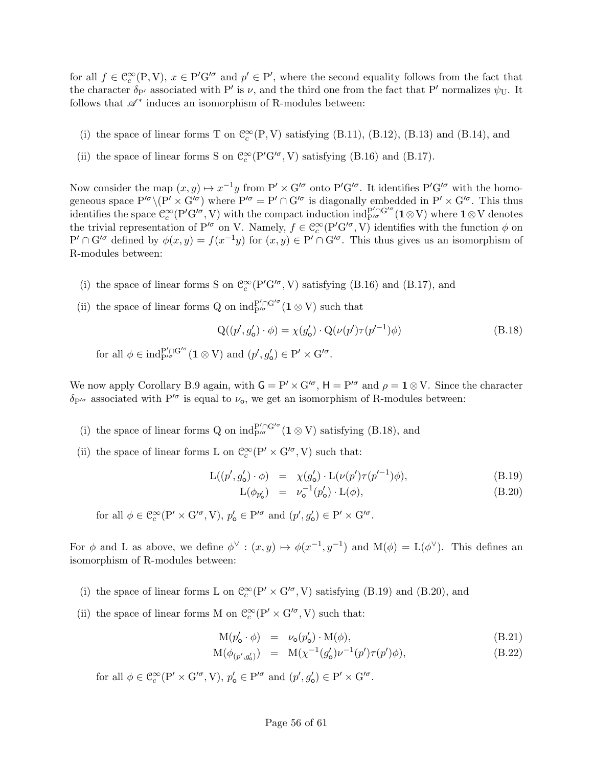for all  $f \in \mathcal{C}_c^{\infty}(\mathbb{P}, V)$ ,  $x \in \mathbb{P}'\mathbb{G}'^{\sigma}$  and  $p' \in \mathbb{P}'$ , where the second equality follows from the fact that the character  $\delta_{P'}$  associated with P' is  $\nu$ , and the third one from the fact that P' normalizes  $\psi_U$ . It follows that  $\mathscr{A}^*$  induces an isomorphism of R-modules between:

- (i) the space of linear forms T on  $\mathcal{C}_c^{\infty}(P, V)$  satisfying (B.11), (B.12), (B.13) and (B.14), and
- (ii) the space of linear forms S on  $C_c^{\infty}(\mathrm{P}'\mathrm{G}'^{\sigma}, \mathrm{V})$  satisfying (B.16) and (B.17).

Now consider the map  $(x, y) \mapsto x^{-1}y$  from  $P' \times G'^{\sigma}$  onto  $P'G'^{\sigma}$ . It identifies  $P'G'^{\sigma}$  with the homogeneous space  $P'^{\sigma}\setminus (P' \times G'^{\sigma})$  where  $P'^{\sigma} = P' \cap G'^{\sigma}$  is diagonally embedded in  $P' \times G'^{\sigma}$ . This thus identifies the space  $\mathbb{C}_c^{\infty}(P'G'^{\sigma}, V)$  with the compact induction  $\text{ind}_{P'^{\sigma}}^{P' \cap G'^{\sigma}}(\mathbf{1} \otimes V)$  where  $\mathbf{1} \otimes V$  denotes the trivial representation of P<sup>'*σ*</sup> on V. Namely,  $f \in \mathbb{C}_c^{\infty}(\mathrm{P}'\mathrm{G}'^{\sigma}, V)$  identifies with the function  $\phi$  on  $P' \cap G'^{\sigma}$  defined by  $\phi(x, y) = f(x^{-1}y)$  for  $(x, y) \in P' \cap G'^{\sigma}$ . This thus gives us an isomorphism of R-modules between:

- (i) the space of linear forms S on  $C_c^{\infty}(P'G'^{\sigma}, V)$  satisfying (B.16) and (B.17), and
- (ii) the space of linear forms Q on  $\mathrm{ind}_{P'\sigma}^{P'\cap G'\sigma}(\mathbf{1}\otimes V)$  such that

$$
Q((p', g'_0) \cdot \phi) = \chi(g'_0) \cdot Q(\nu(p') \tau(p'^{-1}) \phi)
$$
\n(B.18)

for all  $\phi \in \text{ind}_{P'^{\sigma}}^{P' \cap G'^{\sigma}} (\mathbf{1} \otimes V)$  and  $(p', g'_{\mathbf{0}}) \in P' \times G'^{\sigma}$ .

We now apply Corollary B.9 again, with  $G = P' \times G'^{\sigma}$ ,  $H = P'^{\sigma}$  and  $\rho = \mathbf{1} \otimes V$ . Since the character  $\delta_{P'}$  associated with  $P''$  is equal to  $\nu_o$ , we get an isomorphism of R-modules between:

- (i) the space of linear forms Q on  $ind_{P/\sigma}^{P'\cap G'\sigma}(\mathbf{1}\otimes V)$  satisfying (B.18), and
- (ii) the space of linear forms L on  $\mathcal{C}^\infty_c(\mathbf{P}'\times\mathbf{G}'^\sigma,\mathbf{V})$  such that:

$$
L((p', g'_0) \cdot \phi) = \chi(g'_0) \cdot L(\nu(p') \tau(p'^{-1}) \phi),
$$
\n
$$
L(\phi, \cdot) = \nu^{-1}(\phi') \cdot L(\phi)
$$
\n(B.19)

$$
L(\phi_{p'_0}) = \nu_0^{-1}(p'_0) \cdot L(\phi), \tag{B.20}
$$

for all  $\phi \in \mathcal{C}_c^{\infty}(\mathcal{P}' \times \mathcal{G}'^{\sigma}, V), p'_{\mathbf{0}} \in \mathcal{P}'^{\sigma}$  and  $(p', g'_{\mathbf{0}}) \in \mathcal{P}' \times \mathcal{G}'^{\sigma}$ .

For  $\phi$  and L as above, we define  $\phi^{\vee} : (x, y) \mapsto \phi(x^{-1}, y^{-1})$  and  $M(\phi) = L(\phi^{\vee})$ . This defines an isomorphism of R-modules between:

- (i) the space of linear forms L on  $\mathcal{C}_c^{\infty}(P' \times G'^{\sigma}, V)$  satisfying (B.19) and (B.20), and
- (ii) the space of linear forms M on  $\mathcal{C}^\infty_c(\mathbf{P}' \times \mathbf{G}'^\sigma, \mathbf{V})$  such that:

$$
M(p'_{o} \cdot \phi) = \nu_{o}(p'_{o}) \cdot M(\phi), \qquad (B.21)
$$

$$
M(\phi_{(p',g'_0)}) = M(\chi^{-1}(g'_0)\nu^{-1}(p')\tau(p')\phi), \tag{B.22}
$$

for all  $\phi \in \mathcal{C}_c^{\infty}(\mathcal{P}' \times \mathcal{G}'^{\sigma}, V), p'_{\mathbf{0}} \in \mathcal{P}'^{\sigma}$  and  $(p', g'_{\mathbf{0}}) \in \mathcal{P}' \times \mathcal{G}'^{\sigma}$ .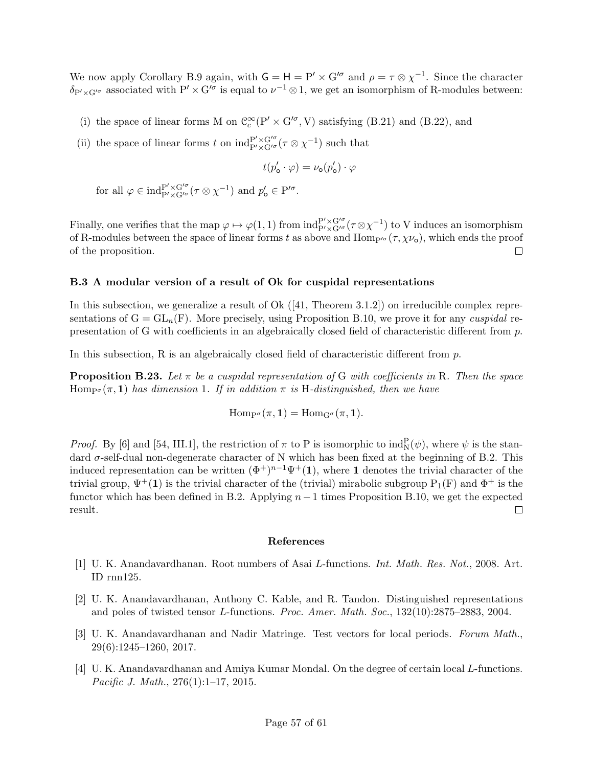We now apply Corollary B.9 again, with  $G = H = P' \times G'^{\sigma}$  and  $\rho = \tau \otimes \chi^{-1}$ . Since the character  $\delta_{P' \times G'}$  associated with  $P' \times G'^{\sigma}$  is equal to  $\nu^{-1} \otimes 1$ , we get an isomorphism of R-modules between:

- (i) the space of linear forms M on  $\mathcal{C}_c^{\infty}(\mathcal{P}' \times \mathcal{G}'^{\sigma}, V)$  satisfying (B.21) and (B.22), and
- (ii) the space of linear forms t on  $ind_{P' \times G'\sigma}^{P' \times G'\sigma}(\tau \otimes \chi^{-1})$  such that

$$
t(p_{\rm o}'\cdot\varphi)=\nu_{\rm o}(p_{\rm o}')\cdot\varphi
$$

for all  $\varphi \in \text{ind}_{P' \times G'^{\sigma}}^{P' \times G'^{\sigma}} (\tau \otimes \chi^{-1})$  and  $p'_{o} \in P'^{\sigma}$ .

Finally, one verifies that the map  $\varphi \mapsto \varphi(1,1)$  from  $ind_{P'\times G'\sigma}^{P'\times G'\sigma}(\tau \otimes \chi^{-1})$  to V induces an isomorphism of R-modules between the space of linear forms t as above and  $\text{Hom}_{P/\sigma}(\tau, \chi\nu_o)$ , which ends the proof of the proposition.  $\Box$ 

#### B.3 A modular version of a result of Ok for cuspidal representations

In this subsection, we generalize a result of Ok  $([41, Theorem 3.1.2])$  on irreducible complex representations of  $G = GL_n(F)$ . More precisely, using Proposition B.10, we prove it for any *cuspidal* representation of G with coefficients in an algebraically closed field of characteristic different from p.

In this subsection, R is an algebraically closed field of characteristic different from  $p$ .

**Proposition B.23.** Let  $\pi$  be a cuspidal representation of G with coefficients in R. Then the space Hompo  $(\pi, 1)$  has dimension 1. If in addition  $\pi$  is H-distinguished, then we have

 $\text{Hom}_{\mathcal{P}^{\sigma}}(\pi, \mathbf{1}) = \text{Hom}_{\mathcal{G}^{\sigma}}(\pi, \mathbf{1}).$ 

*Proof.* By [6] and [54, III.1], the restriction of  $\pi$  to P is isomorphic to  $\text{ind}_{N}^{P}(\psi)$ , where  $\psi$  is the standard  $\sigma$ -self-dual non-degenerate character of N which has been fixed at the beginning of B.2. This induced representation can be written  $(\Phi^+)^{n-1}\Psi^+$  (1), where 1 denotes the trivial character of the trivial group,  $\Psi^+(1)$  is the trivial character of the (trivial) mirabolic subgroup  $P_1(F)$  and  $\Phi^+$  is the functor which has been defined in B.2. Applying  $n-1$  times Proposition B.10, we get the expected result.  $\Box$ 

#### References

- [1] U. K. Anandavardhanan. Root numbers of Asai L-functions. Int. Math. Res. Not., 2008. Art. ID rnn125.
- [2] U. K. Anandavardhanan, Anthony C. Kable, and R. Tandon. Distinguished representations and poles of twisted tensor L-functions. Proc. Amer. Math. Soc., 132(10):2875–2883, 2004.
- [3] U. K. Anandavardhanan and Nadir Matringe. Test vectors for local periods. Forum Math., 29(6):1245–1260, 2017.
- [4] U. K. Anandavardhanan and Amiya Kumar Mondal. On the degree of certain local L-functions. Pacific J. Math., 276(1):1–17, 2015.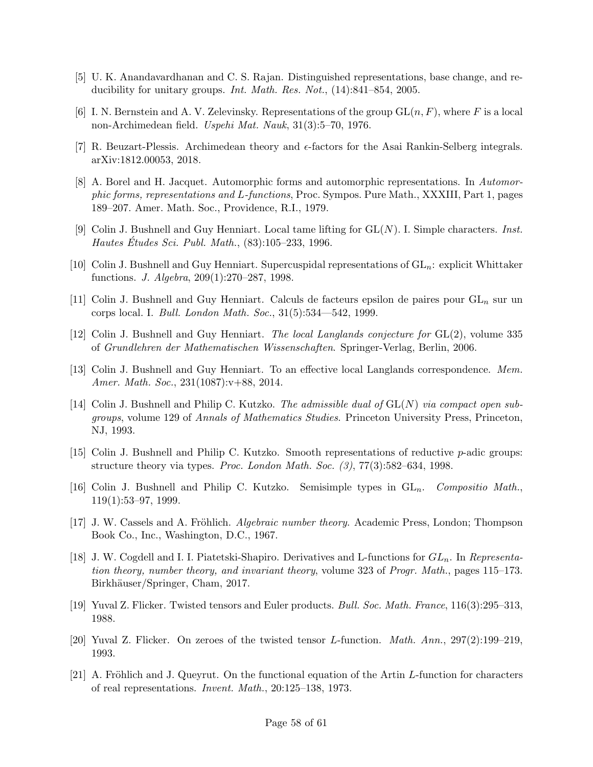- [5] U. K. Anandavardhanan and C. S. Rajan. Distinguished representations, base change, and reducibility for unitary groups. Int. Math. Res. Not., (14):841–854, 2005.
- [6] I. N. Bernstein and A. V. Zelevinsky. Representations of the group  $GL(n, F)$ , where F is a local non-Archimedean field. Uspehi Mat. Nauk, 31(3):5–70, 1976.
- [7] R. Beuzart-Plessis. Archimedean theory and  $\epsilon$ -factors for the Asai Rankin-Selberg integrals. arXiv:1812.00053, 2018.
- [8] A. Borel and H. Jacquet. Automorphic forms and automorphic representations. In Automorphic forms, representations and L-functions, Proc. Sympos. Pure Math., XXXIII, Part 1, pages 189–207. Amer. Math. Soc., Providence, R.I., 1979.
- [9] Colin J. Bushnell and Guy Henniart. Local tame lifting for  $GL(N)$ . I. Simple characters. *Inst.* Hautes Etudes Sci. Publ. Math.,  $(83):105-233, 1996$ .
- [10] Colin J. Bushnell and Guy Henniart. Supercuspidal representations of  $GL_n$ : explicit Whittaker functions. J. Algebra, 209(1):270–287, 1998.
- [11] Colin J. Bushnell and Guy Henniart. Calculs de facteurs epsilon de paires pour  $GL_n$  sur un corps local. I. Bull. London Math. Soc., 31(5):534—542, 1999.
- [12] Colin J. Bushnell and Guy Henniart. The local Langlands conjecture for GL(2), volume 335 of Grundlehren der Mathematischen Wissenschaften. Springer-Verlag, Berlin, 2006.
- [13] Colin J. Bushnell and Guy Henniart. To an effective local Langlands correspondence. Mem. Amer. Math. Soc., 231(1087):v+88, 2014.
- [14] Colin J. Bushnell and Philip C. Kutzko. The admissible dual of  $GL(N)$  via compact open subgroups, volume 129 of Annals of Mathematics Studies. Princeton University Press, Princeton, NJ, 1993.
- [15] Colin J. Bushnell and Philip C. Kutzko. Smooth representations of reductive p-adic groups: structure theory via types. Proc. London Math. Soc. (3), 77(3):582–634, 1998.
- [16] Colin J. Bushnell and Philip C. Kutzko. Semisimple types in  $GL_n$ . Compositio Math. 119(1):53–97, 1999.
- [17] J. W. Cassels and A. Fröhlich. *Algebraic number theory*. Academic Press, London; Thompson Book Co., Inc., Washington, D.C., 1967.
- [18] J. W. Cogdell and I. I. Piatetski-Shapiro. Derivatives and L-functions for  $GL_n$ . In Representation theory, number theory, and invariant theory, volume 323 of Progr. Math., pages 115–173. Birkhäuser/Springer, Cham, 2017.
- [19] Yuval Z. Flicker. Twisted tensors and Euler products. Bull. Soc. Math. France, 116(3):295–313, 1988.
- [20] Yuval Z. Flicker. On zeroes of the twisted tensor L-function. Math. Ann., 297(2):199–219, 1993.
- $[21]$  A. Fröhlich and J. Queyrut. On the functional equation of the Artin L-function for characters of real representations. Invent. Math., 20:125–138, 1973.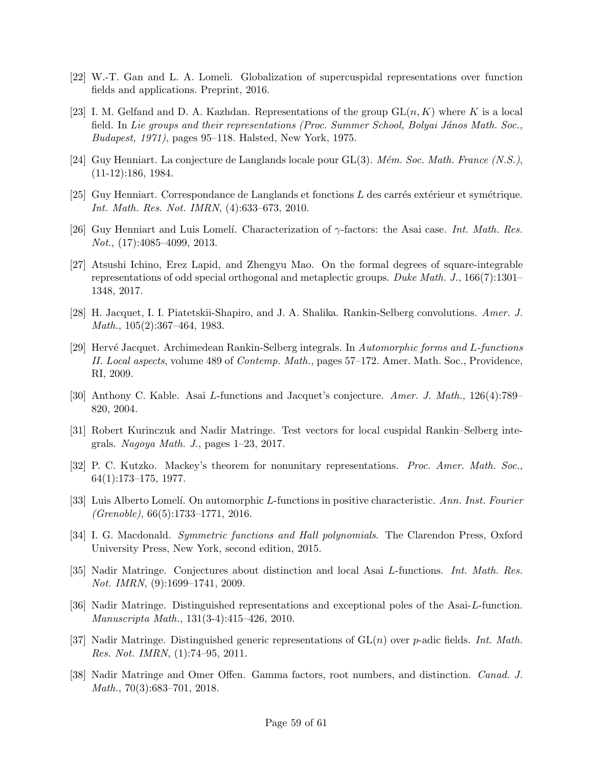- [22] W.-T. Gan and L. A. Lomeli. Globalization of supercuspidal representations over function fields and applications. Preprint, 2016.
- [23] I. M. Gelfand and D. A. Kazhdan. Representations of the group  $GL(n, K)$  where K is a local field. In Lie groups and their representations (Proc. Summer School, Bolyai János Math. Soc., Budapest, 1971), pages 95–118. Halsted, New York, 1975.
- [24] Guy Henniart. La conjecture de Langlands locale pour  $GL(3)$ . Mém. Soc. Math. France (N.S.), (11-12):186, 1984.
- [25] Guy Henniart. Correspondance de Langlands et fonctions  $L$  des carrés extérieur et symétrique. Int. Math. Res. Not. IMRN, (4):633–673, 2010.
- [26] Guy Henniart and Luis Lomelí. Characterization of  $\gamma$ -factors: the Asai case. Int. Math. Res. Not., (17):4085–4099, 2013.
- [27] Atsushi Ichino, Erez Lapid, and Zhengyu Mao. On the formal degrees of square-integrable representations of odd special orthogonal and metaplectic groups. Duke Math. J., 166(7):1301– 1348, 2017.
- [28] H. Jacquet, I. I. Piatetskii-Shapiro, and J. A. Shalika. Rankin-Selberg convolutions. Amer. J. Math., 105(2):367–464, 1983.
- [29] Hervé Jacquet. Archimedean Rankin-Selberg integrals. In Automorphic forms and L-functions II. Local aspects, volume 489 of Contemp. Math., pages 57–172. Amer. Math. Soc., Providence, RI, 2009.
- [30] Anthony C. Kable. Asai L-functions and Jacquet's conjecture. Amer. J. Math., 126(4):789– 820, 2004.
- [31] Robert Kurinczuk and Nadir Matringe. Test vectors for local cuspidal Rankin–Selberg integrals. Nagoya Math. J., pages  $1-23$ , 2017.
- [32] P. C. Kutzko. Mackey's theorem for nonunitary representations. Proc. Amer. Math. Soc., 64(1):173–175, 1977.
- [33] Luis Alberto Lomelí. On automorphic L-functions in positive characteristic. Ann. Inst. Fourier  $(Grenoble)$ , 66(5):1733-1771, 2016.
- [34] I. G. Macdonald. Symmetric functions and Hall polynomials. The Clarendon Press, Oxford University Press, New York, second edition, 2015.
- [35] Nadir Matringe. Conjectures about distinction and local Asai L-functions. Int. Math. Res. Not. IMRN, (9):1699–1741, 2009.
- [36] Nadir Matringe. Distinguished representations and exceptional poles of the Asai-L-function. Manuscripta Math., 131(3-4):415–426, 2010.
- [37] Nadir Matringe. Distinguished generic representations of  $GL(n)$  over p-adic fields. Int. Math. Res. Not. IMRN, (1):74–95, 2011.
- [38] Nadir Matringe and Omer Offen. Gamma factors, root numbers, and distinction. Canad. J. Math., 70(3):683–701, 2018.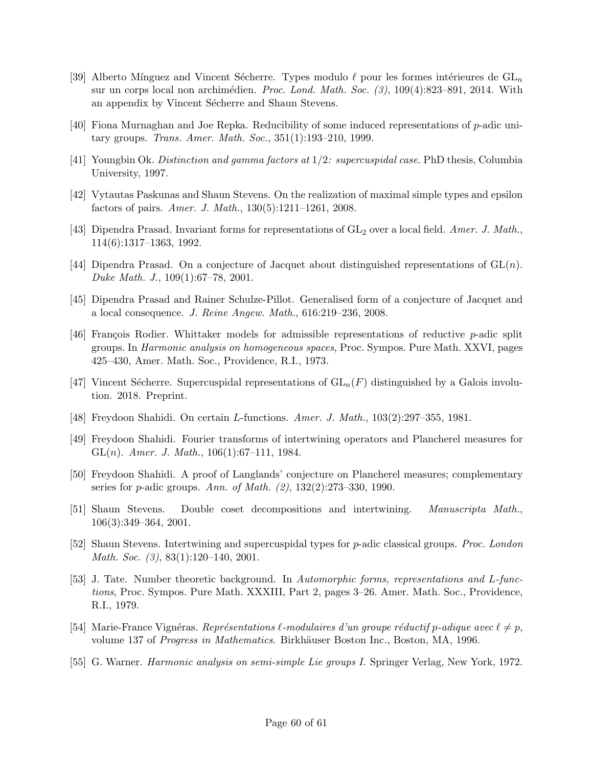- [39] Alberto Mínguez and Vincent Sécherre. Types modulo  $\ell$  pour les formes intérieures de  $GL_n$ sur un corps local non archimédien. Proc. Lond. Math. Soc.  $(3)$ , 109(4):823–891, 2014. With an appendix by Vincent Sécherre and Shaun Stevens.
- [40] Fiona Murnaghan and Joe Repka. Reducibility of some induced representations of p-adic unitary groups. Trans. Amer. Math. Soc., 351(1):193–210, 1999.
- [41] Youngbin Ok. Distinction and gamma factors at 1/2: supercuspidal case. PhD thesis, Columbia University, 1997.
- [42] Vytautas Paskunas and Shaun Stevens. On the realization of maximal simple types and epsilon factors of pairs. Amer. J. Math., 130(5):1211–1261, 2008.
- [43] Dipendra Prasad. Invariant forms for representations of  $GL_2$  over a local field. Amer. J. Math., 114(6):1317–1363, 1992.
- [44] Dipendra Prasad. On a conjecture of Jacquet about distinguished representations of  $GL(n)$ . Duke Math. J., 109(1):67–78, 2001.
- [45] Dipendra Prasad and Rainer Schulze-Pillot. Generalised form of a conjecture of Jacquet and a local consequence. J. Reine Angew. Math., 616:219–236, 2008.
- [46] François Rodier. Whittaker models for admissible representations of reductive p-adic split groups. In Harmonic analysis on homogeneous spaces, Proc. Sympos. Pure Math. XXVI, pages 425–430, Amer. Math. Soc., Providence, R.I., 1973.
- [47] Vincent Sécherre. Supercuspidal representations of  $GL_n(F)$  distinguished by a Galois involution. 2018. Preprint.
- [48] Freydoon Shahidi. On certain L-functions. Amer. J. Math., 103(2):297–355, 1981.
- [49] Freydoon Shahidi. Fourier transforms of intertwining operators and Plancherel measures for GL $(n)$ . Amer. J. Math., 106 $(1)$ :67-111, 1984.
- [50] Freydoon Shahidi. A proof of Langlands' conjecture on Plancherel measures; complementary series for p-adic groups. Ann. of Math. (2), 132(2):273–330, 1990.
- [51] Shaun Stevens. Double coset decompositions and intertwining. Manuscripta Math., 106(3):349–364, 2001.
- [52] Shaun Stevens. Intertwining and supercuspidal types for p-adic classical groups. Proc. London Math. Soc. (3), 83(1):120–140, 2001.
- [53] J. Tate. Number theoretic background. In Automorphic forms, representations and L-functions, Proc. Sympos. Pure Math. XXXIII, Part 2, pages 3–26. Amer. Math. Soc., Providence, R.I., 1979.
- [54] Marie-France Vignéras. Représentations  $\ell$ -modulaires d'un groupe réductif p-adique avec  $\ell \neq p$ , volume 137 of *Progress in Mathematics*. Birkhäuser Boston Inc., Boston, MA, 1996.
- [55] G. Warner. Harmonic analysis on semi-simple Lie groups I. Springer Verlag, New York, 1972.